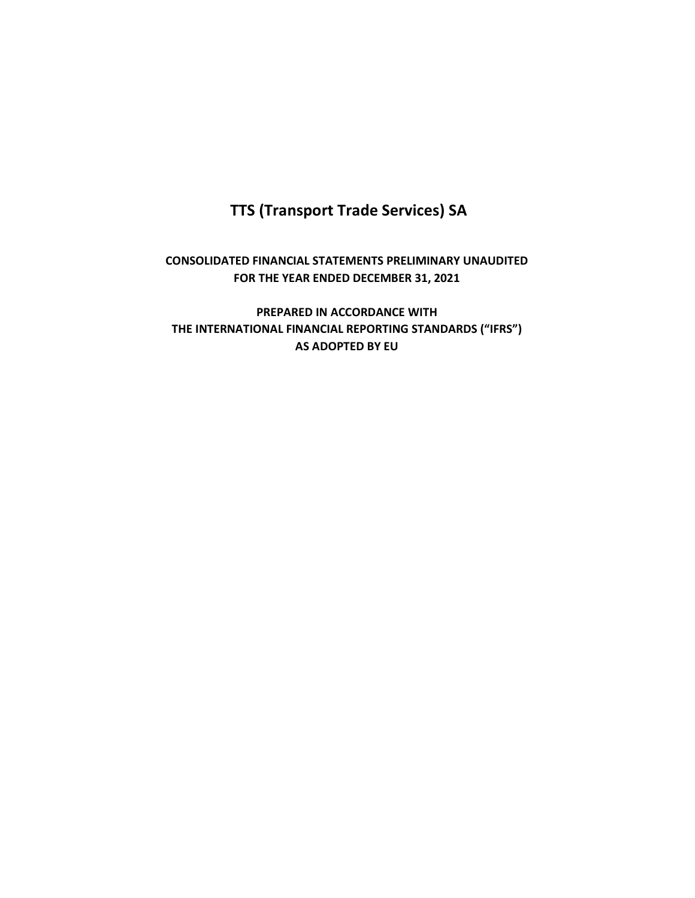# **TTS (Transport Trade Services) SA**

## **CONSOLIDATED FINANCIAL STATEMENTS PRELIMINARY UNAUDITED FOR THE YEAR ENDED DECEMBER 31, 2021**

**PREPARED IN ACCORDANCE WITH THE INTERNATIONAL FINANCIAL REPORTING STANDARDS ("IFRS") AS ADOPTED BY EU**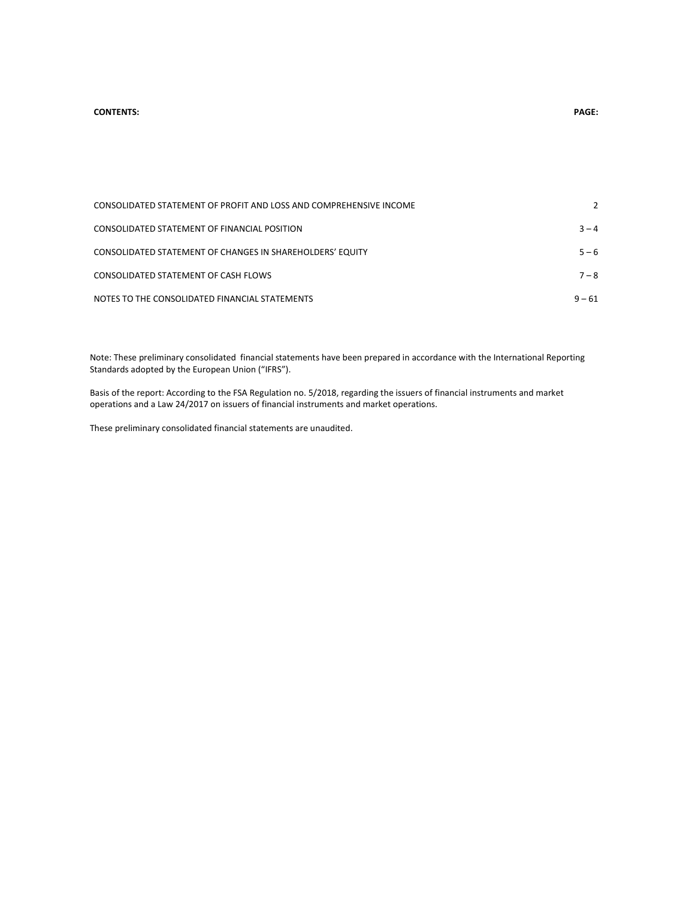#### **CONTENTS: PAGE:**

| CONSOLIDATED STATEMENT OF PROFIT AND LOSS AND COMPREHENSIVE INCOME |          |
|--------------------------------------------------------------------|----------|
| CONSOLIDATED STATEMENT OF FINANCIAL POSITION                       | $3 - 4$  |
| CONSOLIDATED STATEMENT OF CHANGES IN SHAREHOLDERS' EQUITY          | $5 - 6$  |
| CONSOLIDATED STATEMENT OF CASH FLOWS                               | $7 - 8$  |
| NOTES TO THE CONSOLIDATED FINANCIAL STATEMENTS                     | $9 - 61$ |

Note: These preliminary consolidated financial statements have been prepared in accordance with the International Reporting Standards adopted by the European Union ("IFRS").

Basis of the report: According to the FSA Regulation no. 5/2018, regarding the issuers of financial instruments and market operations and a Law 24/2017 on issuers of financial instruments and market operations.

These preliminary consolidated financial statements are unaudited.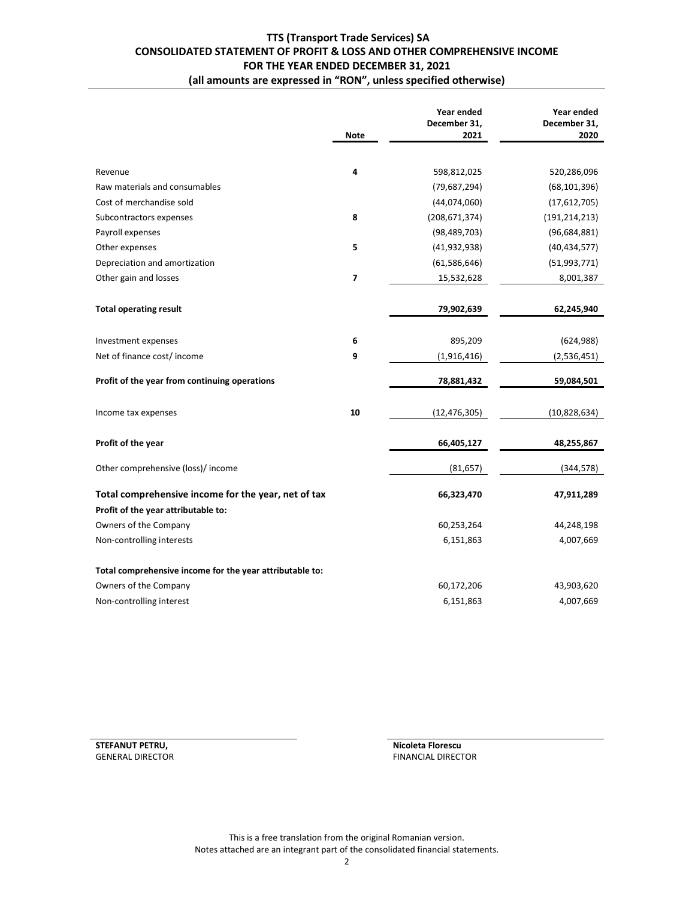## **TTS (Transport Trade Services) SA CONSOLIDATED STATEMENT OF PROFIT & LOSS AND OTHER COMPREHENSIVE INCOME FOR THE YEAR ENDED DECEMBER 31, 2021 (all amounts are expressed in "RON", unless specified otherwise)**

|                                                                                            |             | Year ended           | Year ended           |
|--------------------------------------------------------------------------------------------|-------------|----------------------|----------------------|
|                                                                                            | <b>Note</b> | December 31,<br>2021 | December 31,<br>2020 |
|                                                                                            |             |                      |                      |
| Revenue                                                                                    | 4           | 598,812,025          | 520,286,096          |
| Raw materials and consumables                                                              |             | (79, 687, 294)       | (68, 101, 396)       |
| Cost of merchandise sold                                                                   |             | (44,074,060)         | (17,612,705)         |
| Subcontractors expenses                                                                    | 8           | (208, 671, 374)      | (191, 214, 213)      |
| Payroll expenses                                                                           |             | (98, 489, 703)       | (96, 684, 881)       |
| Other expenses                                                                             | 5           | (41, 932, 938)       | (40, 434, 577)       |
| Depreciation and amortization                                                              |             | (61, 586, 646)       | (51, 993, 771)       |
| Other gain and losses                                                                      | 7           | 15,532,628           | 8,001,387            |
|                                                                                            |             |                      |                      |
| <b>Total operating result</b>                                                              |             | 79,902,639           | 62,245,940           |
|                                                                                            |             |                      |                      |
| Investment expenses                                                                        | 6           | 895,209              | (624, 988)           |
| Net of finance cost/income                                                                 | 9           | (1,916,416)          | (2,536,451)          |
| Profit of the year from continuing operations                                              |             | 78,881,432           | 59,084,501           |
| Income tax expenses                                                                        | 10          | (12, 476, 305)       | (10,828,634)         |
| Profit of the year                                                                         |             | 66,405,127           | 48,255,867           |
| Other comprehensive (loss)/ income                                                         |             | (81, 657)            | (344, 578)           |
| Total comprehensive income for the year, net of tax<br>Profit of the year attributable to: |             | 66,323,470           | 47,911,289           |
| Owners of the Company                                                                      |             | 60,253,264           | 44,248,198           |
| Non-controlling interests                                                                  |             | 6,151,863            | 4,007,669            |
| Total comprehensive income for the year attributable to:                                   |             |                      |                      |
| Owners of the Company                                                                      |             | 60,172,206           | 43,903,620           |
| Non-controlling interest                                                                   |             | 6,151,863            | 4,007,669            |
|                                                                                            |             |                      |                      |

GENERAL DIRECTOR **FINANCIAL DIRECTOR** FINANCIAL DIRECTOR

**STEFANUT PETRU, THE STEP OF STEP OF STEP OF STEP OF STEP OF STEP OF STEP OF STEP OF STEP OF STEP OF STEP OF STEP OF STEP OF STEP OF STEP OF STEP OF STEP OF STEP OF STEP OF STEP OF STEP OF STEP OF STEP OF STEP OF STEP OF S** 

This is a free translation from the original Romanian version. Notes attached are an integrant part of the consolidated financial statements.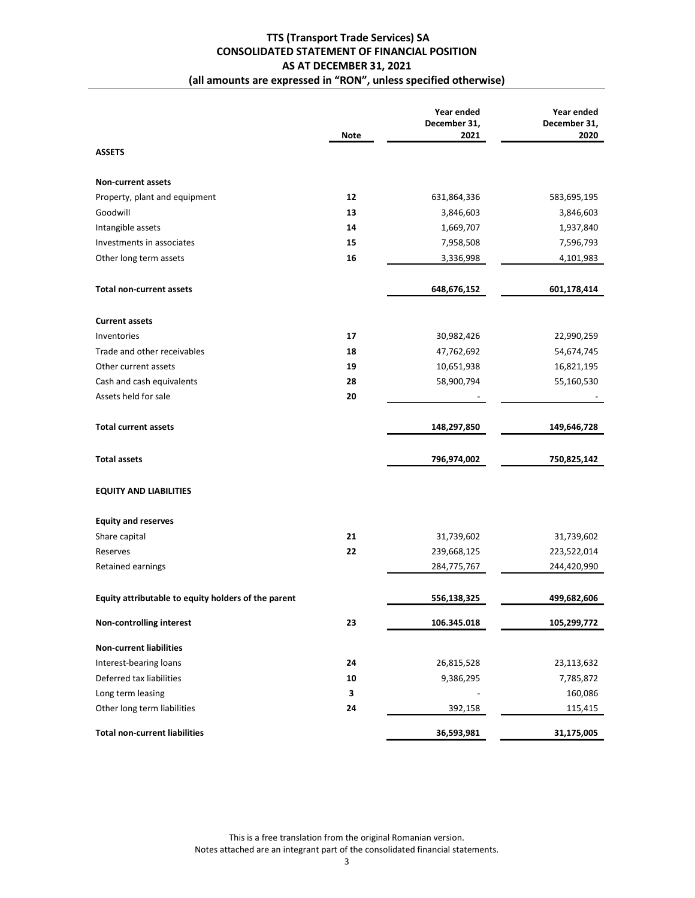## **TTS (Transport Trade Services) SA CONSOLIDATED STATEMENT OF FINANCIAL POSITION AS AT DECEMBER 31, 2021 (all amounts are expressed in "RON", unless specified otherwise)**

|                                                     |             | Year ended<br>December 31, | Year ended<br>December 31, |
|-----------------------------------------------------|-------------|----------------------------|----------------------------|
|                                                     | <b>Note</b> | 2021                       | 2020                       |
| <b>ASSETS</b>                                       |             |                            |                            |
| <b>Non-current assets</b>                           |             |                            |                            |
| Property, plant and equipment                       | 12          | 631,864,336                | 583,695,195                |
| Goodwill                                            | 13          | 3,846,603                  | 3,846,603                  |
| Intangible assets                                   | 14          | 1,669,707                  | 1,937,840                  |
| Investments in associates                           | 15          | 7,958,508                  | 7,596,793                  |
| Other long term assets                              | 16          | 3,336,998                  | 4,101,983                  |
| <b>Total non-current assets</b>                     |             | 648,676,152                | 601,178,414                |
| <b>Current assets</b>                               |             |                            |                            |
| Inventories                                         | 17          | 30,982,426                 | 22,990,259                 |
| Trade and other receivables                         | 18          | 47,762,692                 | 54,674,745                 |
| Other current assets                                | 19          | 10,651,938                 | 16,821,195                 |
| Cash and cash equivalents                           | 28          | 58,900,794                 | 55,160,530                 |
| Assets held for sale                                | 20          |                            |                            |
| <b>Total current assets</b>                         |             | 148,297,850                | 149,646,728                |
| <b>Total assets</b>                                 |             | 796,974,002                | 750,825,142                |
| <b>EQUITY AND LIABILITIES</b>                       |             |                            |                            |
| <b>Equity and reserves</b>                          |             |                            |                            |
| Share capital                                       | 21          | 31,739,602                 | 31,739,602                 |
| Reserves                                            | 22          | 239,668,125                | 223,522,014                |
| Retained earnings                                   |             | 284,775,767                | 244,420,990                |
| Equity attributable to equity holders of the parent |             | 556,138,325                | 499,682,606                |
| <b>Non-controlling interest</b>                     | 23          | 106.345.018                | 105,299,772                |
| <b>Non-current liabilities</b>                      |             |                            |                            |
| Interest-bearing loans                              | 24          | 26,815,528                 | 23,113,632                 |
| Deferred tax liabilities                            | 10          | 9,386,295                  | 7,785,872                  |
| Long term leasing                                   | 3           |                            | 160,086                    |
| Other long term liabilities                         | 24          | 392,158                    | 115,415                    |
| <b>Total non-current liabilities</b>                |             | 36,593,981                 | 31,175,005                 |

This is a free translation from the original Romanian version. Notes attached are an integrant part of the consolidated financial statements.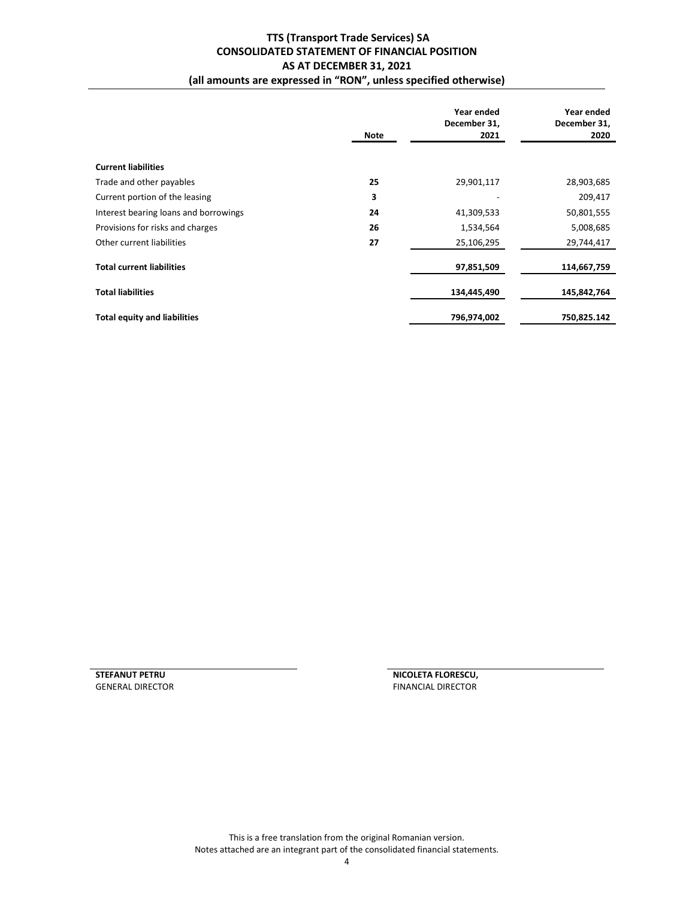## **TTS (Transport Trade Services) SA CONSOLIDATED STATEMENT OF FINANCIAL POSITION AS AT DECEMBER 31, 2021 (all amounts are expressed in "RON", unless specified otherwise)**

|                                       | Note | Year ended<br>December 31,<br>2021 | Year ended<br>December 31,<br>2020 |
|---------------------------------------|------|------------------------------------|------------------------------------|
| <b>Current liabilities</b>            |      |                                    |                                    |
| Trade and other payables              | 25   | 29,901,117                         | 28,903,685                         |
| Current portion of the leasing        | 3    |                                    | 209,417                            |
| Interest bearing loans and borrowings | 24   | 41,309,533                         | 50,801,555                         |
| Provisions for risks and charges      | 26   | 1,534,564                          | 5,008,685                          |
| Other current liabilities             | 27   | 25,106,295                         | 29,744,417                         |
| <b>Total current liabilities</b>      |      | 97,851,509                         | 114,667,759                        |
| <b>Total liabilities</b>              |      | 134,445,490                        | 145,842,764                        |
| <b>Total equity and liabilities</b>   |      | 796,974,002                        | 750,825.142                        |

**STEFANUT PETRU<br>
SENERAL DIRECTOR**<br> **SENERAL DIRECTOR**<br> **CENERAL DIRECTOR** FINANCIAL DIRECTOR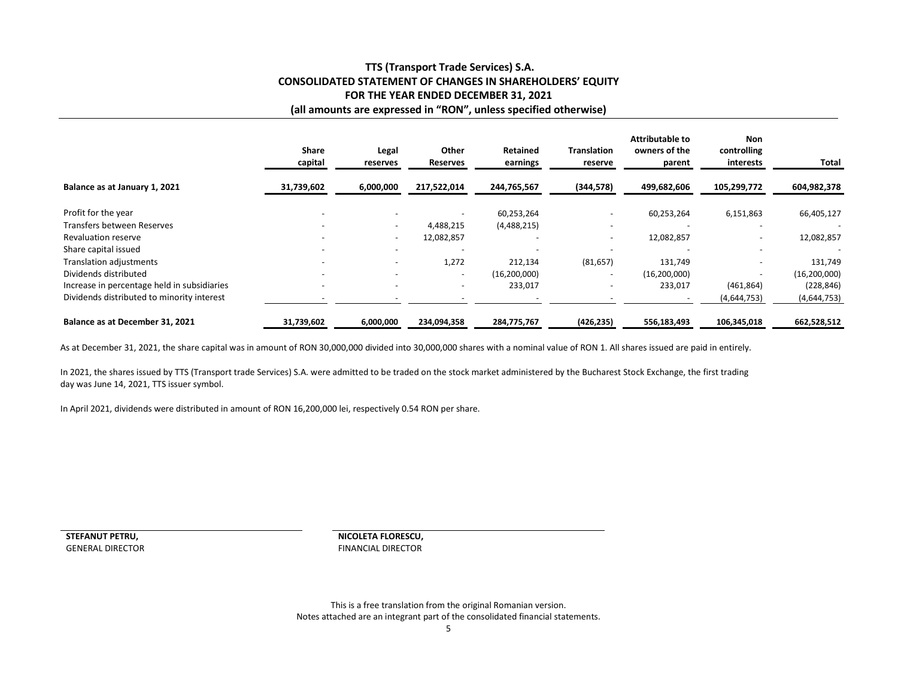## **TTS (Transport Trade Services) S.A. CONSOLIDATED STATEMENT OF CHANGES IN SHAREHOLDERS' EQUITY FOR THE YEAR ENDED DECEMBER 31, 2021 (all amounts are expressed in "RON", unless specified otherwise)**

|                                             | <b>Share</b><br>capital | Legal<br>reserves        | Other<br><b>Reserves</b> | Retained<br>earnings | <b>Translation</b><br>reserve | Attributable to<br>owners of the<br>parent | Non<br>controlling<br>interests | Total          |
|---------------------------------------------|-------------------------|--------------------------|--------------------------|----------------------|-------------------------------|--------------------------------------------|---------------------------------|----------------|
| Balance as at January 1, 2021               | 31,739,602              | 6,000,000                | 217,522,014              | 244,765,567          | (344, 578)                    | 499,682,606                                | 105,299,772                     | 604,982,378    |
| Profit for the year                         |                         |                          | $\overline{\phantom{a}}$ | 60,253,264           |                               | 60,253,264                                 | 6,151,863                       | 66,405,127     |
| Transfers between Reserves                  |                         | $\overline{\phantom{a}}$ | 4,488,215                | (4,488,215)          |                               |                                            |                                 |                |
| <b>Revaluation reserve</b>                  |                         | $\overline{\phantom{a}}$ | 12,082,857               |                      |                               | 12,082,857                                 |                                 | 12,082,857     |
| Share capital issued                        |                         | $\overline{\phantom{0}}$ | $\overline{\phantom{a}}$ |                      | $\overline{a}$                |                                            |                                 |                |
| Translation adjustments                     |                         | $\overline{\phantom{0}}$ | 1,272                    | 212,134              | (81, 657)                     | 131,749                                    |                                 | 131,749        |
| Dividends distributed                       |                         |                          | $\overline{\phantom{a}}$ | (16, 200, 000)       | $\overline{a}$                | (16, 200, 000)                             |                                 | (16, 200, 000) |
| Increase in percentage held in subsidiaries |                         |                          | $\overline{\phantom{a}}$ | 233,017              |                               | 233,017                                    | (461, 864)                      | (228, 846)     |
| Dividends distributed to minority interest  |                         |                          |                          |                      |                               |                                            | (4,644,753)                     | (4,644,753)    |
| Balance as at December 31, 2021             | 31,739,602              | 6,000,000                | 234,094,358              | 284,775,767          | (426, 235)                    | 556,183,493                                | 106,345,018                     | 662,528,512    |

As at December 31, 2021, the share capital was in amount of RON 30,000,000 divided into 30,000,000 shares with a nominal value of RON 1. All shares issued are paid in entirely.

In 2021, the shares issued by TTS (Transport trade Services) S.A. were admitted to be traded on the stock market administered by the Bucharest Stock Exchange, the first trading day was June 14, 2021, TTS issuer symbol.

In April 2021, dividends were distributed in amount of RON 16,200,000 lei, respectively 0.54 RON per share.

**STEFANUT PETRU,**

 **NICOLETA FLORESCU,** GENERAL DIRECTOR **FINANCIAL DIRECTOR** FINANCIAL DIRECTOR

> This is a free translation from the original Romanian version. Notes attached are an integrant part of the consolidated financial statements.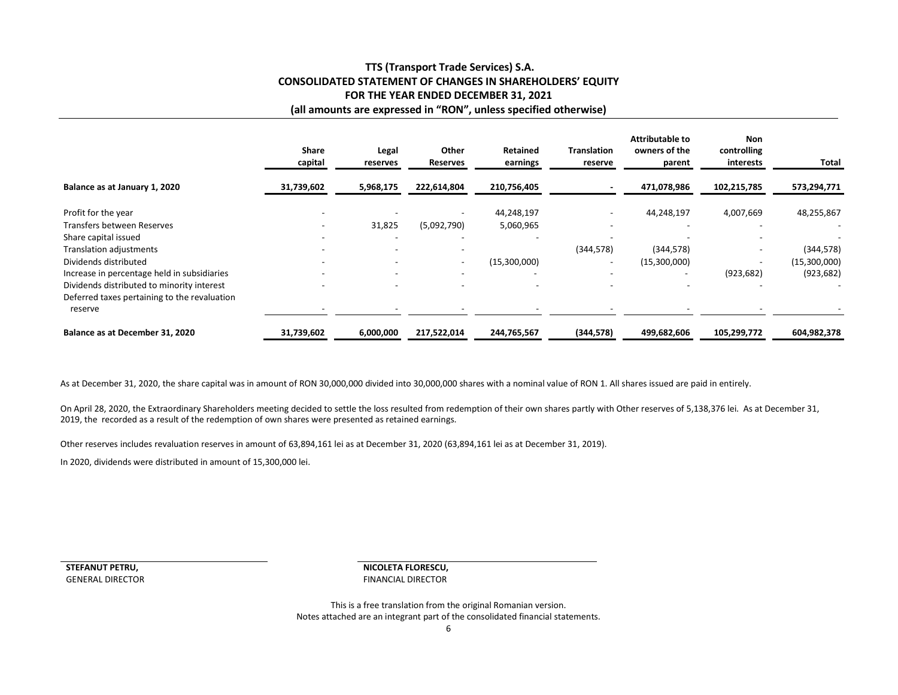## **TTS (Transport Trade Services) S.A. CONSOLIDATED STATEMENT OF CHANGES IN SHAREHOLDERS' EQUITY FOR THE YEAR ENDED DECEMBER 31, 2021 (all amounts are expressed in "RON", unless specified otherwise)**

|                                              | <b>Share</b><br>capital  | Legal<br>reserves        | <b>Other</b><br><b>Reserves</b> | <b>Retained</b><br>earnings | <b>Translation</b><br>reserve | Attributable to<br>owners of the<br>parent | <b>Non</b><br>controlling<br>interests | Total        |
|----------------------------------------------|--------------------------|--------------------------|---------------------------------|-----------------------------|-------------------------------|--------------------------------------------|----------------------------------------|--------------|
| Balance as at January 1, 2020                | 31,739,602               | 5,968,175                | 222,614,804                     | 210,756,405                 |                               | 471,078,986                                | 102,215,785                            | 573,294,771  |
| Profit for the year                          |                          |                          |                                 | 44,248,197                  |                               | 44,248,197                                 | 4,007,669                              | 48,255,867   |
| Transfers between Reserves                   |                          | 31,825                   | (5,092,790)                     | 5,060,965                   |                               |                                            |                                        |              |
| Share capital issued                         |                          |                          |                                 |                             |                               |                                            |                                        |              |
| Translation adjustments                      |                          |                          | $\overline{\phantom{a}}$        |                             | (344, 578)                    | (344, 578)                                 |                                        | (344, 578)   |
| Dividends distributed                        |                          |                          | $\overline{\phantom{a}}$        | (15,300,000)                | $\overline{\phantom{a}}$      | (15,300,000)                               |                                        | (15,300,000) |
| Increase in percentage held in subsidiaries  |                          |                          | $\overline{\phantom{a}}$        |                             |                               |                                            | (923, 682)                             | (923, 682)   |
| Dividends distributed to minority interest   | $\overline{\phantom{0}}$ | $\overline{\phantom{0}}$ | $\overline{\phantom{a}}$        | $\overline{\phantom{a}}$    |                               |                                            |                                        |              |
| Deferred taxes pertaining to the revaluation |                          |                          |                                 |                             |                               |                                            |                                        |              |
| reserve                                      |                          |                          |                                 |                             |                               |                                            |                                        |              |
| Balance as at December 31, 2020              | 31,739,602               | 6,000,000                | 217,522,014                     | 244,765,567                 | (344, 578)                    | 499,682,606                                | 105,299,772                            | 604,982,378  |

As at December 31, 2020, the share capital was in amount of RON 30,000,000 divided into 30,000,000 shares with a nominal value of RON 1. All shares issued are paid in entirely.

On April 28, 2020, the Extraordinary Shareholders meeting decided to settle the loss resulted from redemption of their own shares partly with Other reserves of 5,138,376 lei. As at December 31, 2019, the recorded as a result of the redemption of own shares were presented as retained earnings.

Other reserves includes revaluation reserves in amount of 63,894,161 lei as at December 31, 2020 (63,894,161 lei as at December 31, 2019).

In 2020, dividends were distributed in amount of 15,300,000 lei.

**STEFANUT PETRU,**GENERAL DIRECTOR  **NICOLETA FLORESCU,** FINANCIAL DIRECTOR

This is a free translation from the original Romanian version. Notes attached are an integrant part of the consolidated financial statements.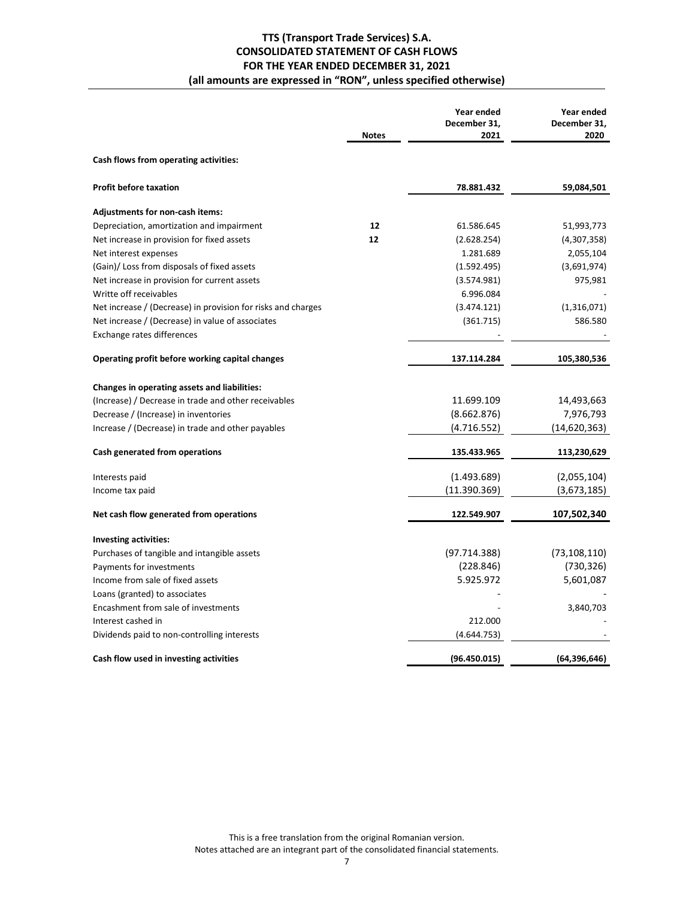## **TTS (Transport Trade Services) S.A. CONSOLIDATED STATEMENT OF CASH FLOWS FOR THE YEAR ENDED DECEMBER 31, 2021 (all amounts are expressed in "RON", unless specified otherwise)**

|                                                              | <b>Notes</b> | Year ended<br>December 31,<br>2021 | Year ended<br>December 31,<br>2020 |
|--------------------------------------------------------------|--------------|------------------------------------|------------------------------------|
| Cash flows from operating activities:                        |              |                                    |                                    |
| <b>Profit before taxation</b>                                |              | 78.881.432                         | 59,084,501                         |
| Adjustments for non-cash items:                              |              |                                    |                                    |
| Depreciation, amortization and impairment                    | 12           | 61.586.645                         | 51,993,773                         |
| Net increase in provision for fixed assets                   | 12           | (2.628.254)                        | (4,307,358)                        |
| Net interest expenses                                        |              | 1.281.689                          | 2,055,104                          |
| (Gain)/ Loss from disposals of fixed assets                  |              | (1.592.495)                        | (3,691,974)                        |
| Net increase in provision for current assets                 |              | (3.574.981)                        | 975,981                            |
| Writte off receivables                                       |              | 6.996.084                          |                                    |
| Net increase / (Decrease) in provision for risks and charges |              | (3.474.121)                        | (1,316,071)                        |
| Net increase / (Decrease) in value of associates             |              | (361.715)                          | 586.580                            |
| Exchange rates differences                                   |              |                                    |                                    |
| Operating profit before working capital changes              |              | 137.114.284                        | 105,380,536                        |
| Changes in operating assets and liabilities:                 |              |                                    |                                    |
| (Increase) / Decrease in trade and other receivables         |              | 11.699.109                         | 14,493,663                         |
| Decrease / (Increase) in inventories                         |              | (8.662.876)                        | 7,976,793                          |
| Increase / (Decrease) in trade and other payables            |              | (4.716.552)                        | (14,620,363)                       |
| Cash generated from operations                               |              | 135.433.965                        | 113,230,629                        |
| Interests paid                                               |              | (1.493.689)                        | (2,055,104)                        |
| Income tax paid                                              |              | (11.390.369)                       | (3,673,185)                        |
| Net cash flow generated from operations                      |              | 122.549.907                        | 107,502,340                        |
| <b>Investing activities:</b>                                 |              |                                    |                                    |
| Purchases of tangible and intangible assets                  |              | (97.714.388)                       | (73, 108, 110)                     |
| Payments for investments                                     |              | (228.846)                          | (730, 326)                         |
| Income from sale of fixed assets                             |              | 5.925.972                          | 5,601,087                          |
| Loans (granted) to associates                                |              |                                    |                                    |
| Encashment from sale of investments                          |              |                                    | 3,840,703                          |
| Interest cashed in                                           |              | 212.000                            |                                    |
| Dividends paid to non-controlling interests                  |              | (4.644.753)                        |                                    |
| Cash flow used in investing activities                       |              | (96.450.015)                       | (64, 396, 646)                     |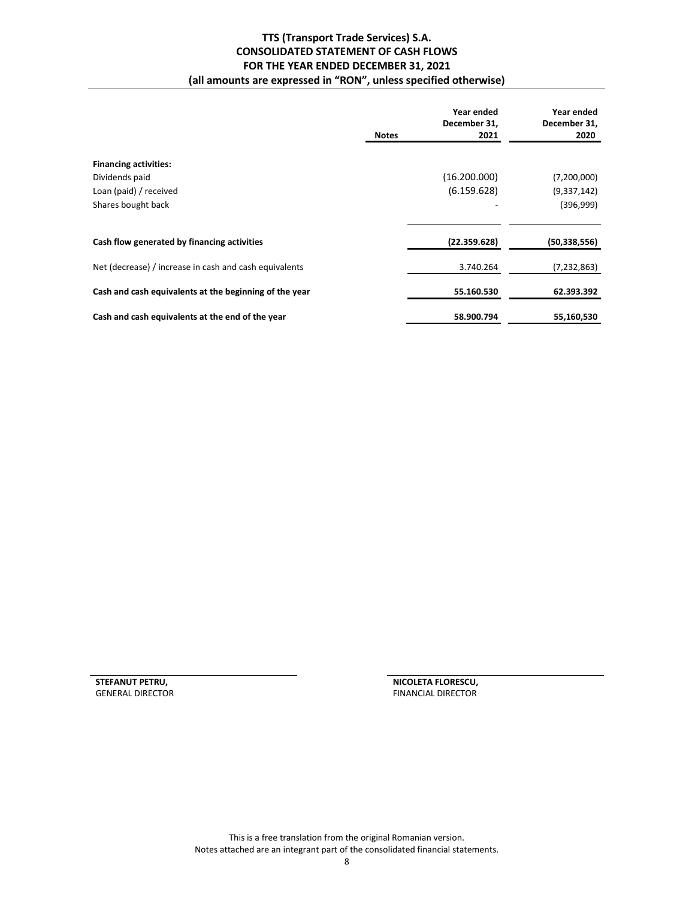## **TTS (Transport Trade Services) S.A. CONSOLIDATED STATEMENT OF CASH FLOWS FOR THE YEAR ENDED DECEMBER 31, 2021 (all amounts are expressed in "RON", unless specified otherwise)**

|                                                        | Year ended<br>December 31,<br>2021<br><b>Notes</b> | Year ended<br>December 31,<br>2020 |
|--------------------------------------------------------|----------------------------------------------------|------------------------------------|
| <b>Financing activities:</b>                           |                                                    |                                    |
| Dividends paid                                         | (16.200.000)                                       | (7,200,000)                        |
| Loan (paid) / received                                 | (6.159.628)                                        | (9,337,142)                        |
| Shares bought back                                     |                                                    | (396,999)                          |
|                                                        |                                                    |                                    |
| Cash flow generated by financing activities            | (22.359.628)                                       | (50, 338, 556)                     |
| Net (decrease) / increase in cash and cash equivalents | 3.740.264                                          | (7, 232, 863)                      |
| Cash and cash equivalents at the beginning of the year | 55.160.530                                         | 62.393.392                         |
| Cash and cash equivalents at the end of the year       | 58.900.794                                         | 55,160,530                         |

**STEFANUT PETRU, THE STEFANUT PETRU, AND A STEFANUT PETRU, AND A STEFANUT PERSON, SENERAL DIRECTOR** FINANCIAL DIRECTOR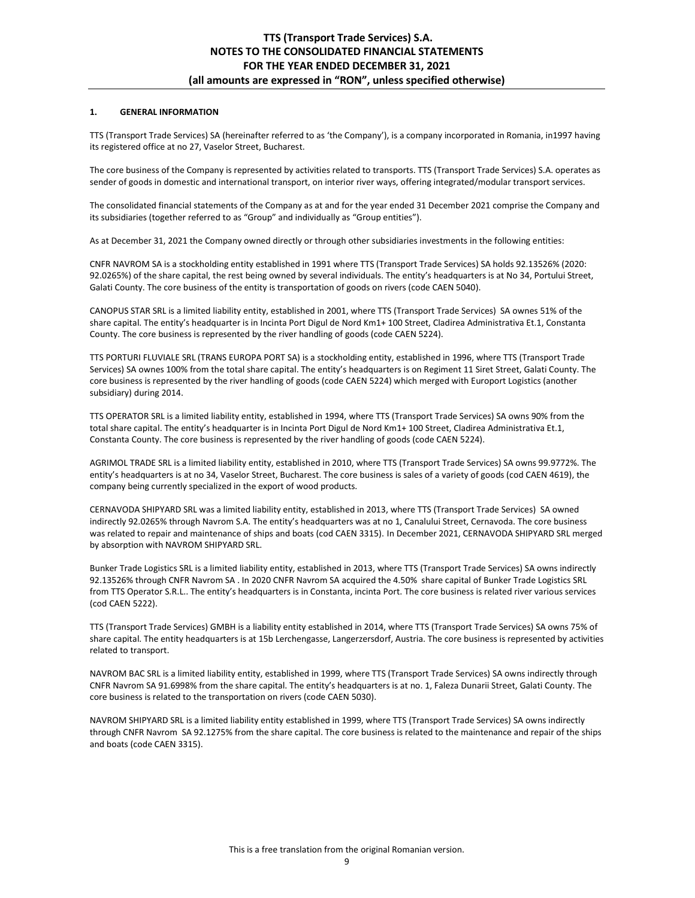## **1. GENERAL INFORMATION**

TTS (Transport Trade Services) SA (hereinafter referred to as 'the Company'), is a company incorporated in Romania, in1997 having its registered office at no 27, Vaselor Street, Bucharest.

The core business of the Company is represented by activities related to transports. TTS (Transport Trade Services) S.A. operates as sender of goods in domestic and international transport, on interior river ways, offering integrated/modular transport services.

The consolidated financial statements of the Company as at and for the year ended 31 December 2021 comprise the Company and its subsidiaries (together referred to as "Group" and individually as "Group entities").

As at December 31, 2021 the Company owned directly or through other subsidiaries investments in the following entities:

CNFR NAVROM SA is a stockholding entity established in 1991 where TTS (Transport Trade Services) SA holds 92.13526% (2020: 92.0265%) of the share capital, the rest being owned by several individuals. The entity's headquarters is at No 34, Portului Street, Galati County. The core business of the entity is transportation of goods on rivers (code CAEN 5040).

CANOPUS STAR SRL is a limited liability entity, established in 2001, where TTS (Transport Trade Services) SA ownes 51% of the share capital. The entity's headquarter is in Incinta Port Digul de Nord Km1+ 100 Street, Cladirea Administrativa Et.1, Constanta County. The core business is represented by the river handling of goods (code CAEN 5224).

TTS PORTURI FLUVIALE SRL (TRANS EUROPA PORT SA) is a stockholding entity, established in 1996, where TTS (Transport Trade Services) SA ownes 100% from the total share capital. The entity's headquarters is on Regiment 11 Siret Street, Galati County. The core business is represented by the river handling of goods (code CAEN 5224) which merged with Europort Logistics (another subsidiary) during 2014.

TTS OPERATOR SRL is a limited liability entity, established in 1994, where TTS (Transport Trade Services) SA owns 90% from the total share capital. The entity's headquarter is in Incinta Port Digul de Nord Km1+ 100 Street, Cladirea Administrativa Et.1, Constanta County. The core business is represented by the river handling of goods (code CAEN 5224).

AGRIMOL TRADE SRL is a limited liability entity, established in 2010, where TTS (Transport Trade Services) SA owns 99.9772%. The entity's headquarters is at no 34, Vaselor Street, Bucharest. The core business is sales of a variety of goods (cod CAEN 4619), the company being currently specialized in the export of wood products.

CERNAVODA SHIPYARD SRL was a limited liability entity, established in 2013, where TTS (Transport Trade Services) SA owned indirectly 92.0265% through Navrom S.A. The entity's headquarters was at no 1, Canalului Street, Cernavoda. The core business was related to repair and maintenance of ships and boats (cod CAEN 3315). In December 2021, CERNAVODA SHIPYARD SRL merged by absorption with NAVROM SHIPYARD SRL.

Bunker Trade Logistics SRL is a limited liability entity, established in 2013, where TTS (Transport Trade Services) SA owns indirectly 92.13526% through CNFR Navrom SA . In 2020 CNFR Navrom SA acquired the 4.50% share capital of Bunker Trade Logistics SRL from TTS Operator S.R.L.. The entity's headquarters is in Constanta, incinta Port. The core business is related river various services (cod CAEN 5222).

TTS (Transport Trade Services) GMBH is a liability entity established in 2014, where TTS (Transport Trade Services) SA owns 75% of share capital. The entity headquarters is at 15b Lerchengasse, Langerzersdorf, Austria. The core business is represented by activities related to transport.

NAVROM BAC SRL is a limited liability entity, established in 1999, where TTS (Transport Trade Services) SA owns indirectly through CNFR Navrom SA 91.6998% from the share capital. The entity's headquarters is at no. 1, Faleza Dunarii Street, Galati County. The core business is related to the transportation on rivers (code CAEN 5030).

NAVROM SHIPYARD SRL is a limited liability entity established in 1999, where TTS (Transport Trade Services) SA owns indirectly through CNFR Navrom SA 92.1275% from the share capital. The core business is related to the maintenance and repair of the ships and boats (code CAEN 3315).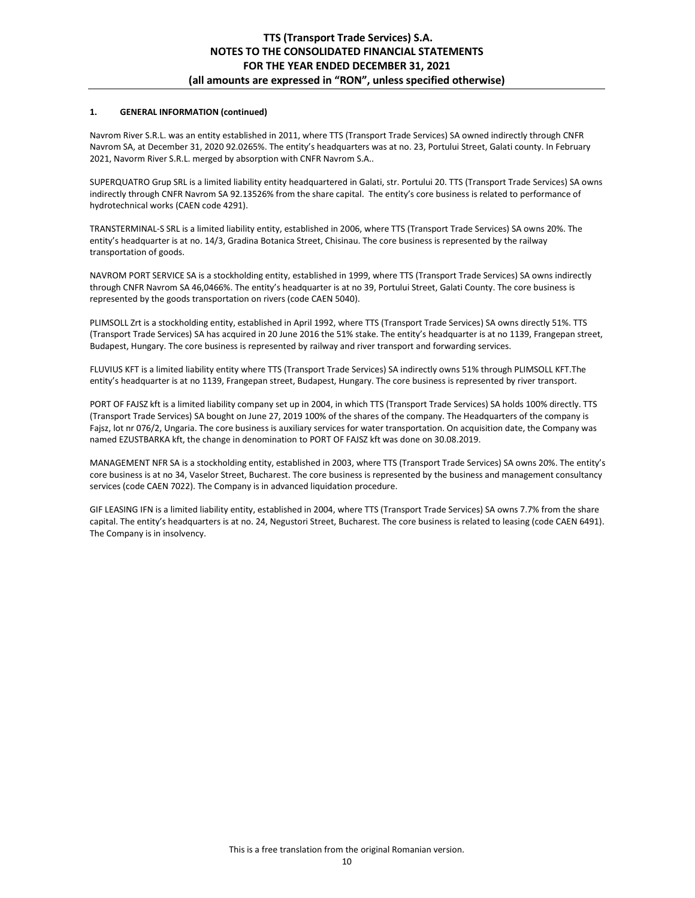## **1. GENERAL INFORMATION (continued)**

Navrom River S.R.L. was an entity established in 2011, where TTS (Transport Trade Services) SA owned indirectly through CNFR Navrom SA, at December 31, 2020 92.0265%. The entity's headquarters was at no. 23, Portului Street, Galati county. In February 2021, Navorm River S.R.L. merged by absorption with CNFR Navrom S.A..

SUPERQUATRO Grup SRL is a limited liability entity headquartered in Galati, str. Portului 20. TTS (Transport Trade Services) SA owns indirectly through CNFR Navrom SA 92.13526% from the share capital. The entity's core business is related to performance of hydrotechnical works (CAEN code 4291).

TRANSTERMINAL-S SRL is a limited liability entity, established in 2006, where TTS (Transport Trade Services) SA owns 20%. The entity's headquarter is at no. 14/3, Gradina Botanica Street, Chisinau. The core business is represented by the railway transportation of goods.

NAVROM PORT SERVICE SA is a stockholding entity, established in 1999, where TTS (Transport Trade Services) SA owns indirectly through CNFR Navrom SA 46,0466%. The entity's headquarter is at no 39, Portului Street, Galati County. The core business is represented by the goods transportation on rivers (code CAEN 5040).

PLIMSOLL Zrt is a stockholding entity, established in April 1992, where TTS (Transport Trade Services) SA owns directly 51%. TTS (Transport Trade Services) SA has acquired in 20 June 2016 the 51% stake. The entity's headquarter is at no 1139, Frangepan street, Budapest, Hungary. The core business is represented by railway and river transport and forwarding services.

FLUVIUS KFT is a limited liability entity where TTS (Transport Trade Services) SA indirectly owns 51% through PLIMSOLL KFT.The entity's headquarter is at no 1139, Frangepan street, Budapest, Hungary. The core business is represented by river transport.

PORT OF FAJSZ kft is a limited liability company set up in 2004, in which TTS (Transport Trade Services) SA holds 100% directly. TTS (Transport Trade Services) SA bought on June 27, 2019 100% of the shares of the company. The Headquarters of the company is Fajsz, lot nr 076/2, Ungaria. The core business is auxiliary services for water transportation. On acquisition date, the Company was named EZUSTBARKA kft, the change in denomination to PORT OF FAJSZ kft was done on 30.08.2019.

MANAGEMENT NFR SA is a stockholding entity, established in 2003, where TTS (Transport Trade Services) SA owns 20%. The entity's core business is at no 34, Vaselor Street, Bucharest. The core business is represented by the business and management consultancy services (code CAEN 7022). The Company is in advanced liquidation procedure.

GIF LEASING IFN is a limited liability entity, established in 2004, where TTS (Transport Trade Services) SA owns 7.7% from the share capital. The entity's headquarters is at no. 24, Negustori Street, Bucharest. The core business is related to leasing (code CAEN 6491). The Company is in insolvency.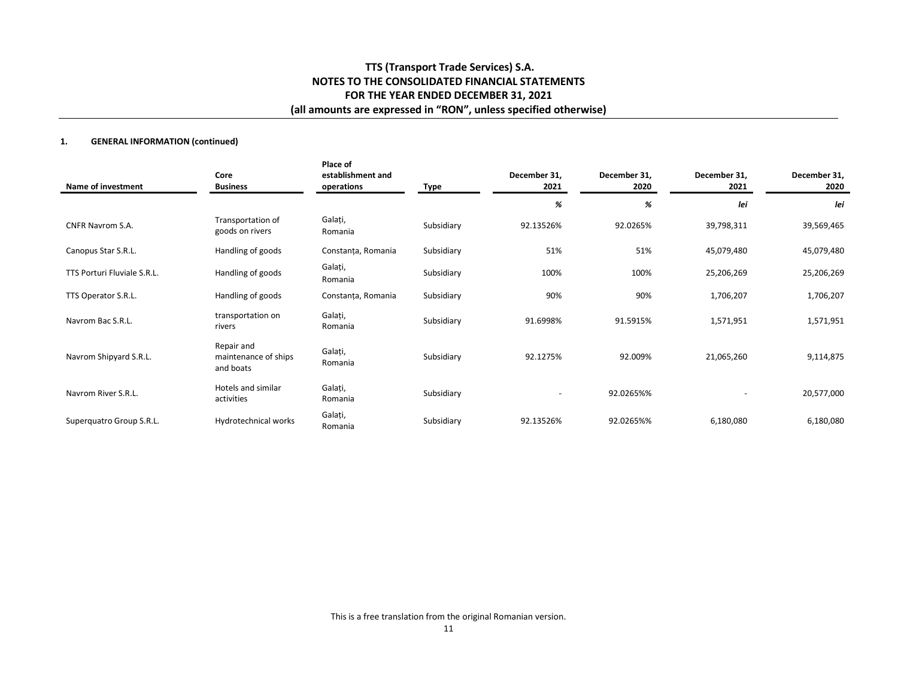## **1. GENERAL INFORMATION (continued)**

| Name of investment          | Core<br><b>Business</b>                         | Place of<br>establishment and<br>operations | Type       | December 31,<br>2021     | December 31,<br>2020 | December 31,<br>2021 | December 31,<br>2020 |
|-----------------------------|-------------------------------------------------|---------------------------------------------|------------|--------------------------|----------------------|----------------------|----------------------|
|                             |                                                 |                                             |            | %                        | %                    | lei                  | lei                  |
| <b>CNFR Navrom S.A.</b>     | Transportation of<br>goods on rivers            | Galați,<br>Romania                          | Subsidiary | 92.13526%                | 92.0265%             | 39,798,311           | 39,569,465           |
| Canopus Star S.R.L.         | Handling of goods                               | Constanța, Romania                          | Subsidiary | 51%                      | 51%                  | 45,079,480           | 45,079,480           |
| TTS Porturi Fluviale S.R.L. | Handling of goods                               | Galați,<br>Romania                          | Subsidiary | 100%                     | 100%                 | 25,206,269           | 25,206,269           |
| TTS Operator S.R.L.         | Handling of goods                               | Constanța, Romania                          | Subsidiary | 90%                      | 90%                  | 1,706,207            | 1,706,207            |
| Navrom Bac S.R.L.           | transportation on<br>rivers                     | Galați,<br>Romania                          | Subsidiary | 91.6998%                 | 91.5915%             | 1,571,951            | 1,571,951            |
| Navrom Shipyard S.R.L.      | Repair and<br>maintenance of ships<br>and boats | Galați,<br>Romania                          | Subsidiary | 92.1275%                 | 92.009%              | 21,065,260           | 9,114,875            |
| Navrom River S.R.L.         | Hotels and similar<br>activities                | Galați,<br>Romania                          | Subsidiary | $\overline{\phantom{a}}$ | 92.0265%%            | ۰                    | 20,577,000           |
| Superquatro Group S.R.L.    | Hydrotechnical works                            | Galați,<br>Romania                          | Subsidiary | 92.13526%                | 92.0265%%            | 6,180,080            | 6,180,080            |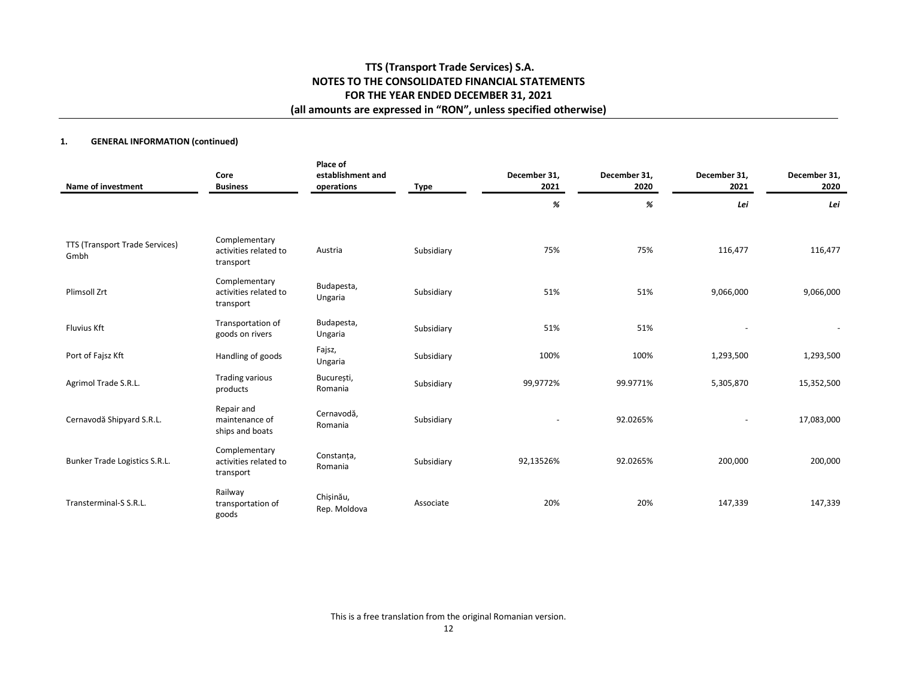## **1. GENERAL INFORMATION (continued)**

| <b>Name of investment</b>              | Core<br><b>Business</b>                             | Place of<br>establishment and<br>operations | Type       | December 31,<br>2021 | December 31,<br>2020 | December 31,<br>2021     | December 31,<br>2020 |
|----------------------------------------|-----------------------------------------------------|---------------------------------------------|------------|----------------------|----------------------|--------------------------|----------------------|
|                                        |                                                     |                                             |            | %                    | %                    | Lei                      | Lei                  |
| TTS (Transport Trade Services)<br>Gmbh | Complementary<br>activities related to<br>transport | Austria                                     | Subsidiary | 75%                  | 75%                  | 116,477                  | 116,477              |
| <b>Plimsoll Zrt</b>                    | Complementary<br>activities related to<br>transport | Budapesta,<br>Ungaria                       | Subsidiary | 51%                  | 51%                  | 9,066,000                | 9,066,000            |
| <b>Fluvius Kft</b>                     | Transportation of<br>goods on rivers                | Budapesta,<br>Ungaria                       | Subsidiary | 51%                  | 51%                  |                          |                      |
| Port of Fajsz Kft                      | Handling of goods                                   | Fajsz,<br>Ungaria                           | Subsidiary | 100%                 | 100%                 | 1,293,500                | 1,293,500            |
| Agrimol Trade S.R.L.                   | <b>Trading various</b><br>products                  | București,<br>Romania                       | Subsidiary | 99,9772%             | 99.9771%             | 5,305,870                | 15,352,500           |
| Cernavodă Shipyard S.R.L.              | Repair and<br>maintenance of<br>ships and boats     | Cernavodă,<br>Romania                       | Subsidiary |                      | 92.0265%             | $\overline{\phantom{a}}$ | 17,083,000           |
| Bunker Trade Logistics S.R.L.          | Complementary<br>activities related to<br>transport | Constanta,<br>Romania                       | Subsidiary | 92,13526%            | 92.0265%             | 200,000                  | 200,000              |
| Transterminal-S S.R.L.                 | Railway<br>transportation of<br>goods               | Chișinău,<br>Rep. Moldova                   | Associate  | 20%                  | 20%                  | 147,339                  | 147,339              |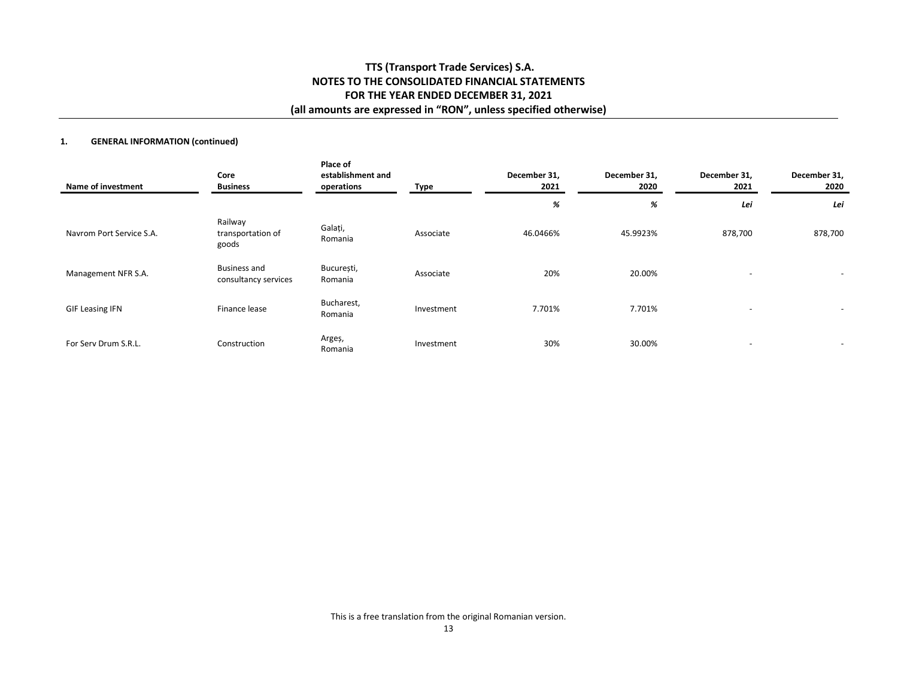## **1. GENERAL INFORMATION (continued)**

| Name of investment       | Core<br><b>Business</b>                     | Place of<br>establishment and<br>operations | Type       | December 31,<br>2021 | December 31,<br>2020 | December 31,<br>2021     | December 31,<br>2020     |
|--------------------------|---------------------------------------------|---------------------------------------------|------------|----------------------|----------------------|--------------------------|--------------------------|
|                          |                                             |                                             |            | %                    | %                    | Lei                      | Lei                      |
| Navrom Port Service S.A. | Railway<br>transportation of<br>goods       | Galați,<br>Romania                          | Associate  | 46.0466%             | 45.9923%             | 878,700                  | 878,700                  |
| Management NFR S.A.      | <b>Business and</b><br>consultancy services | București,<br>Romania                       | Associate  | 20%                  | 20.00%               | $\sim$                   | $\overline{\phantom{a}}$ |
| <b>GIF Leasing IFN</b>   | Finance lease                               | Bucharest,<br>Romania                       | Investment | 7.701%               | 7.701%               | $\overline{\phantom{0}}$ |                          |
| For Serv Drum S.R.L.     | Construction                                | Argeș,<br>Romania                           | Investment | 30%                  | 30.00%               | $\overline{a}$           | $\overline{\phantom{a}}$ |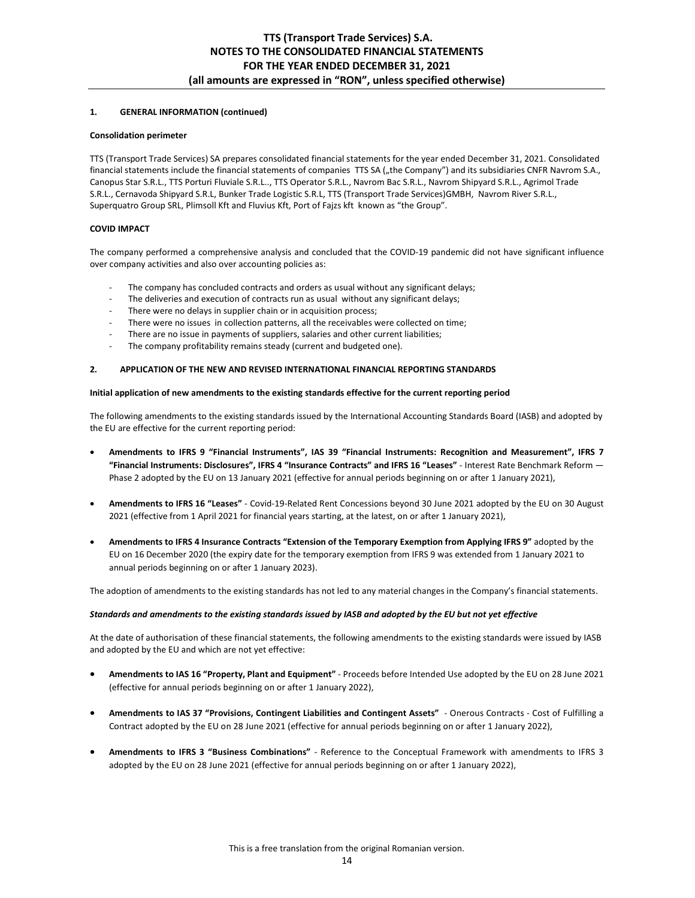## **1. GENERAL INFORMATION (continued)**

#### **Consolidation perimeter**

TTS (Transport Trade Services) SA prepares consolidated financial statements for the year ended December 31, 2021. Consolidated financial statements include the financial statements of companies TTS SA ("the Company") and its subsidiaries CNFR Navrom S.A., Canopus Star S.R.L., TTS Porturi Fluviale S.R.L.., TTS Operator S.R.L., Navrom Bac S.R.L., Navrom Shipyard S.R.L., Agrimol Trade S.R.L., Cernavoda Shipyard S.R.L, Bunker Trade Logistic S.R.L, TTS (Transport Trade Services)GMBH, Navrom River S.R.L., Superquatro Group SRL, Plimsoll Kft and Fluvius Kft, Port of Fajzs kft known as "the Group".

## **COVID IMPACT**

The company performed a comprehensive analysis and concluded that the COVID-19 pandemic did not have significant influence over company activities and also over accounting policies as:

- The company has concluded contracts and orders as usual without any significant delays;
- The deliveries and execution of contracts run as usual without any significant delays;
- There were no delays in supplier chain or in acquisition process;
- There were no issues in collection patterns, all the receivables were collected on time;
- There are no issue in payments of suppliers, salaries and other current liabilities;
- The company profitability remains steady (current and budgeted one).

## **2. APPLICATION OF THE NEW AND REVISED INTERNATIONAL FINANCIAL REPORTING STANDARDS**

### **Initial application of new amendments to the existing standards effective for the current reporting period**

The following amendments to the existing standards issued by the International Accounting Standards Board (IASB) and adopted by the EU are effective for the current reporting period:

- **Amendments to IFRS 9 "Financial Instruments", IAS 39 "Financial Instruments: Recognition and Measurement", IFRS 7 "Financial Instruments: Disclosures", IFRS 4 "Insurance Contracts" and IFRS 16 "Leases"** - Interest Rate Benchmark Reform — Phase 2 adopted by the EU on 13 January 2021 (effective for annual periods beginning on or after 1 January 2021),
- **Amendments to IFRS 16 "Leases"** Covid-19-Related Rent Concessions beyond 30 June 2021 adopted by the EU on 30 August 2021 (effective from 1 April 2021 for financial years starting, at the latest, on or after 1 January 2021),
- **Amendments to IFRS 4 Insurance Contracts "Extension of the Temporary Exemption from Applying IFRS 9"** adopted by the EU on 16 December 2020 (the expiry date for the temporary exemption from IFRS 9 was extended from 1 January 2021 to annual periods beginning on or after 1 January 2023).

The adoption of amendments to the existing standards has not led to any material changes in the Company's financial statements.

## *Standards and amendments to the existing standards issued by IASB and adopted by the EU but not yet effective*

At the date of authorisation of these financial statements, the following amendments to the existing standards were issued by IASB and adopted by the EU and which are not yet effective:

- **Amendments to IAS 16 "Property, Plant and Equipment"** Proceeds before Intended Use adopted by the EU on 28 June 2021 (effective for annual periods beginning on or after 1 January 2022),
- **Amendments to IAS 37 "Provisions, Contingent Liabilities and Contingent Assets"** Onerous Contracts Cost of Fulfilling a Contract adopted by the EU on 28 June 2021 (effective for annual periods beginning on or after 1 January 2022),
- **Amendments to IFRS 3 "Business Combinations"** Reference to the Conceptual Framework with amendments to IFRS 3 adopted by the EU on 28 June 2021 (effective for annual periods beginning on or after 1 January 2022),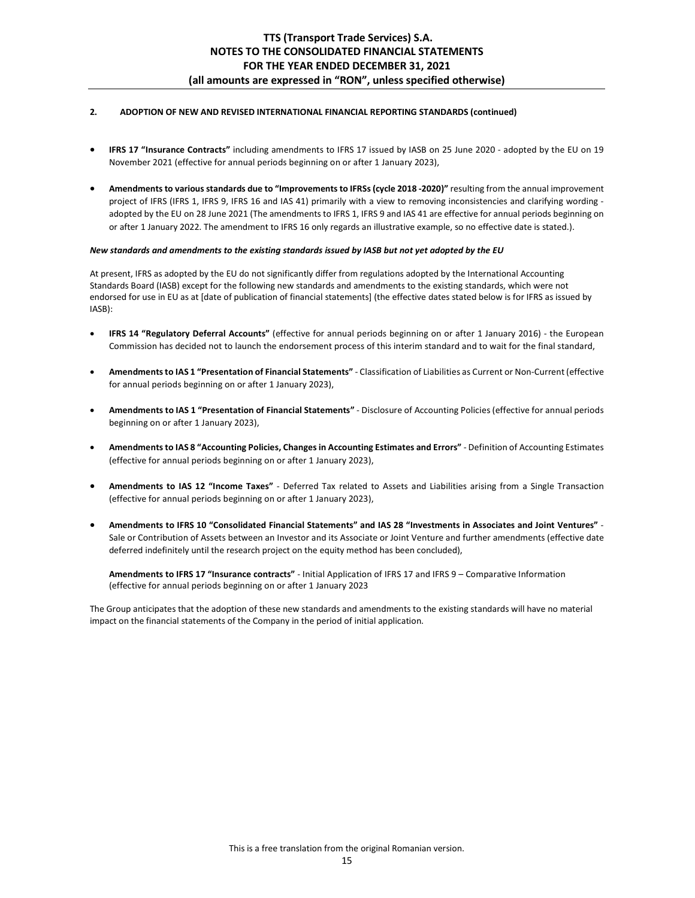## **2. ADOPTION OF NEW AND REVISED INTERNATIONAL FINANCIAL REPORTING STANDARDS (continued)**

- **IFRS 17 "Insurance Contracts"** including amendments to IFRS 17 issued by IASB on 25 June 2020 adopted by the EU on 19 November 2021 (effective for annual periods beginning on or after 1 January 2023),
- **Amendments to various standards due to "Improvements to IFRSs (cycle 2018 -2020)"** resulting from the annual improvement project of IFRS (IFRS 1, IFRS 9, IFRS 16 and IAS 41) primarily with a view to removing inconsistencies and clarifying wording adopted by the EU on 28 June 2021 (The amendments to IFRS 1, IFRS 9 and IAS 41 are effective for annual periods beginning on or after 1 January 2022. The amendment to IFRS 16 only regards an illustrative example, so no effective date is stated.).

### *New standards and amendments to the existing standards issued by IASB but not yet adopted by the EU*

At present, IFRS as adopted by the EU do not significantly differ from regulations adopted by the International Accounting Standards Board (IASB) except for the following new standards and amendments to the existing standards, which were not endorsed for use in EU as at [date of publication of financial statements] (the effective dates stated below is for IFRS as issued by IASB):

- **IFRS 14 "Regulatory Deferral Accounts"** (effective for annual periods beginning on or after 1 January 2016) the European Commission has decided not to launch the endorsement process of this interim standard and to wait for the final standard,
- **Amendments to IAS 1 "Presentation of Financial Statements"** Classification of Liabilities as Current or Non-Current (effective for annual periods beginning on or after 1 January 2023),
- **Amendments to IAS 1 "Presentation of Financial Statements"** Disclosure of Accounting Policies (effective for annual periods beginning on or after 1 January 2023),
- **Amendments to IAS 8 "Accounting Policies, Changes in Accounting Estimates and Errors"** Definition of Accounting Estimates (effective for annual periods beginning on or after 1 January 2023),
- **Amendments to IAS 12 "Income Taxes"** Deferred Tax related to Assets and Liabilities arising from a Single Transaction (effective for annual periods beginning on or after 1 January 2023),
- **Amendments to IFRS 10 "Consolidated Financial Statements" and IAS 28 "Investments in Associates and Joint Ventures"** Sale or Contribution of Assets between an Investor and its Associate or Joint Venture and further amendments (effective date deferred indefinitely until the research project on the equity method has been concluded),

**Amendments to IFRS 17 "Insurance contracts"** - Initial Application of IFRS 17 and IFRS 9 – Comparative Information (effective for annual periods beginning on or after 1 January 2023

The Group anticipates that the adoption of these new standards and amendments to the existing standards will have no material impact on the financial statements of the Company in the period of initial application.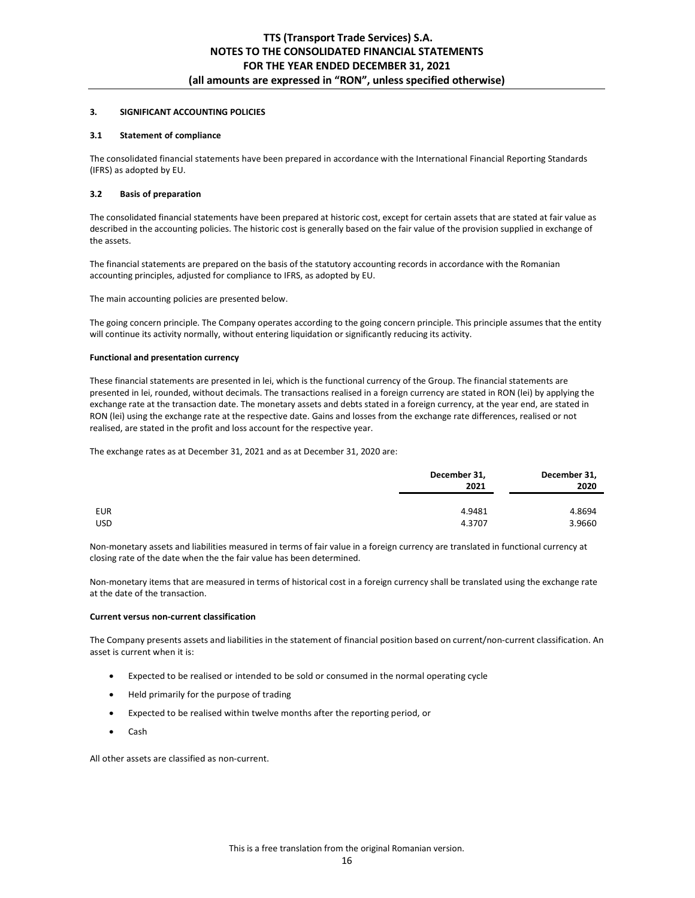### **3. SIGNIFICANT ACCOUNTING POLICIES**

### **3.1 Statement of compliance**

The consolidated financial statements have been prepared in accordance with the International Financial Reporting Standards (IFRS) as adopted by EU.

### **3.2 Basis of preparation**

The consolidated financial statements have been prepared at historic cost, except for certain assets that are stated at fair value as described in the accounting policies. The historic cost is generally based on the fair value of the provision supplied in exchange of the assets.

The financial statements are prepared on the basis of the statutory accounting records in accordance with the Romanian accounting principles, adjusted for compliance to IFRS, as adopted by EU.

The main accounting policies are presented below.

The going concern principle. The Company operates according to the going concern principle. This principle assumes that the entity will continue its activity normally, without entering liquidation or significantly reducing its activity.

### **Functional and presentation currency**

These financial statements are presented in lei, which is the functional currency of the Group. The financial statements are presented in lei, rounded, without decimals. The transactions realised in a foreign currency are stated in RON (lei) by applying the exchange rate at the transaction date. The monetary assets and debts stated in a foreign currency, at the year end, are stated in RON (lei) using the exchange rate at the respective date. Gains and losses from the exchange rate differences, realised or not realised, are stated in the profit and loss account for the respective year.

The exchange rates as at December 31, 2021 and as at December 31, 2020 are:

|            | December 31,<br>2021 | December 31,<br>2020 |  |
|------------|----------------------|----------------------|--|
| EUR        | 4.9481               | 4.8694               |  |
| <b>USD</b> | 4.3707               | 3.9660               |  |

Non-monetary assets and liabilities measured in terms of fair value in a foreign currency are translated in functional currency at closing rate of the date when the the fair value has been determined.

Non-monetary items that are measured in terms of historical cost in a foreign currency shall be translated using the exchange rate at the date of the transaction.

#### **Current versus non-current classification**

The Company presents assets and liabilities in the statement of financial position based on current/non-current classification. An asset is current when it is:

- Expected to be realised or intended to be sold or consumed in the normal operating cycle
- Held primarily for the purpose of trading
- Expected to be realised within twelve months after the reporting period, or
- Cash

All other assets are classified as non-current.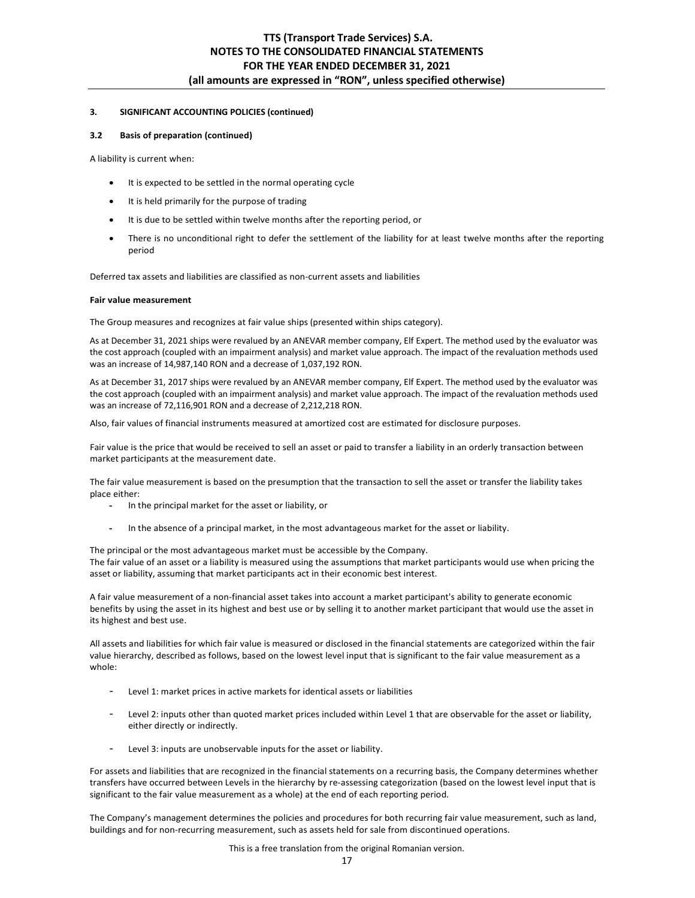### **3. SIGNIFICANT ACCOUNTING POLICIES (continued)**

### **3.2 Basis of preparation (continued)**

A liability is current when:

- It is expected to be settled in the normal operating cycle
- It is held primarily for the purpose of trading
- It is due to be settled within twelve months after the reporting period, or
- There is no unconditional right to defer the settlement of the liability for at least twelve months after the reporting period

Deferred tax assets and liabilities are classified as non-current assets and liabilities

#### **Fair value measurement**

The Group measures and recognizes at fair value ships (presented within ships category).

As at December 31, 2021 ships were revalued by an ANEVAR member company, Elf Expert. The method used by the evaluator was the cost approach (coupled with an impairment analysis) and market value approach. The impact of the revaluation methods used was an increase of 14,987,140 RON and a decrease of 1,037,192 RON.

As at December 31, 2017 ships were revalued by an ANEVAR member company, Elf Expert. The method used by the evaluator was the cost approach (coupled with an impairment analysis) and market value approach. The impact of the revaluation methods used was an increase of 72,116,901 RON and a decrease of 2,212,218 RON.

Also, fair values of financial instruments measured at amortized cost are estimated for disclosure purposes.

Fair value is the price that would be received to sell an asset or paid to transfer a liability in an orderly transaction between market participants at the measurement date.

The fair value measurement is based on the presumption that the transaction to sell the asset or transfer the liability takes place either:

- **-** In the principal market for the asset or liability, or
- **-** In the absence of a principal market, in the most advantageous market for the asset or liability.

The principal or the most advantageous market must be accessible by the Company. The fair value of an asset or a liability is measured using the assumptions that market participants would use when pricing the asset or liability, assuming that market participants act in their economic best interest.

A fair value measurement of a non-financial asset takes into account a market participant's ability to generate economic benefits by using the asset in its highest and best use or by selling it to another market participant that would use the asset in its highest and best use.

All assets and liabilities for which fair value is measured or disclosed in the financial statements are categorized within the fair value hierarchy, described as follows, based on the lowest level input that is significant to the fair value measurement as a whole:

- Level 1: market prices in active markets for identical assets or liabilities
- Level 2: inputs other than quoted market prices included within Level 1 that are observable for the asset or liability, either directly or indirectly.
- Level 3: inputs are unobservable inputs for the asset or liability.

For assets and liabilities that are recognized in the financial statements on a recurring basis, the Company determines whether transfers have occurred between Levels in the hierarchy by re-assessing categorization (based on the lowest level input that is significant to the fair value measurement as a whole) at the end of each reporting period.

The Company's management determines the policies and procedures for both recurring fair value measurement, such as land, buildings and for non-recurring measurement, such as assets held for sale from discontinued operations.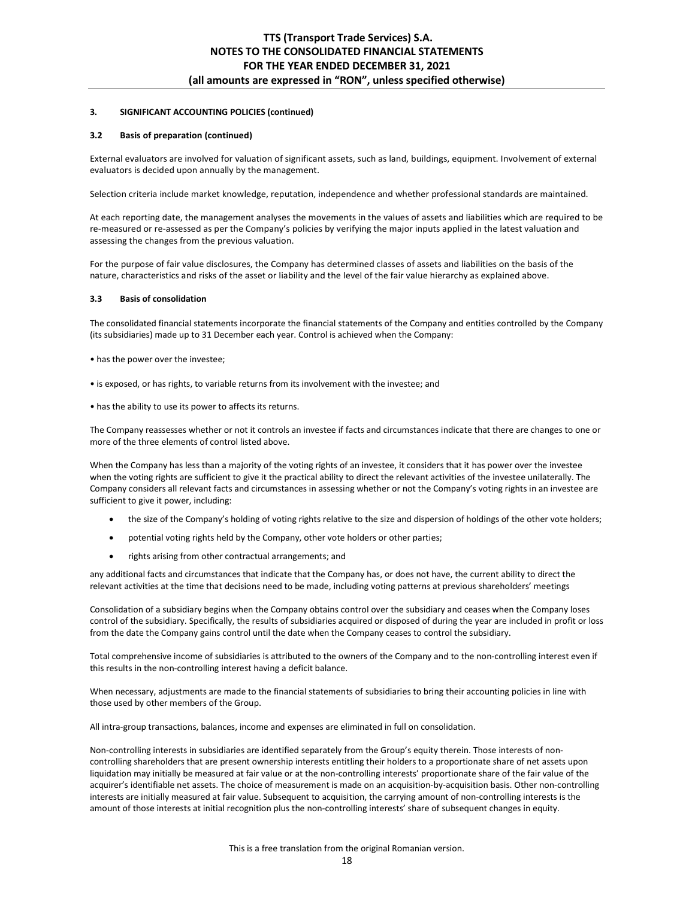#### **3.2 Basis of preparation (continued)**

External evaluators are involved for valuation of significant assets, such as land, buildings, equipment. Involvement of external evaluators is decided upon annually by the management.

Selection criteria include market knowledge, reputation, independence and whether professional standards are maintained.

At each reporting date, the management analyses the movements in the values of assets and liabilities which are required to be re-measured or re-assessed as per the Company's policies by verifying the major inputs applied in the latest valuation and assessing the changes from the previous valuation.

For the purpose of fair value disclosures, the Company has determined classes of assets and liabilities on the basis of the nature, characteristics and risks of the asset or liability and the level of the fair value hierarchy as explained above.

#### **3.3 Basis of consolidation**

The consolidated financial statements incorporate the financial statements of the Company and entities controlled by the Company (its subsidiaries) made up to 31 December each year. Control is achieved when the Company:

- has the power over the investee;
- is exposed, or has rights, to variable returns from its involvement with the investee; and
- has the ability to use its power to affects its returns.

The Company reassesses whether or not it controls an investee if facts and circumstances indicate that there are changes to one or more of the three elements of control listed above.

When the Company has less than a majority of the voting rights of an investee, it considers that it has power over the investee when the voting rights are sufficient to give it the practical ability to direct the relevant activities of the investee unilaterally. The Company considers all relevant facts and circumstances in assessing whether or not the Company's voting rights in an investee are sufficient to give it power, including:

- the size of the Company's holding of voting rights relative to the size and dispersion of holdings of the other vote holders;
- potential voting rights held by the Company, other vote holders or other parties;
- rights arising from other contractual arrangements; and

any additional facts and circumstances that indicate that the Company has, or does not have, the current ability to direct the relevant activities at the time that decisions need to be made, including voting patterns at previous shareholders' meetings

Consolidation of a subsidiary begins when the Company obtains control over the subsidiary and ceases when the Company loses control of the subsidiary. Specifically, the results of subsidiaries acquired or disposed of during the year are included in profit or loss from the date the Company gains control until the date when the Company ceases to control the subsidiary.

Total comprehensive income of subsidiaries is attributed to the owners of the Company and to the non-controlling interest even if this results in the non-controlling interest having a deficit balance.

When necessary, adjustments are made to the financial statements of subsidiaries to bring their accounting policies in line with those used by other members of the Group.

All intra-group transactions, balances, income and expenses are eliminated in full on consolidation.

Non-controlling interests in subsidiaries are identified separately from the Group's equity therein. Those interests of noncontrolling shareholders that are present ownership interests entitling their holders to a proportionate share of net assets upon liquidation may initially be measured at fair value or at the non-controlling interests' proportionate share of the fair value of the acquirer's identifiable net assets. The choice of measurement is made on an acquisition-by-acquisition basis. Other non-controlling interests are initially measured at fair value. Subsequent to acquisition, the carrying amount of non-controlling interests is the amount of those interests at initial recognition plus the non-controlling interests' share of subsequent changes in equity.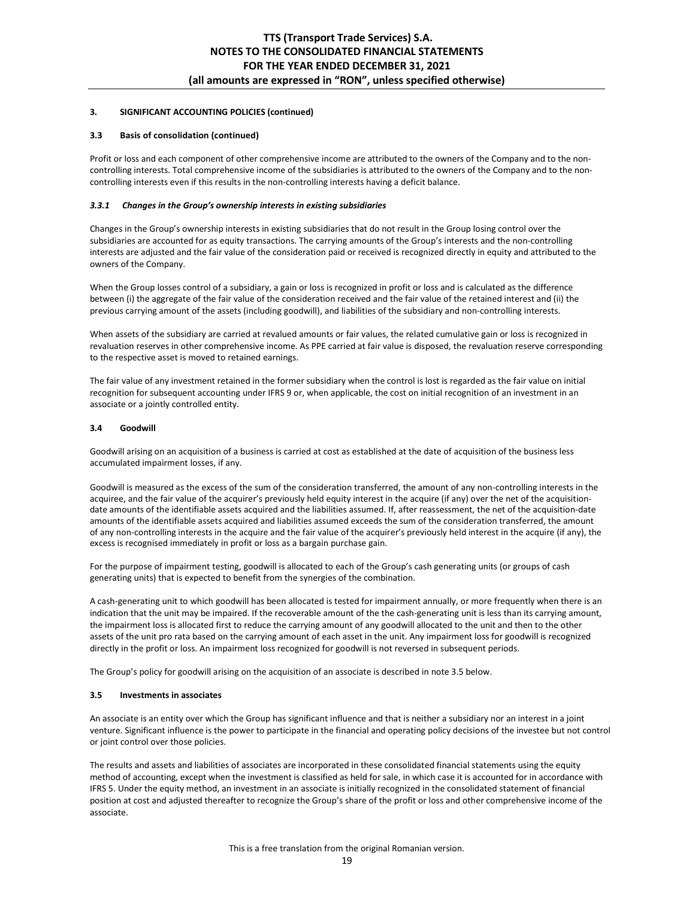### **3.3 Basis of consolidation (continued)**

Profit or loss and each component of other comprehensive income are attributed to the owners of the Company and to the noncontrolling interests. Total comprehensive income of the subsidiaries is attributed to the owners of the Company and to the noncontrolling interests even if this results in the non-controlling interests having a deficit balance.

### *3.3.1 Changes in the Group's ownership interests in existing subsidiaries*

Changes in the Group's ownership interests in existing subsidiaries that do not result in the Group losing control over the subsidiaries are accounted for as equity transactions. The carrying amounts of the Group's interests and the non-controlling interests are adjusted and the fair value of the consideration paid or received is recognized directly in equity and attributed to the owners of the Company.

When the Group losses control of a subsidiary, a gain or loss is recognized in profit or loss and is calculated as the difference between (i) the aggregate of the fair value of the consideration received and the fair value of the retained interest and (ii) the previous carrying amount of the assets (including goodwill), and liabilities of the subsidiary and non-controlling interests.

When assets of the subsidiary are carried at revalued amounts or fair values, the related cumulative gain or loss is recognized in revaluation reserves in other comprehensive income. As PPE carried at fair value is disposed, the revaluation reserve corresponding to the respective asset is moved to retained earnings.

The fair value of any investment retained in the former subsidiary when the control is lost is regarded as the fair value on initial recognition for subsequent accounting under IFRS 9 or, when applicable, the cost on initial recognition of an investment in an associate or a jointly controlled entity.

### **3.4 Goodwill**

Goodwill arising on an acquisition of a business is carried at cost as established at the date of acquisition of the business less accumulated impairment losses, if any.

Goodwill is measured as the excess of the sum of the consideration transferred, the amount of any non-controlling interests in the acquiree, and the fair value of the acquirer's previously held equity interest in the acquire (if any) over the net of the acquisitiondate amounts of the identifiable assets acquired and the liabilities assumed. If, after reassessment, the net of the acquisition-date amounts of the identifiable assets acquired and liabilities assumed exceeds the sum of the consideration transferred, the amount of any non-controlling interests in the acquire and the fair value of the acquirer's previously held interest in the acquire (if any), the excess is recognised immediately in profit or loss as a bargain purchase gain.

For the purpose of impairment testing, goodwill is allocated to each of the Group's cash generating units (or groups of cash generating units) that is expected to benefit from the synergies of the combination.

A cash-generating unit to which goodwill has been allocated is tested for impairment annually, or more frequently when there is an indication that the unit may be impaired. If the recoverable amount of the the cash-generating unit is less than its carrying amount, the impairment loss is allocated first to reduce the carrying amount of any goodwill allocated to the unit and then to the other assets of the unit pro rata based on the carrying amount of each asset in the unit. Any impairment loss for goodwill is recognized directly in the profit or loss. An impairment loss recognized for goodwill is not reversed in subsequent periods.

The Group's policy for goodwill arising on the acquisition of an associate is described in note 3.5 below.

## **3.5 Investments in associates**

An associate is an entity over which the Group has significant influence and that is neither a subsidiary nor an interest in a joint venture. Significant influence is the power to participate in the financial and operating policy decisions of the investee but not control or joint control over those policies.

The results and assets and liabilities of associates are incorporated in these consolidated financial statements using the equity method of accounting, except when the investment is classified as held for sale, in which case it is accounted for in accordance with IFRS 5. Under the equity method, an investment in an associate is initially recognized in the consolidated statement of financial position at cost and adjusted thereafter to recognize the Group's share of the profit or loss and other comprehensive income of the associate.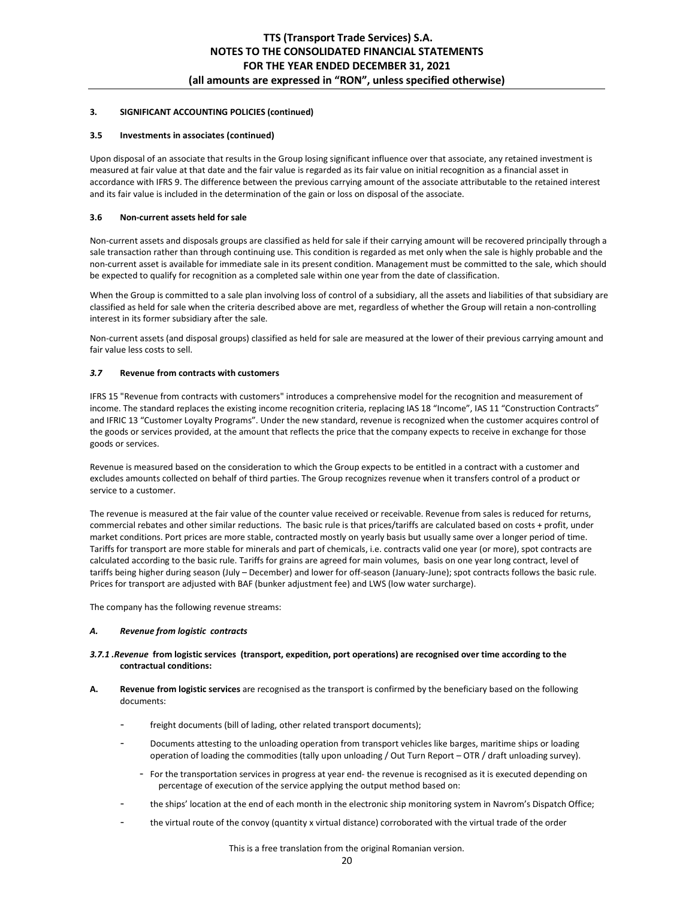## **3.5 Investments in associates (continued)**

Upon disposal of an associate that results in the Group losing significant influence over that associate, any retained investment is measured at fair value at that date and the fair value is regarded as its fair value on initial recognition as a financial asset in accordance with IFRS 9. The difference between the previous carrying amount of the associate attributable to the retained interest and its fair value is included in the determination of the gain or loss on disposal of the associate.

## **3.6 Non-current assets held for sale**

Non-current assets and disposals groups are classified as held for sale if their carrying amount will be recovered principally through a sale transaction rather than through continuing use. This condition is regarded as met only when the sale is highly probable and the non-current asset is available for immediate sale in its present condition. Management must be committed to the sale, which should be expected to qualify for recognition as a completed sale within one year from the date of classification.

When the Group is committed to a sale plan involving loss of control of a subsidiary, all the assets and liabilities of that subsidiary are classified as held for sale when the criteria described above are met, regardless of whether the Group will retain a non-controlling interest in its former subsidiary after the sale.

Non-current assets (and disposal groups) classified as held for sale are measured at the lower of their previous carrying amount and fair value less costs to sell.

### *3.7* **Revenue from contracts with customers**

IFRS 15 "Revenue from contracts with customers" introduces a comprehensive model for the recognition and measurement of income. The standard replaces the existing income recognition criteria, replacing IAS 18 "Income", IAS 11 "Construction Contracts" and IFRIC 13 "Customer Loyalty Programs". Under the new standard, revenue is recognized when the customer acquires control of the goods or services provided, at the amount that reflects the price that the company expects to receive in exchange for those goods or services.

Revenue is measured based on the consideration to which the Group expects to be entitled in a contract with a customer and excludes amounts collected on behalf of third parties. The Group recognizes revenue when it transfers control of a product or service to a customer.

The revenue is measured at the fair value of the counter value received or receivable. Revenue from sales is reduced for returns, commercial rebates and other similar reductions. The basic rule is that prices/tariffs are calculated based on costs + profit, under market conditions. Port prices are more stable, contracted mostly on yearly basis but usually same over a longer period of time. Tariffs for transport are more stable for minerals and part of chemicals, i.e. contracts valid one year (or more), spot contracts are calculated according to the basic rule. Tariffs for grains are agreed for main volumes, basis on one year long contract, level of tariffs being higher during season (July – December) and lower for off-season (January-June); spot contracts follows the basic rule. Prices for transport are adjusted with BAF (bunker adjustment fee) and LWS (low water surcharge).

The company has the following revenue streams:

#### *A. Revenue from logistic contracts*

## *3.7.1 .Revenue* **from logistic services (transport, expedition, port operations) are recognised over time according to the contractual conditions:**

- **A. Revenue from logistic services** are recognised as the transport is confirmed by the beneficiary based on the following documents:
	- freight documents (bill of lading, other related transport documents);
	- Documents attesting to the unloading operation from transport vehicles like barges, maritime ships or loading operation of loading the commodities (tally upon unloading / Out Turn Report – OTR / draft unloading survey).
		- For the transportation services in progress at year end- the revenue is recognised as it is executed depending on percentage of execution of the service applying the output method based on:
	- the ships' location at the end of each month in the electronic ship monitoring system in Navrom's Dispatch Office;
	- the virtual route of the convoy (quantity x virtual distance) corroborated with the virtual trade of the order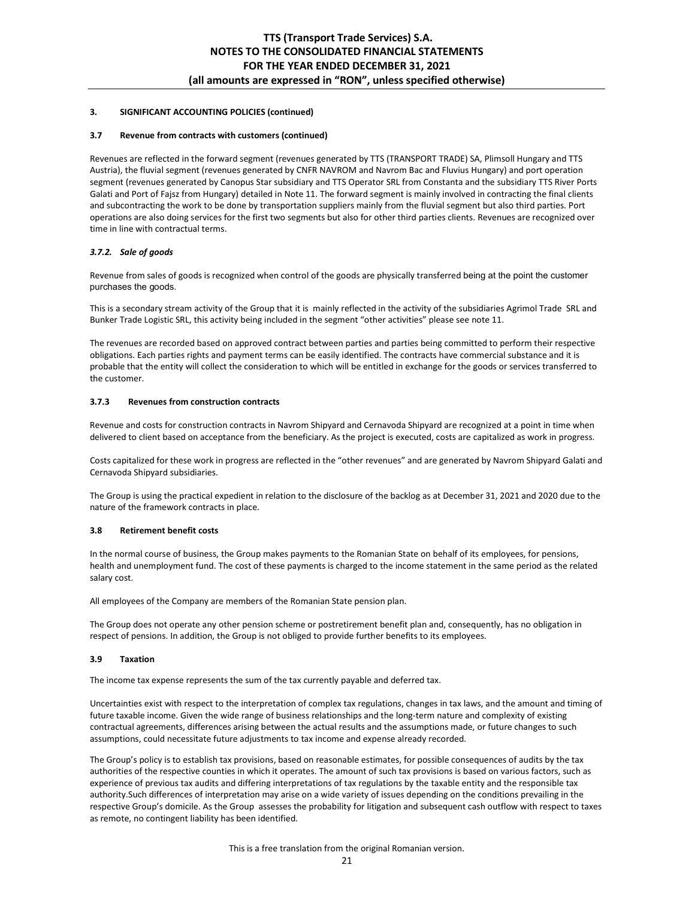### **3.7 Revenue from contracts with customers (continued)**

Revenues are reflected in the forward segment (revenues generated by TTS (TRANSPORT TRADE) SA, Plimsoll Hungary and TTS Austria), the fluvial segment (revenues generated by CNFR NAVROM and Navrom Bac and Fluvius Hungary) and port operation segment (revenues generated by Canopus Star subsidiary and TTS Operator SRL from Constanta and the subsidiary TTS River Ports Galati and Port of Fajsz from Hungary) detailed in Note 11. The forward segment is mainly involved in contracting the final clients and subcontracting the work to be done by transportation suppliers mainly from the fluvial segment but also third parties. Port operations are also doing services for the first two segments but also for other third parties clients. Revenues are recognized over time in line with contractual terms.

## *3.7.2. Sale of goods*

Revenue from sales of goods is recognized when control of the goods are physically transferred being at the point the customer purchases the goods.

This is a secondary stream activity of the Group that it is mainly reflected in the activity of the subsidiaries Agrimol Trade SRL and Bunker Trade Logistic SRL, this activity being included in the segment "other activities" please see note 11.

The revenues are recorded based on approved contract between parties and parties being committed to perform their respective obligations. Each parties rights and payment terms can be easily identified. The contracts have commercial substance and it is probable that the entity will collect the consideration to which will be entitled in exchange for the goods or services transferred to the customer.

## **3.7.3 Revenues from construction contracts**

Revenue and costs for construction contracts in Navrom Shipyard and Cernavoda Shipyard are recognized at a point in time when delivered to client based on acceptance from the beneficiary. As the project is executed, costs are capitalized as work in progress.

Costs capitalized for these work in progress are reflected in the "other revenues" and are generated by Navrom Shipyard Galati and Cernavoda Shipyard subsidiaries.

The Group is using the practical expedient in relation to the disclosure of the backlog as at December 31, 2021 and 2020 due to the nature of the framework contracts in place.

## **3.8 Retirement benefit costs**

In the normal course of business, the Group makes payments to the Romanian State on behalf of its employees, for pensions, health and unemployment fund. The cost of these payments is charged to the income statement in the same period as the related salary cost.

All employees of the Company are members of the Romanian State pension plan.

The Group does not operate any other pension scheme or postretirement benefit plan and, consequently, has no obligation in respect of pensions. In addition, the Group is not obliged to provide further benefits to its employees.

## **3.9 Taxation**

The income tax expense represents the sum of the tax currently payable and deferred tax.

Uncertainties exist with respect to the interpretation of complex tax regulations, changes in tax laws, and the amount and timing of future taxable income. Given the wide range of business relationships and the long-term nature and complexity of existing contractual agreements, differences arising between the actual results and the assumptions made, or future changes to such assumptions, could necessitate future adjustments to tax income and expense already recorded.

The Group's policy is to establish tax provisions, based on reasonable estimates, for possible consequences of audits by the tax authorities of the respective counties in which it operates. The amount of such tax provisions is based on various factors, such as experience of previous tax audits and differing interpretations of tax regulations by the taxable entity and the responsible tax authority.Such differences of interpretation may arise on a wide variety of issues depending on the conditions prevailing in the respective Group's domicile. As the Group assesses the probability for litigation and subsequent cash outflow with respect to taxes as remote, no contingent liability has been identified.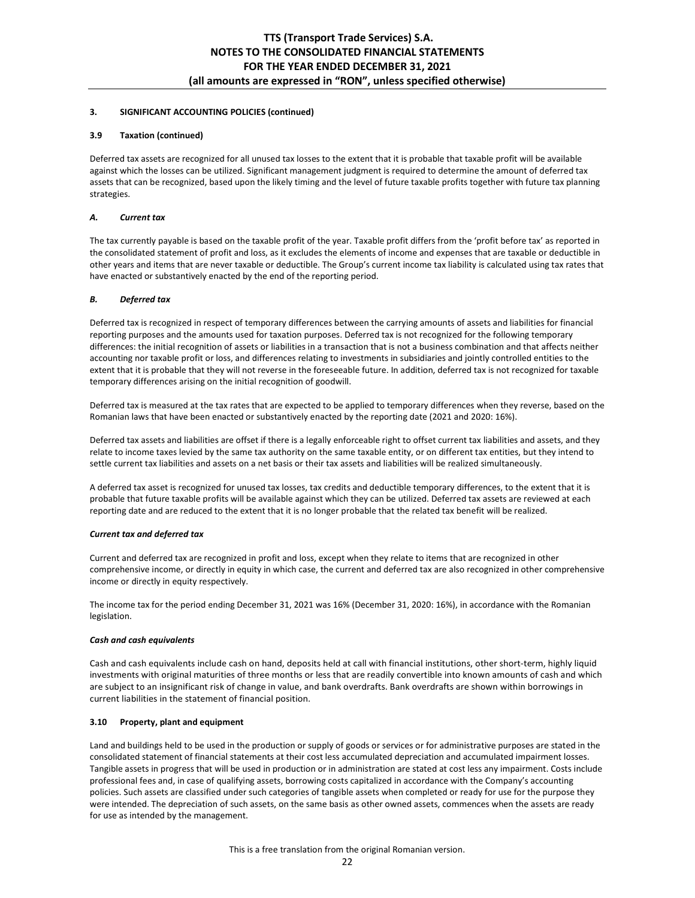## **3.9 Taxation (continued)**

Deferred tax assets are recognized for all unused tax losses to the extent that it is probable that taxable profit will be available against which the losses can be utilized. Significant management judgment is required to determine the amount of deferred tax assets that can be recognized, based upon the likely timing and the level of future taxable profits together with future tax planning strategies.

## *A. Current tax*

The tax currently payable is based on the taxable profit of the year. Taxable profit differs from the 'profit before tax' as reported in the consolidated statement of profit and loss, as it excludes the elements of income and expenses that are taxable or deductible in other years and items that are never taxable or deductible. The Group's current income tax liability is calculated using tax rates that have enacted or substantively enacted by the end of the reporting period.

## *B. Deferred tax*

Deferred tax is recognized in respect of temporary differences between the carrying amounts of assets and liabilities for financial reporting purposes and the amounts used for taxation purposes. Deferred tax is not recognized for the following temporary differences: the initial recognition of assets or liabilities in a transaction that is not a business combination and that affects neither accounting nor taxable profit or loss, and differences relating to investments in subsidiaries and jointly controlled entities to the extent that it is probable that they will not reverse in the foreseeable future. In addition, deferred tax is not recognized for taxable temporary differences arising on the initial recognition of goodwill.

Deferred tax is measured at the tax rates that are expected to be applied to temporary differences when they reverse, based on the Romanian laws that have been enacted or substantively enacted by the reporting date (2021 and 2020: 16%).

Deferred tax assets and liabilities are offset if there is a legally enforceable right to offset current tax liabilities and assets, and they relate to income taxes levied by the same tax authority on the same taxable entity, or on different tax entities, but they intend to settle current tax liabilities and assets on a net basis or their tax assets and liabilities will be realized simultaneously.

A deferred tax asset is recognized for unused tax losses, tax credits and deductible temporary differences, to the extent that it is probable that future taxable profits will be available against which they can be utilized. Deferred tax assets are reviewed at each reporting date and are reduced to the extent that it is no longer probable that the related tax benefit will be realized.

#### *Current tax and deferred tax*

Current and deferred tax are recognized in profit and loss, except when they relate to items that are recognized in other comprehensive income, or directly in equity in which case, the current and deferred tax are also recognized in other comprehensive income or directly in equity respectively.

The income tax for the period ending December 31, 2021 was 16% (December 31, 2020: 16%), in accordance with the Romanian legislation.

## *Cash and cash equivalents*

Cash and cash equivalents include cash on hand, deposits held at call with financial institutions, other short-term, highly liquid investments with original maturities of three months or less that are readily convertible into known amounts of cash and which are subject to an insignificant risk of change in value, and bank overdrafts. Bank overdrafts are shown within borrowings in current liabilities in the statement of financial position.

## **3.10 Property, plant and equipment**

Land and buildings held to be used in the production or supply of goods or services or for administrative purposes are stated in the consolidated statement of financial statements at their cost less accumulated depreciation and accumulated impairment losses. Tangible assets in progress that will be used in production or in administration are stated at cost less any impairment. Costs include professional fees and, in case of qualifying assets, borrowing costs capitalized in accordance with the Company's accounting policies. Such assets are classified under such categories of tangible assets when completed or ready for use for the purpose they were intended. The depreciation of such assets, on the same basis as other owned assets, commences when the assets are ready for use as intended by the management.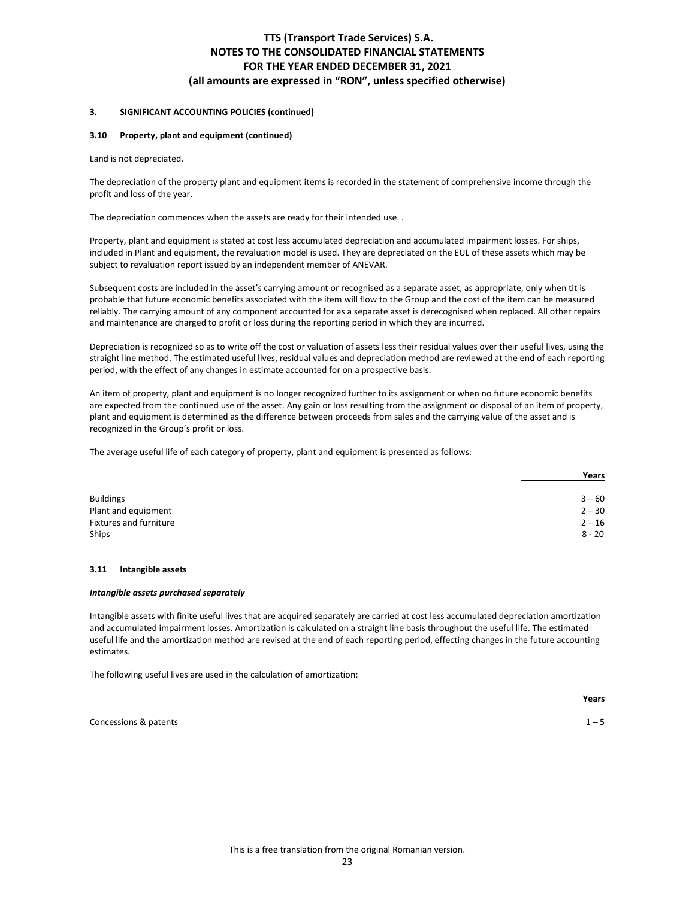#### **3.10 Property, plant and equipment (continued)**

Land is not depreciated.

The depreciation of the property plant and equipment items is recorded in the statement of comprehensive income through the profit and loss of the year.

The depreciation commences when the assets are ready for their intended use. .

Property, plant and equipment is stated at cost less accumulated depreciation and accumulated impairment losses. For ships, included in Plant and equipment, the revaluation model is used. They are depreciated on the EUL of these assets which may be subject to revaluation report issued by an independent member of ANEVAR.

Subsequent costs are included in the asset's carrying amount or recognised as a separate asset, as appropriate, only when tit is probable that future economic benefits associated with the item will flow to the Group and the cost of the item can be measured reliably. The carrying amount of any component accounted for as a separate asset is derecognised when replaced. All other repairs and maintenance are charged to profit or loss during the reporting period in which they are incurred.

Depreciation is recognized so as to write off the cost or valuation of assets less their residual values over their useful lives, using the straight line method. The estimated useful lives, residual values and depreciation method are reviewed at the end of each reporting period, with the effect of any changes in estimate accounted for on a prospective basis.

An item of property, plant and equipment is no longer recognized further to its assignment or when no future economic benefits are expected from the continued use of the asset. Any gain or loss resulting from the assignment or disposal of an item of property, plant and equipment is determined as the difference between proceeds from sales and the carrying value of the asset and is recognized in the Group's profit or loss.

The average useful life of each category of property, plant and equipment is presented as follows:

|                        | Years    |
|------------------------|----------|
|                        |          |
| <b>Buildings</b>       | $3 - 60$ |
| Plant and equipment    | $2 - 30$ |
| Fixtures and furniture | $2 - 16$ |
| Ships                  | $8 - 20$ |

### **3.11 Intangible assets**

#### *Intangible assets purchased separately*

Intangible assets with finite useful lives that are acquired separately are carried at cost less accumulated depreciation amortization and accumulated impairment losses. Amortization is calculated on a straight line basis throughout the useful life. The estimated useful life and the amortization method are revised at the end of each reporting period, effecting changes in the future accounting estimates.

The following useful lives are used in the calculation of amortization:

*Means*  $\frac{1}{2}$  **Years**  $\frac{1}{2}$  **Years**  $\frac{1}{2}$  **Years**  $\frac{1}{2}$  **Years**  $\frac{1}{2}$  **Years**  $\frac{1}{2}$  **Years**  $\frac{1}{2}$  **Years**  $\frac{1}{2}$  **Years**  $\frac{1}{2}$  **Years**  $\frac{1}{2}$  **Years**  $\frac{1}{2}$  **Years**  $\frac{1}{2}$  **Yea** 

Concessions & patents **1** – 5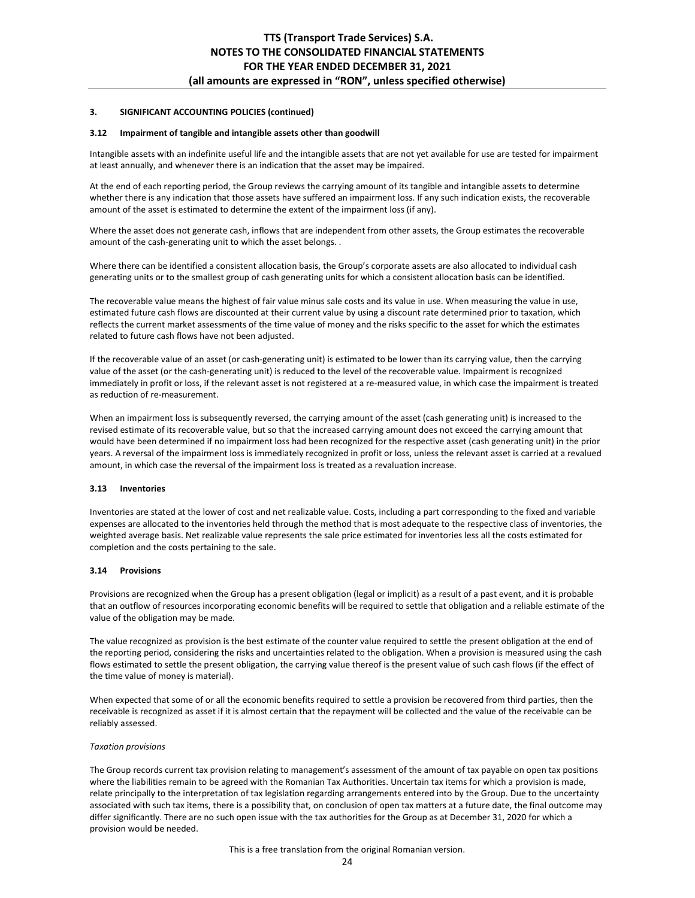#### **3.12 Impairment of tangible and intangible assets other than goodwill**

Intangible assets with an indefinite useful life and the intangible assets that are not yet available for use are tested for impairment at least annually, and whenever there is an indication that the asset may be impaired.

At the end of each reporting period, the Group reviews the carrying amount of its tangible and intangible assets to determine whether there is any indication that those assets have suffered an impairment loss. If any such indication exists, the recoverable amount of the asset is estimated to determine the extent of the impairment loss (if any).

Where the asset does not generate cash, inflows that are independent from other assets, the Group estimates the recoverable amount of the cash-generating unit to which the asset belongs. .

Where there can be identified a consistent allocation basis, the Group's corporate assets are also allocated to individual cash generating units or to the smallest group of cash generating units for which a consistent allocation basis can be identified.

The recoverable value means the highest of fair value minus sale costs and its value in use. When measuring the value in use, estimated future cash flows are discounted at their current value by using a discount rate determined prior to taxation, which reflects the current market assessments of the time value of money and the risks specific to the asset for which the estimates related to future cash flows have not been adjusted.

If the recoverable value of an asset (or cash-generating unit) is estimated to be lower than its carrying value, then the carrying value of the asset (or the cash-generating unit) is reduced to the level of the recoverable value. Impairment is recognized immediately in profit or loss, if the relevant asset is not registered at a re-measured value, in which case the impairment is treated as reduction of re-measurement.

When an impairment loss is subsequently reversed, the carrying amount of the asset (cash generating unit) is increased to the revised estimate of its recoverable value, but so that the increased carrying amount does not exceed the carrying amount that would have been determined if no impairment loss had been recognized for the respective asset (cash generating unit) in the prior years. A reversal of the impairment loss is immediately recognized in profit or loss, unless the relevant asset is carried at a revalued amount, in which case the reversal of the impairment loss is treated as a revaluation increase.

#### **3.13 Inventories**

Inventories are stated at the lower of cost and net realizable value. Costs, including a part corresponding to the fixed and variable expenses are allocated to the inventories held through the method that is most adequate to the respective class of inventories, the weighted average basis. Net realizable value represents the sale price estimated for inventories less all the costs estimated for completion and the costs pertaining to the sale.

#### **3.14 Provisions**

Provisions are recognized when the Group has a present obligation (legal or implicit) as a result of a past event, and it is probable that an outflow of resources incorporating economic benefits will be required to settle that obligation and a reliable estimate of the value of the obligation may be made.

The value recognized as provision is the best estimate of the counter value required to settle the present obligation at the end of the reporting period, considering the risks and uncertainties related to the obligation. When a provision is measured using the cash flows estimated to settle the present obligation, the carrying value thereof is the present value of such cash flows (if the effect of the time value of money is material).

When expected that some of or all the economic benefits required to settle a provision be recovered from third parties, then the receivable is recognized as asset if it is almost certain that the repayment will be collected and the value of the receivable can be reliably assessed.

#### *Taxation provisions*

The Group records current tax provision relating to management's assessment of the amount of tax payable on open tax positions where the liabilities remain to be agreed with the Romanian Tax Authorities. Uncertain tax items for which a provision is made, relate principally to the interpretation of tax legislation regarding arrangements entered into by the Group. Due to the uncertainty associated with such tax items, there is a possibility that, on conclusion of open tax matters at a future date, the final outcome may differ significantly. There are no such open issue with the tax authorities for the Group as at December 31, 2020 for which a provision would be needed.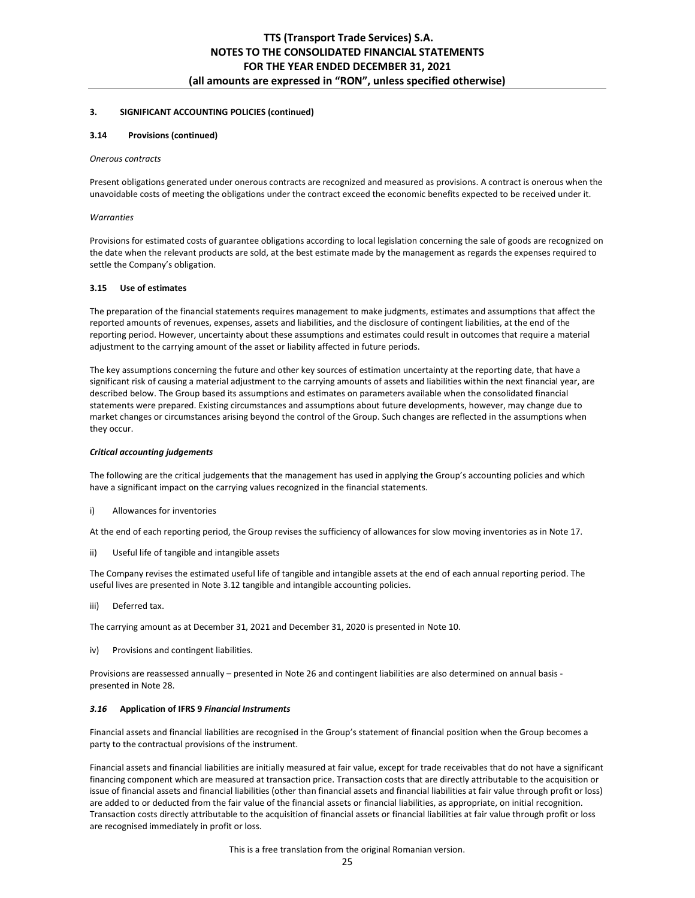#### **3.14 Provisions (continued)**

#### *Onerous contracts*

Present obligations generated under onerous contracts are recognized and measured as provisions. A contract is onerous when the unavoidable costs of meeting the obligations under the contract exceed the economic benefits expected to be received under it.

#### *Warranties*

Provisions for estimated costs of guarantee obligations according to local legislation concerning the sale of goods are recognized on the date when the relevant products are sold, at the best estimate made by the management as regards the expenses required to settle the Company's obligation.

#### **3.15 Use of estimates**

The preparation of the financial statements requires management to make judgments, estimates and assumptions that affect the reported amounts of revenues, expenses, assets and liabilities, and the disclosure of contingent liabilities, at the end of the reporting period. However, uncertainty about these assumptions and estimates could result in outcomes that require a material adjustment to the carrying amount of the asset or liability affected in future periods.

The key assumptions concerning the future and other key sources of estimation uncertainty at the reporting date, that have a significant risk of causing a material adjustment to the carrying amounts of assets and liabilities within the next financial year, are described below. The Group based its assumptions and estimates on parameters available when the consolidated financial statements were prepared. Existing circumstances and assumptions about future developments, however, may change due to market changes or circumstances arising beyond the control of the Group. Such changes are reflected in the assumptions when they occur.

#### *Critical accounting judgements*

The following are the critical judgements that the management has used in applying the Group's accounting policies and which have a significant impact on the carrying values recognized in the financial statements.

i) Allowances for inventories

At the end of each reporting period, the Group revises the sufficiency of allowances for slow moving inventories as in Note 17.

ii) Useful life of tangible and intangible assets

The Company revises the estimated useful life of tangible and intangible assets at the end of each annual reporting period. The useful lives are presented in Note 3.12 tangible and intangible accounting policies.

iii) Deferred tax.

The carrying amount as at December 31, 2021 and December 31, 2020 is presented in Note 10.

iv) Provisions and contingent liabilities.

Provisions are reassessed annually – presented in Note 26 and contingent liabilities are also determined on annual basis presented in Note 28.

#### *3.16* **Application of IFRS 9** *Financial Instruments*

Financial assets and financial liabilities are recognised in the Group's statement of financial position when the Group becomes a party to the contractual provisions of the instrument.

Financial assets and financial liabilities are initially measured at fair value, except for trade receivables that do not have a significant financing component which are measured at transaction price. Transaction costs that are directly attributable to the acquisition or issue of financial assets and financial liabilities (other than financial assets and financial liabilities at fair value through profit or loss) are added to or deducted from the fair value of the financial assets or financial liabilities, as appropriate, on initial recognition. Transaction costs directly attributable to the acquisition of financial assets or financial liabilities at fair value through profit or loss are recognised immediately in profit or loss.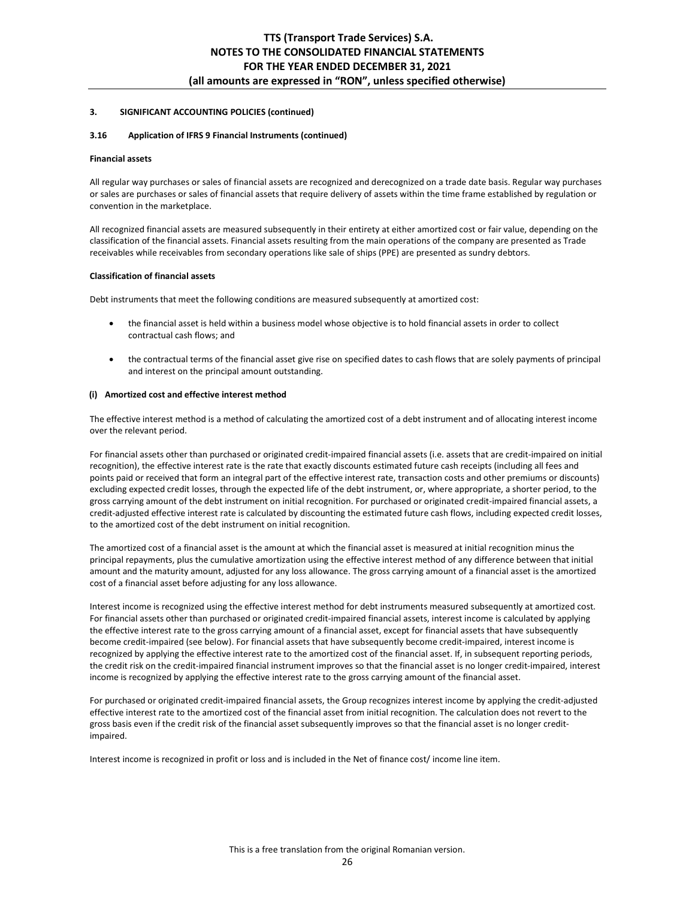### **3.16 Application of IFRS 9 Financial Instruments (continued)**

#### **Financial assets**

All regular way purchases or sales of financial assets are recognized and derecognized on a trade date basis. Regular way purchases or sales are purchases or sales of financial assets that require delivery of assets within the time frame established by regulation or convention in the marketplace.

All recognized financial assets are measured subsequently in their entirety at either amortized cost or fair value, depending on the classification of the financial assets. Financial assets resulting from the main operations of the company are presented as Trade receivables while receivables from secondary operations like sale of ships (PPE) are presented as sundry debtors.

### **Classification of financial assets**

Debt instruments that meet the following conditions are measured subsequently at amortized cost:

- the financial asset is held within a business model whose objective is to hold financial assets in order to collect contractual cash flows; and
- the contractual terms of the financial asset give rise on specified dates to cash flows that are solely payments of principal and interest on the principal amount outstanding.

### **(i) Amortized cost and effective interest method**

The effective interest method is a method of calculating the amortized cost of a debt instrument and of allocating interest income over the relevant period.

For financial assets other than purchased or originated credit-impaired financial assets (i.e. assets that are credit-impaired on initial recognition), the effective interest rate is the rate that exactly discounts estimated future cash receipts (including all fees and points paid or received that form an integral part of the effective interest rate, transaction costs and other premiums or discounts) excluding expected credit losses, through the expected life of the debt instrument, or, where appropriate, a shorter period, to the gross carrying amount of the debt instrument on initial recognition. For purchased or originated credit-impaired financial assets, a credit-adjusted effective interest rate is calculated by discounting the estimated future cash flows, including expected credit losses, to the amortized cost of the debt instrument on initial recognition.

The amortized cost of a financial asset is the amount at which the financial asset is measured at initial recognition minus the principal repayments, plus the cumulative amortization using the effective interest method of any difference between that initial amount and the maturity amount, adjusted for any loss allowance. The gross carrying amount of a financial asset is the amortized cost of a financial asset before adjusting for any loss allowance.

Interest income is recognized using the effective interest method for debt instruments measured subsequently at amortized cost. For financial assets other than purchased or originated credit-impaired financial assets, interest income is calculated by applying the effective interest rate to the gross carrying amount of a financial asset, except for financial assets that have subsequently become credit-impaired (see below). For financial assets that have subsequently become credit-impaired, interest income is recognized by applying the effective interest rate to the amortized cost of the financial asset. If, in subsequent reporting periods, the credit risk on the credit-impaired financial instrument improves so that the financial asset is no longer credit-impaired, interest income is recognized by applying the effective interest rate to the gross carrying amount of the financial asset.

For purchased or originated credit-impaired financial assets, the Group recognizes interest income by applying the credit-adjusted effective interest rate to the amortized cost of the financial asset from initial recognition. The calculation does not revert to the gross basis even if the credit risk of the financial asset subsequently improves so that the financial asset is no longer creditimpaired.

Interest income is recognized in profit or loss and is included in the Net of finance cost/ income line item.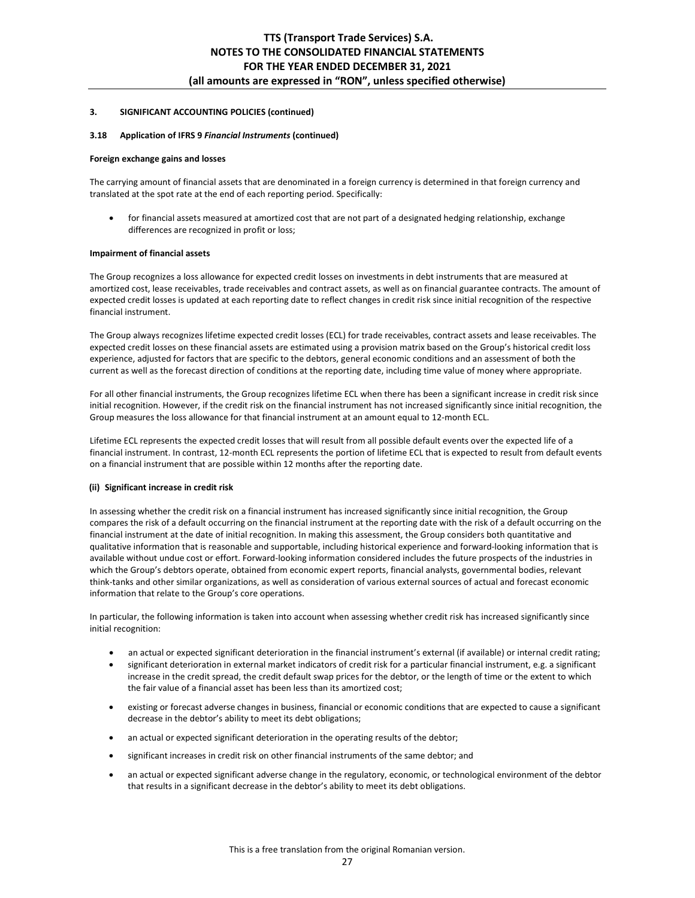## **3.18 Application of IFRS 9** *Financial Instruments* **(continued)**

#### **Foreign exchange gains and losses**

The carrying amount of financial assets that are denominated in a foreign currency is determined in that foreign currency and translated at the spot rate at the end of each reporting period. Specifically:

 for financial assets measured at amortized cost that are not part of a designated hedging relationship, exchange differences are recognized in profit or loss;

### **Impairment of financial assets**

The Group recognizes a loss allowance for expected credit losses on investments in debt instruments that are measured at amortized cost, lease receivables, trade receivables and contract assets, as well as on financial guarantee contracts. The amount of expected credit losses is updated at each reporting date to reflect changes in credit risk since initial recognition of the respective financial instrument.

The Group always recognizes lifetime expected credit losses (ECL) for trade receivables, contract assets and lease receivables. The expected credit losses on these financial assets are estimated using a provision matrix based on the Group's historical credit loss experience, adjusted for factors that are specific to the debtors, general economic conditions and an assessment of both the current as well as the forecast direction of conditions at the reporting date, including time value of money where appropriate.

For all other financial instruments, the Group recognizes lifetime ECL when there has been a significant increase in credit risk since initial recognition. However, if the credit risk on the financial instrument has not increased significantly since initial recognition, the Group measures the loss allowance for that financial instrument at an amount equal to 12-month ECL.

Lifetime ECL represents the expected credit losses that will result from all possible default events over the expected life of a financial instrument. In contrast, 12-month ECL represents the portion of lifetime ECL that is expected to result from default events on a financial instrument that are possible within 12 months after the reporting date.

#### **(ii) Significant increase in credit risk**

In assessing whether the credit risk on a financial instrument has increased significantly since initial recognition, the Group compares the risk of a default occurring on the financial instrument at the reporting date with the risk of a default occurring on the financial instrument at the date of initial recognition. In making this assessment, the Group considers both quantitative and qualitative information that is reasonable and supportable, including historical experience and forward-looking information that is available without undue cost or effort. Forward-looking information considered includes the future prospects of the industries in which the Group's debtors operate, obtained from economic expert reports, financial analysts, governmental bodies, relevant think-tanks and other similar organizations, as well as consideration of various external sources of actual and forecast economic information that relate to the Group's core operations.

In particular, the following information is taken into account when assessing whether credit risk has increased significantly since initial recognition:

- an actual or expected significant deterioration in the financial instrument's external (if available) or internal credit rating;
- significant deterioration in external market indicators of credit risk for a particular financial instrument, e.g. a significant increase in the credit spread, the credit default swap prices for the debtor, or the length of time or the extent to which the fair value of a financial asset has been less than its amortized cost;
- existing or forecast adverse changes in business, financial or economic conditions that are expected to cause a significant decrease in the debtor's ability to meet its debt obligations;
- an actual or expected significant deterioration in the operating results of the debtor;
- significant increases in credit risk on other financial instruments of the same debtor; and
- an actual or expected significant adverse change in the regulatory, economic, or technological environment of the debtor that results in a significant decrease in the debtor's ability to meet its debt obligations.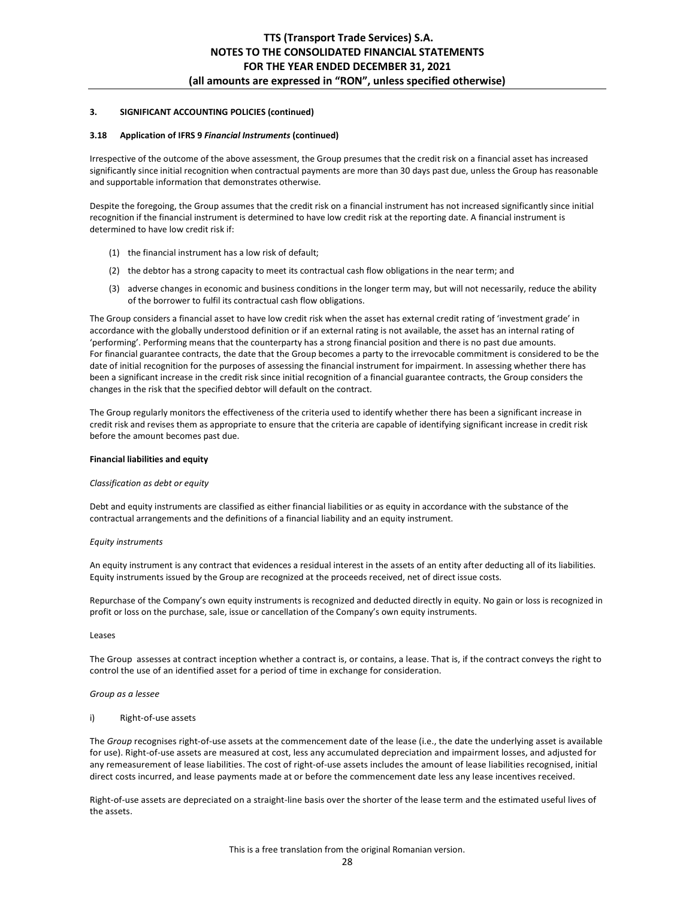#### **3.18 Application of IFRS 9** *Financial Instruments* **(continued)**

Irrespective of the outcome of the above assessment, the Group presumes that the credit risk on a financial asset has increased significantly since initial recognition when contractual payments are more than 30 days past due, unless the Group has reasonable and supportable information that demonstrates otherwise.

Despite the foregoing, the Group assumes that the credit risk on a financial instrument has not increased significantly since initial recognition if the financial instrument is determined to have low credit risk at the reporting date. A financial instrument is determined to have low credit risk if:

- (1) the financial instrument has a low risk of default;
- (2) the debtor has a strong capacity to meet its contractual cash flow obligations in the near term; and
- (3) adverse changes in economic and business conditions in the longer term may, but will not necessarily, reduce the ability of the borrower to fulfil its contractual cash flow obligations.

The Group considers a financial asset to have low credit risk when the asset has external credit rating of 'investment grade' in accordance with the globally understood definition or if an external rating is not available, the asset has an internal rating of 'performing'. Performing means that the counterparty has a strong financial position and there is no past due amounts. For financial guarantee contracts, the date that the Group becomes a party to the irrevocable commitment is considered to be the date of initial recognition for the purposes of assessing the financial instrument for impairment. In assessing whether there has been a significant increase in the credit risk since initial recognition of a financial guarantee contracts, the Group considers the changes in the risk that the specified debtor will default on the contract.

The Group regularly monitors the effectiveness of the criteria used to identify whether there has been a significant increase in credit risk and revises them as appropriate to ensure that the criteria are capable of identifying significant increase in credit risk before the amount becomes past due.

#### **Financial liabilities and equity**

#### *Classification as debt or equity*

Debt and equity instruments are classified as either financial liabilities or as equity in accordance with the substance of the contractual arrangements and the definitions of a financial liability and an equity instrument.

#### *Equity instruments*

An equity instrument is any contract that evidences a residual interest in the assets of an entity after deducting all of its liabilities. Equity instruments issued by the Group are recognized at the proceeds received, net of direct issue costs.

Repurchase of the Company's own equity instruments is recognized and deducted directly in equity. No gain or loss is recognized in profit or loss on the purchase, sale, issue or cancellation of the Company's own equity instruments.

#### Leases

The Group assesses at contract inception whether a contract is, or contains, a lease. That is, if the contract conveys the right to control the use of an identified asset for a period of time in exchange for consideration.

#### *Group as a lessee*

#### i) Right-of-use assets

The *Group* recognises right-of-use assets at the commencement date of the lease (i.e., the date the underlying asset is available for use). Right-of-use assets are measured at cost, less any accumulated depreciation and impairment losses, and adjusted for any remeasurement of lease liabilities. The cost of right-of-use assets includes the amount of lease liabilities recognised, initial direct costs incurred, and lease payments made at or before the commencement date less any lease incentives received.

Right-of-use assets are depreciated on a straight-line basis over the shorter of the lease term and the estimated useful lives of the assets.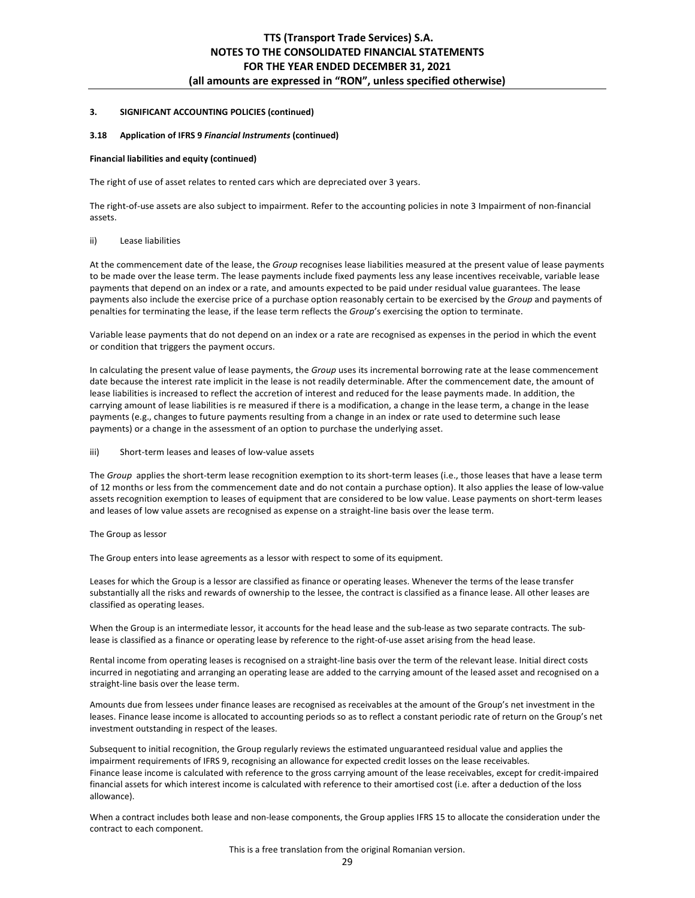## **3.18 Application of IFRS 9** *Financial Instruments* **(continued)**

#### **Financial liabilities and equity (continued)**

The right of use of asset relates to rented cars which are depreciated over 3 years.

The right-of-use assets are also subject to impairment. Refer to the accounting policies in note 3 Impairment of non-financial assets.

## ii) Lease liabilities

At the commencement date of the lease, the *Group* recognises lease liabilities measured at the present value of lease payments to be made over the lease term. The lease payments include fixed payments less any lease incentives receivable, variable lease payments that depend on an index or a rate, and amounts expected to be paid under residual value guarantees. The lease payments also include the exercise price of a purchase option reasonably certain to be exercised by the *Group* and payments of penalties for terminating the lease, if the lease term reflects the *Group*'s exercising the option to terminate.

Variable lease payments that do not depend on an index or a rate are recognised as expenses in the period in which the event or condition that triggers the payment occurs.

In calculating the present value of lease payments, the *Group* uses its incremental borrowing rate at the lease commencement date because the interest rate implicit in the lease is not readily determinable. After the commencement date, the amount of lease liabilities is increased to reflect the accretion of interest and reduced for the lease payments made. In addition, the carrying amount of lease liabilities is re measured if there is a modification, a change in the lease term, a change in the lease payments (e.g., changes to future payments resulting from a change in an index or rate used to determine such lease payments) or a change in the assessment of an option to purchase the underlying asset.

#### iii) Short-term leases and leases of low-value assets

The *Group* applies the short-term lease recognition exemption to its short-term leases (i.e., those leases that have a lease term of 12 months or less from the commencement date and do not contain a purchase option). It also applies the lease of low-value assets recognition exemption to leases of equipment that are considered to be low value. Lease payments on short-term leases and leases of low value assets are recognised as expense on a straight-line basis over the lease term.

#### The Group as lessor

The Group enters into lease agreements as a lessor with respect to some of its equipment.

Leases for which the Group is a lessor are classified as finance or operating leases. Whenever the terms of the lease transfer substantially all the risks and rewards of ownership to the lessee, the contract is classified as a finance lease. All other leases are classified as operating leases.

When the Group is an intermediate lessor, it accounts for the head lease and the sub-lease as two separate contracts. The sublease is classified as a finance or operating lease by reference to the right-of-use asset arising from the head lease.

Rental income from operating leases is recognised on a straight-line basis over the term of the relevant lease. Initial direct costs incurred in negotiating and arranging an operating lease are added to the carrying amount of the leased asset and recognised on a straight-line basis over the lease term.

Amounts due from lessees under finance leases are recognised as receivables at the amount of the Group's net investment in the leases. Finance lease income is allocated to accounting periods so as to reflect a constant periodic rate of return on the Group's net investment outstanding in respect of the leases.

Subsequent to initial recognition, the Group regularly reviews the estimated unguaranteed residual value and applies the impairment requirements of IFRS 9, recognising an allowance for expected credit losses on the lease receivables. Finance lease income is calculated with reference to the gross carrying amount of the lease receivables, except for credit-impaired financial assets for which interest income is calculated with reference to their amortised cost (i.e. after a deduction of the loss allowance).

When a contract includes both lease and non-lease components, the Group applies IFRS 15 to allocate the consideration under the contract to each component.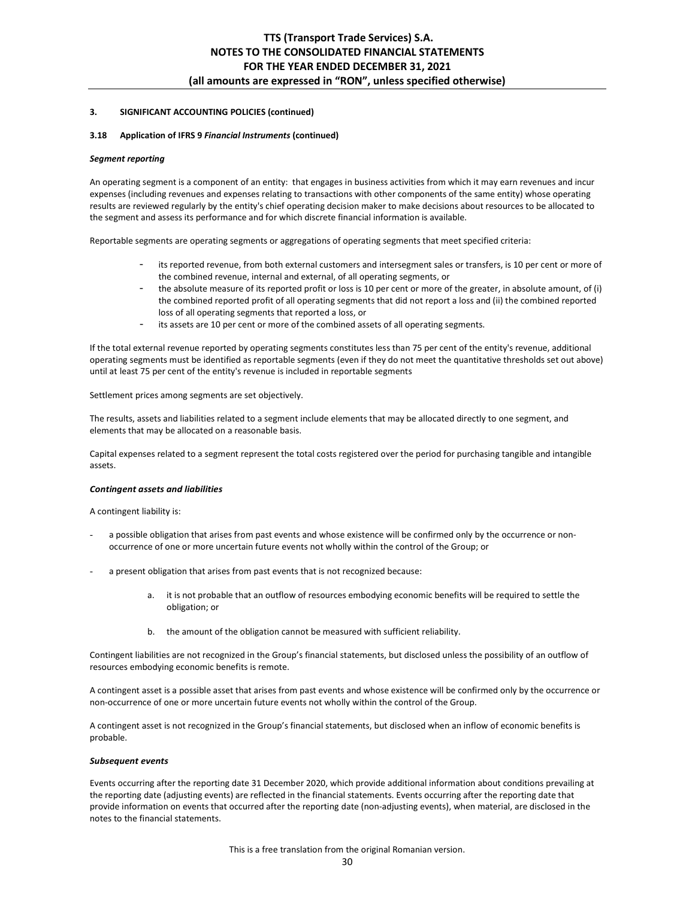#### **3.18 Application of IFRS 9** *Financial Instruments* **(continued)**

#### *Segment reporting*

An operating segment is a component of an entity: that engages in business activities from which it may earn revenues and incur expenses (including revenues and expenses relating to transactions with other components of the same entity) whose operating results are reviewed regularly by the entity's chief operating decision maker to make decisions about resources to be allocated to the segment and assess its performance and for which discrete financial information is available.

Reportable segments are operating segments or aggregations of operating segments that meet specified criteria:

- its reported revenue, from both external customers and intersegment sales or transfers, is 10 per cent or more of the combined revenue, internal and external, of all operating segments, or
- the absolute measure of its reported profit or loss is 10 per cent or more of the greater, in absolute amount, of (i) the combined reported profit of all operating segments that did not report a loss and (ii) the combined reported loss of all operating segments that reported a loss, or
- its assets are 10 per cent or more of the combined assets of all operating segments.

If the total external revenue reported by operating segments constitutes less than 75 per cent of the entity's revenue, additional operating segments must be identified as reportable segments (even if they do not meet the quantitative thresholds set out above) until at least 75 per cent of the entity's revenue is included in reportable segments

Settlement prices among segments are set objectively.

The results, assets and liabilities related to a segment include elements that may be allocated directly to one segment, and elements that may be allocated on a reasonable basis.

Capital expenses related to a segment represent the total costs registered over the period for purchasing tangible and intangible assets.

#### *Contingent assets and liabilities*

A contingent liability is:

- a possible obligation that arises from past events and whose existence will be confirmed only by the occurrence or nonoccurrence of one or more uncertain future events not wholly within the control of the Group; or
- a present obligation that arises from past events that is not recognized because:
	- a. it is not probable that an outflow of resources embodying economic benefits will be required to settle the obligation; or
	- b. the amount of the obligation cannot be measured with sufficient reliability.

Contingent liabilities are not recognized in the Group's financial statements, but disclosed unless the possibility of an outflow of resources embodying economic benefits is remote.

A contingent asset is a possible asset that arises from past events and whose existence will be confirmed only by the occurrence or non-occurrence of one or more uncertain future events not wholly within the control of the Group.

A contingent asset is not recognized in the Group's financial statements, but disclosed when an inflow of economic benefits is probable.

#### *Subsequent events*

Events occurring after the reporting date 31 December 2020, which provide additional information about conditions prevailing at the reporting date (adjusting events) are reflected in the financial statements. Events occurring after the reporting date that provide information on events that occurred after the reporting date (non-adjusting events), when material, are disclosed in the notes to the financial statements.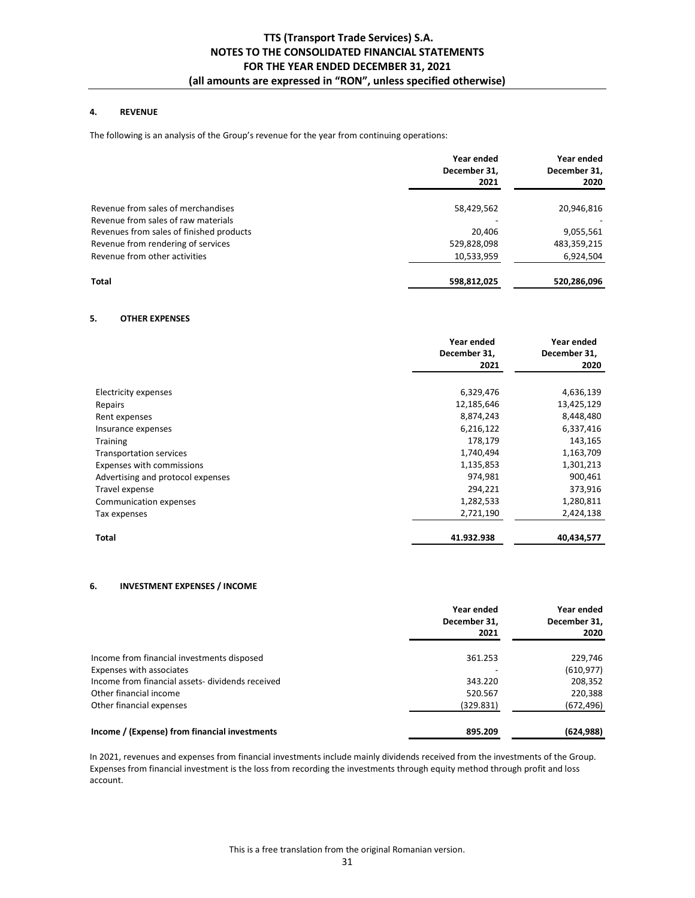## **4. REVENUE**

The following is an analysis of the Group's revenue for the year from continuing operations:

|                                          | Year ended<br>December 31,<br>2021 | Year ended<br>December 31,<br>2020 |
|------------------------------------------|------------------------------------|------------------------------------|
| Revenue from sales of merchandises       | 58,429,562                         | 20,946,816                         |
| Revenue from sales of raw materials      |                                    |                                    |
| Revenues from sales of finished products | 20,406                             | 9,055,561                          |
| Revenue from rendering of services       | 529,828,098                        | 483,359,215                        |
| Revenue from other activities            | 10,533,959                         | 6,924,504                          |
| <b>Total</b>                             | 598,812,025                        | 520,286,096                        |

## **5. OTHER EXPENSES**

|                                   | Year ended<br>December 31,<br>2021 | Year ended<br>December 31,<br>2020 |
|-----------------------------------|------------------------------------|------------------------------------|
| Electricity expenses              | 6,329,476                          | 4,636,139                          |
| Repairs                           | 12,185,646                         | 13,425,129                         |
| Rent expenses                     | 8,874,243                          | 8,448,480                          |
| Insurance expenses                | 6,216,122                          | 6,337,416                          |
| <b>Training</b>                   | 178,179                            | 143,165                            |
| <b>Transportation services</b>    | 1,740,494                          | 1,163,709                          |
| Expenses with commissions         | 1,135,853                          | 1,301,213                          |
| Advertising and protocol expenses | 974,981                            | 900,461                            |
| Travel expense                    | 294,221                            | 373,916                            |
| Communication expenses            | 1,282,533                          | 1,280,811                          |
| Tax expenses                      | 2,721,190                          | 2,424,138                          |
| Total                             | 41.932.938                         | 40,434,577                         |

## **6. INVESTMENT EXPENSES / INCOME**

|                                                  | Year ended<br>December 31,<br>2021 | Year ended<br>December 31,<br>2020 |
|--------------------------------------------------|------------------------------------|------------------------------------|
| Income from financial investments disposed       | 361.253                            | 229,746                            |
| Expenses with associates                         |                                    | (610, 977)                         |
| Income from financial assets- dividends received | 343.220                            | 208,352                            |
| Other financial income                           | 520.567                            | 220,388                            |
| Other financial expenses                         | (329.831)                          | (672, 496)                         |
| Income / (Expense) from financial investments    | 895.209                            | (624, 988)                         |

In 2021, revenues and expenses from financial investments include mainly dividends received from the investments of the Group. Expenses from financial investment is the loss from recording the investments through equity method through profit and loss account.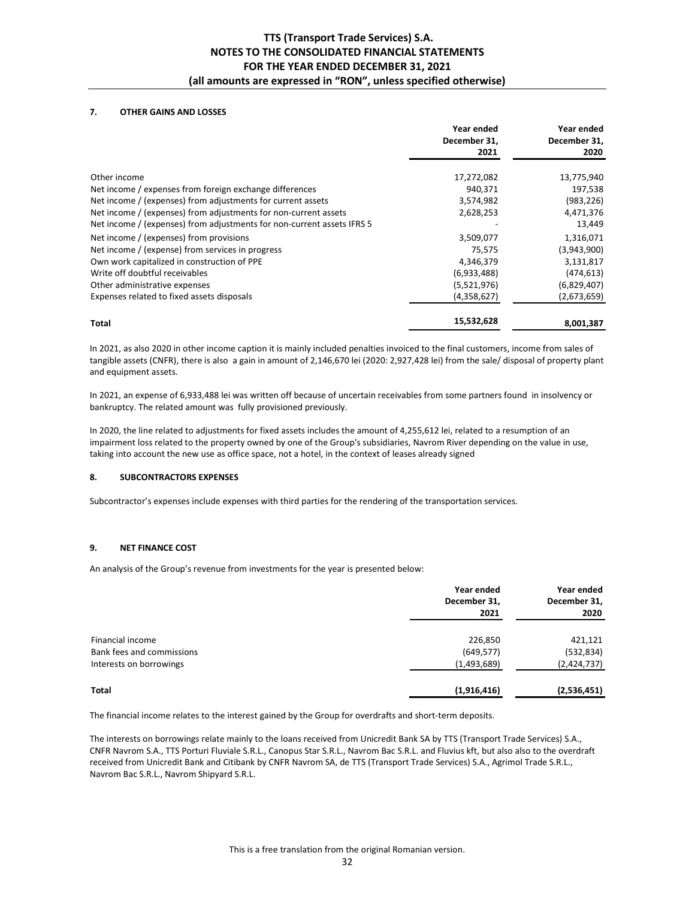## **7. OTHER GAINS AND LOSSES**

|                                                                        | Year ended<br>December 31,<br>2021 | Year ended<br>December 31,<br>2020 |
|------------------------------------------------------------------------|------------------------------------|------------------------------------|
| Other income                                                           | 17,272,082                         | 13,775,940                         |
| Net income / expenses from foreign exchange differences                | 940,371                            | 197,538                            |
| Net income / (expenses) from adjustments for current assets            | 3,574,982                          | (983, 226)                         |
| Net income / (expenses) from adjustments for non-current assets        | 2,628,253                          | 4,471,376                          |
| Net income / (expenses) from adjustments for non-current assets IFRS 5 |                                    | 13,449                             |
| Net income / (expenses) from provisions                                | 3,509,077                          | 1,316,071                          |
| Net income / (expense) from services in progress                       | 75,575                             | (3,943,900)                        |
| Own work capitalized in construction of PPE                            | 4,346,379                          | 3,131,817                          |
| Write off doubtful receivables                                         | (6,933,488)                        | (474, 613)                         |
| Other administrative expenses                                          | (5,521,976)                        | (6,829,407)                        |
| Expenses related to fixed assets disposals                             | (4,358,627)                        | (2,673,659)                        |
| <b>Total</b>                                                           | 15,532,628                         | 8,001,387                          |

In 2021, as also 2020 in other income caption it is mainly included penalties invoiced to the final customers, income from sales of tangible assets (CNFR), there is also a gain in amount of 2,146,670 lei (2020: 2,927,428 lei) from the sale/ disposal of property plant and equipment assets.

In 2021, an expense of 6,933,488 lei was written off because of uncertain receivables from some partners found in insolvency or bankruptcy. The related amount was fully provisioned previously.

In 2020, the line related to adjustments for fixed assets includes the amount of 4,255,612 lei, related to a resumption of an impairment loss related to the property owned by one of the Group's subsidiaries, Navrom River depending on the value in use, taking into account the new use as office space, not a hotel, in the context of leases already signed

## **8. SUBCONTRACTORS EXPENSES**

Subcontractor's expenses include expenses with third parties for the rendering of the transportation services.

## **9. NET FINANCE COST**

An analysis of the Group's revenue from investments for the year is presented below:

|                           | Year ended<br>December 31,<br>2021 | Year ended<br>December 31,<br>2020 |
|---------------------------|------------------------------------|------------------------------------|
| Financial income          | 226,850                            | 421,121                            |
| Bank fees and commissions | (649, 577)                         | (532, 834)                         |
| Interests on borrowings   | (1,493,689)                        | (2,424,737)                        |
| Total                     | (1,916,416)                        | (2,536,451)                        |

The financial income relates to the interest gained by the Group for overdrafts and short-term deposits.

The interests on borrowings relate mainly to the loans received from Unicredit Bank SA by TTS (Transport Trade Services) S.A., CNFR Navrom S.A., TTS Porturi Fluviale S.R.L., Canopus Star S.R.L., Navrom Bac S.R.L. and Fluvius kft, but also also to the overdraft received from Unicredit Bank and Citibank by CNFR Navrom SA, de TTS (Transport Trade Services) S.A., Agrimol Trade S.R.L., Navrom Bac S.R.L., Navrom Shipyard S.R.L.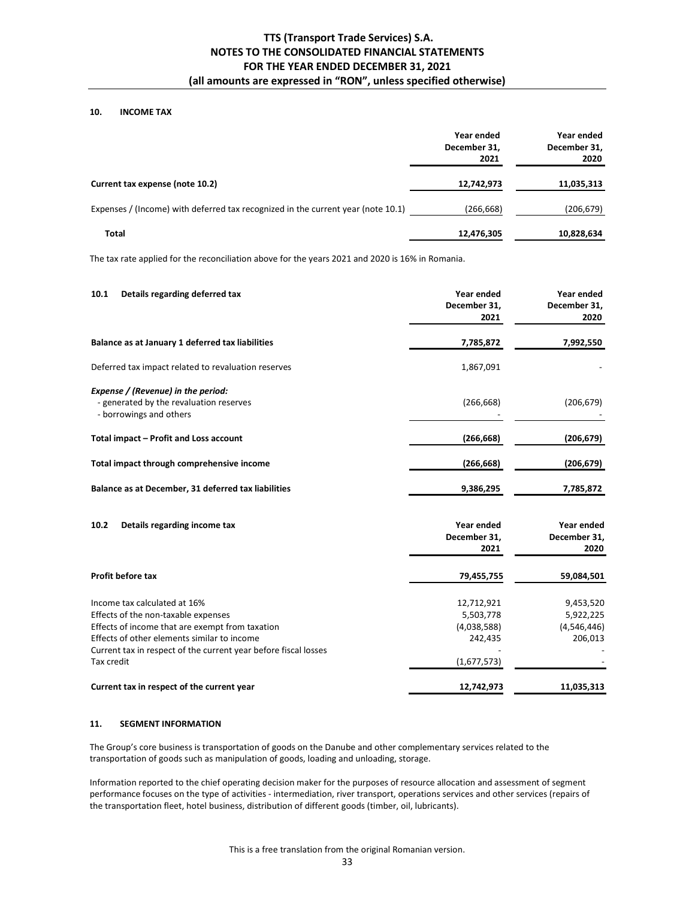## **10. INCOME TAX**

|                                                                                  | Year ended<br>December 31,<br>2021 | Year ended<br>December 31,<br>2020 |
|----------------------------------------------------------------------------------|------------------------------------|------------------------------------|
| Current tax expense (note 10.2)                                                  | 12,742,973                         | 11,035,313                         |
| Expenses / (Income) with deferred tax recognized in the current year (note 10.1) | (266, 668)                         | (206, 679)                         |
| Total                                                                            | 12,476,305                         | 10,828,634                         |

The tax rate applied for the reconciliation above for the years 2021 and 2020 is 16% in Romania.

| 10.1<br>Details regarding deferred tax                                                                   | Year ended<br>December 31,<br>2021 | Year ended<br>December 31,<br>2020 |
|----------------------------------------------------------------------------------------------------------|------------------------------------|------------------------------------|
| Balance as at January 1 deferred tax liabilities                                                         | 7,785,872                          | 7,992,550                          |
| Deferred tax impact related to revaluation reserves                                                      | 1,867,091                          |                                    |
| Expense / (Revenue) in the period:<br>- generated by the revaluation reserves<br>- borrowings and others | (266, 668)                         | (206, 679)                         |
| Total impact – Profit and Loss account                                                                   | (266, 668)                         | (206, 679)                         |
| Total impact through comprehensive income                                                                | (266, 668)                         | (206, 679)                         |
| Balance as at December, 31 deferred tax liabilities                                                      | 9,386,295                          | 7,785,872                          |
| 10.2<br>Details regarding income tax                                                                     | Year ended<br>December 31,         | Year ended<br>December 31,         |

|                                                                 | 2021        | 2020        |
|-----------------------------------------------------------------|-------------|-------------|
| <b>Profit before tax</b>                                        | 79,455,755  | 59,084,501  |
| Income tax calculated at 16%                                    | 12,712,921  | 9,453,520   |
| Effects of the non-taxable expenses                             | 5,503,778   | 5,922,225   |
| Effects of income that are exempt from taxation                 | (4,038,588) | (4,546,446) |
| Effects of other elements similar to income                     | 242.435     | 206.013     |
| Current tax in respect of the current year before fiscal losses |             |             |
| Tax credit                                                      | (1,677,573) |             |
| Current tax in respect of the current year                      | 12.742.973  | 11.035.313  |

## **11. SEGMENT INFORMATION**

The Group's core business is transportation of goods on the Danube and other complementary services related to the transportation of goods such as manipulation of goods, loading and unloading, storage.

Information reported to the chief operating decision maker for the purposes of resource allocation and assessment of segment performance focuses on the type of activities - intermediation, river transport, operations services and other services (repairs of the transportation fleet, hotel business, distribution of different goods (timber, oil, lubricants).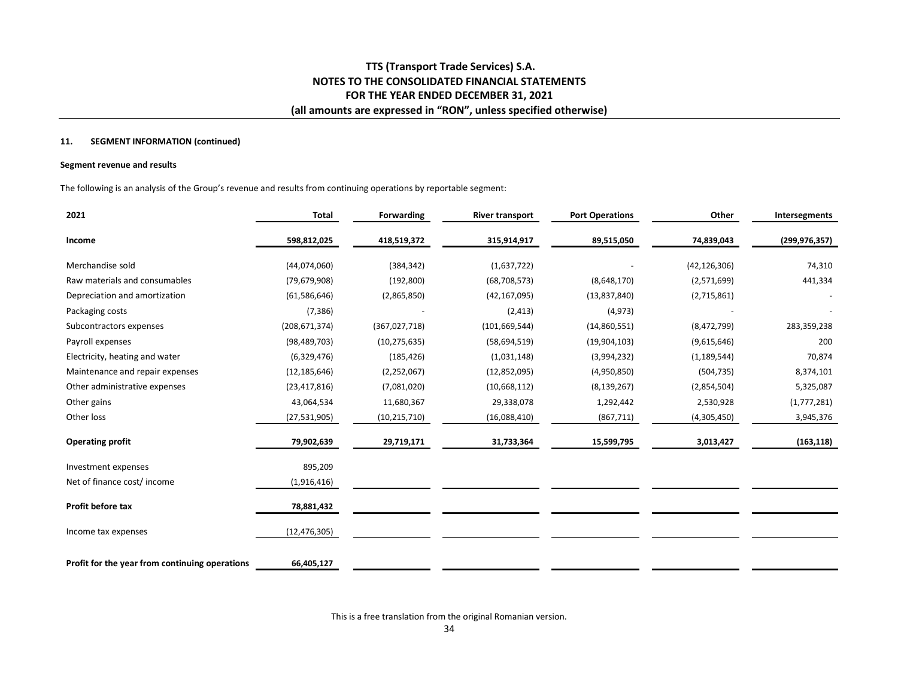#### **11. SEGMENT INFORMATION (continued)**

## **Segment revenue and results**

The following is an analysis of the Group's revenue and results from continuing operations by reportable segment:

| 2021                                           | <b>Total</b>    | Forwarding     | <b>River transport</b> | <b>Port Operations</b> | Other          | Intersegments   |
|------------------------------------------------|-----------------|----------------|------------------------|------------------------|----------------|-----------------|
| Income                                         | 598,812,025     | 418,519,372    | 315,914,917            | 89,515,050             | 74,839,043     | (299, 976, 357) |
| Merchandise sold                               | (44,074,060)    | (384, 342)     | (1,637,722)            |                        | (42, 126, 306) | 74,310          |
| Raw materials and consumables                  | (79, 679, 908)  | (192, 800)     | (68, 708, 573)         | (8,648,170)            | (2,571,699)    | 441,334         |
| Depreciation and amortization                  | (61,586,646)    | (2,865,850)    | (42, 167, 095)         | (13,837,840)           | (2,715,861)    |                 |
| Packaging costs                                | (7, 386)        |                | (2, 413)               | (4, 973)               |                |                 |
| Subcontractors expenses                        | (208, 671, 374) | (367,027,718)  | (101, 669, 544)        | (14,860,551)           | (8,472,799)    | 283,359,238     |
| Payroll expenses                               | (98, 489, 703)  | (10, 275, 635) | (58,694,519)           | (19,904,103)           | (9,615,646)    | 200             |
| Electricity, heating and water                 | (6,329,476)     | (185, 426)     | (1,031,148)            | (3,994,232)            | (1, 189, 544)  | 70,874          |
| Maintenance and repair expenses                | (12, 185, 646)  | (2, 252, 067)  | (12,852,095)           | (4,950,850)            | (504, 735)     | 8,374,101       |
| Other administrative expenses                  | (23, 417, 816)  | (7,081,020)    | (10,668,112)           | (8, 139, 267)          | (2,854,504)    | 5,325,087       |
| Other gains                                    | 43,064,534      | 11,680,367     | 29,338,078             | 1,292,442              | 2,530,928      | (1,777,281)     |
| Other loss                                     | (27,531,905)    | (10, 215, 710) | (16,088,410)           | (867, 711)             | (4,305,450)    | 3,945,376       |
| <b>Operating profit</b>                        | 79,902,639      | 29,719,171     | 31,733,364             | 15,599,795             | 3,013,427      | (163, 118)      |
| Investment expenses                            | 895,209         |                |                        |                        |                |                 |
| Net of finance cost/ income                    | (1,916,416)     |                |                        |                        |                |                 |
| Profit before tax                              | 78,881,432      |                |                        |                        |                |                 |
| Income tax expenses                            | (12,476,305)    |                |                        |                        |                |                 |
| Profit for the year from continuing operations | 66,405,127      |                |                        |                        |                |                 |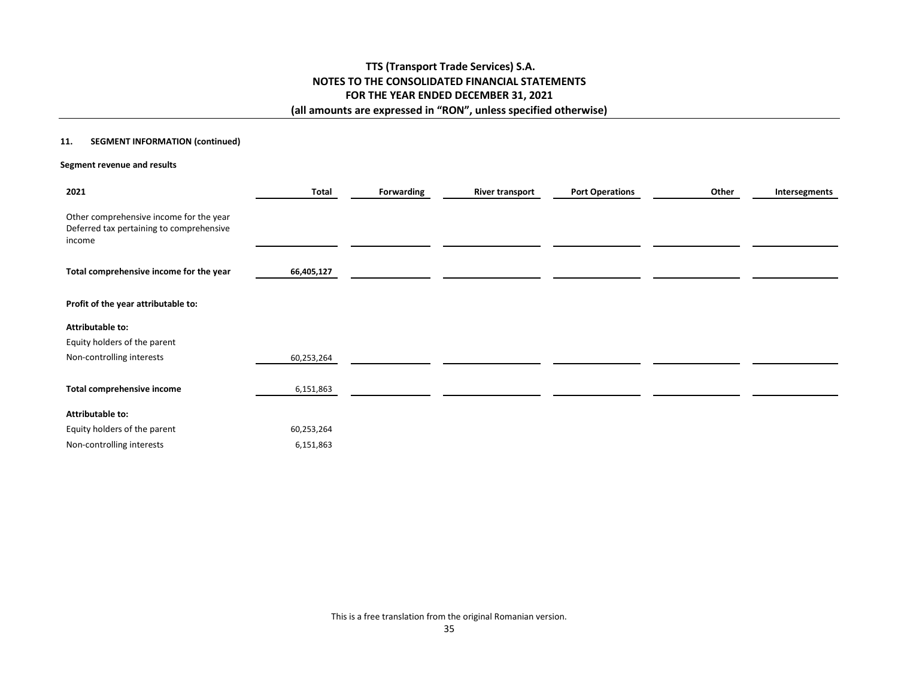## **11. SEGMENT INFORMATION (continued)**

### **Segment revenue and results**

| 2021                                                                                          | <b>Total</b> | Forwarding | <b>River transport</b> | <b>Port Operations</b> | Other | Intersegments |
|-----------------------------------------------------------------------------------------------|--------------|------------|------------------------|------------------------|-------|---------------|
| Other comprehensive income for the year<br>Deferred tax pertaining to comprehensive<br>income |              |            |                        |                        |       |               |
| Total comprehensive income for the year                                                       | 66,405,127   |            |                        |                        |       |               |
| Profit of the year attributable to:                                                           |              |            |                        |                        |       |               |
| Attributable to:                                                                              |              |            |                        |                        |       |               |
| Equity holders of the parent                                                                  |              |            |                        |                        |       |               |
| Non-controlling interests                                                                     | 60,253,264   |            |                        |                        |       |               |
| Total comprehensive income                                                                    | 6,151,863    |            |                        |                        |       |               |
|                                                                                               |              |            |                        |                        |       |               |
| Attributable to:                                                                              |              |            |                        |                        |       |               |
| Equity holders of the parent                                                                  | 60,253,264   |            |                        |                        |       |               |
| Non-controlling interests                                                                     | 6,151,863    |            |                        |                        |       |               |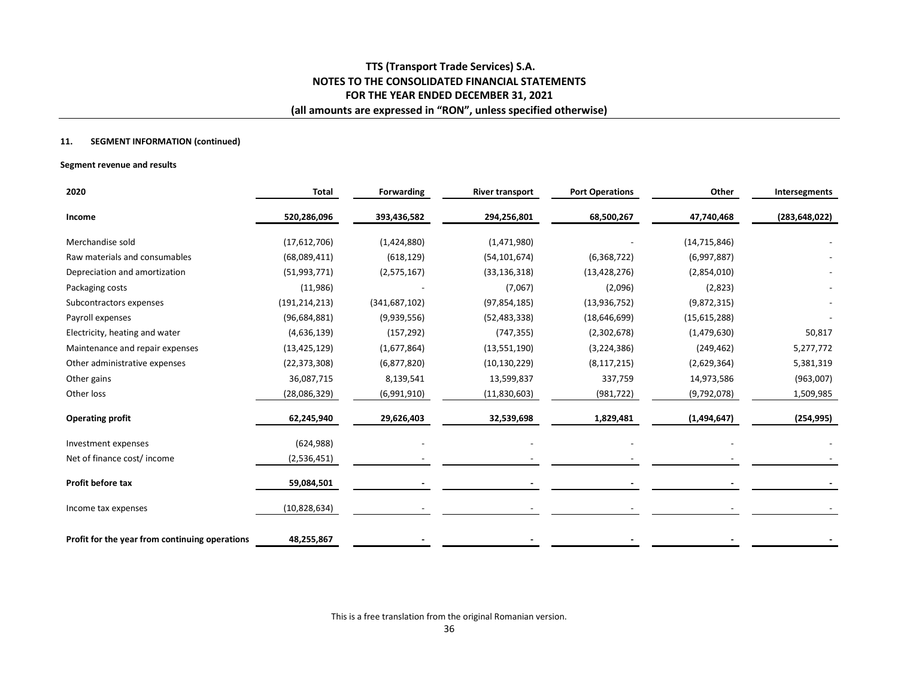## **11. SEGMENT INFORMATION (continued)**

### **Segment revenue and results**

| 2020                                           | <b>Total</b>    | Forwarding      | <b>River transport</b> | <b>Port Operations</b> | Other          | Intersegments   |
|------------------------------------------------|-----------------|-----------------|------------------------|------------------------|----------------|-----------------|
| Income                                         | 520,286,096     | 393,436,582     | 294,256,801            | 68,500,267             | 47,740,468     | (283, 648, 022) |
| Merchandise sold                               | (17,612,706)    | (1,424,880)     | (1,471,980)            |                        | (14, 715, 846) |                 |
| Raw materials and consumables                  | (68,089,411)    | (618, 129)      | (54, 101, 674)         | (6,368,722)            | (6,997,887)    |                 |
| Depreciation and amortization                  | (51,993,771)    | (2,575,167)     | (33, 136, 318)         | (13, 428, 276)         | (2,854,010)    |                 |
| Packaging costs                                | (11,986)        |                 | (7,067)                | (2,096)                | (2,823)        |                 |
| Subcontractors expenses                        | (191, 214, 213) | (341, 687, 102) | (97, 854, 185)         | (13,936,752)           | (9,872,315)    |                 |
| Payroll expenses                               | (96, 684, 881)  | (9,939,556)     | (52, 483, 338)         | (18,646,699)           | (15,615,288)   |                 |
| Electricity, heating and water                 | (4,636,139)     | (157, 292)      | (747, 355)             | (2,302,678)            | (1,479,630)    | 50,817          |
| Maintenance and repair expenses                | (13, 425, 129)  | (1,677,864)     | (13,551,190)           | (3,224,386)            | (249, 462)     | 5,277,772       |
| Other administrative expenses                  | (22, 373, 308)  | (6,877,820)     | (10, 130, 229)         | (8, 117, 215)          | (2,629,364)    | 5,381,319       |
| Other gains                                    | 36,087,715      | 8,139,541       | 13,599,837             | 337,759                | 14,973,586     | (963,007)       |
| Other loss                                     | (28,086,329)    | (6,991,910)     | (11,830,603)           | (981, 722)             | (9,792,078)    | 1,509,985       |
| <b>Operating profit</b>                        | 62,245,940      | 29,626,403      | 32,539,698             | 1,829,481              | (1,494,647)    | (254, 995)      |
| Investment expenses                            | (624, 988)      |                 |                        |                        |                |                 |
| Net of finance cost/income                     | (2,536,451)     |                 |                        |                        |                |                 |
| Profit before tax                              | 59,084,501      |                 |                        |                        |                |                 |
| Income tax expenses                            | (10, 828, 634)  |                 |                        |                        |                |                 |
| Profit for the year from continuing operations | 48,255,867      |                 |                        |                        |                |                 |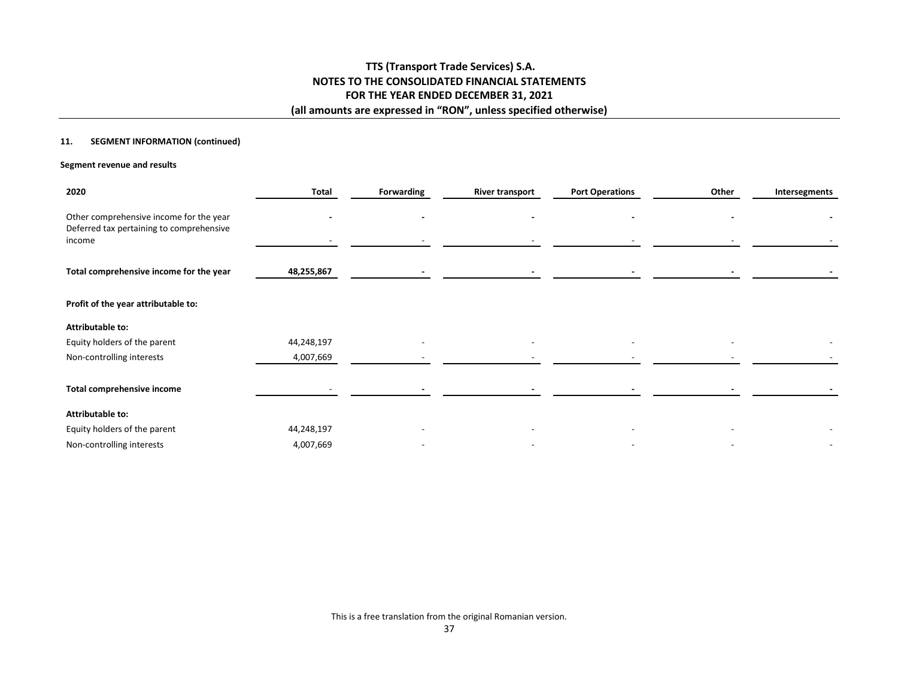## **11. SEGMENT INFORMATION (continued)**

### **Segment revenue and results**

| 2020                                                                                | <b>Total</b> | Forwarding | <b>River transport</b> | <b>Port Operations</b> | Other | Intersegments |
|-------------------------------------------------------------------------------------|--------------|------------|------------------------|------------------------|-------|---------------|
| Other comprehensive income for the year<br>Deferred tax pertaining to comprehensive |              |            |                        |                        |       |               |
| income                                                                              |              |            |                        |                        |       |               |
| Total comprehensive income for the year                                             | 48,255,867   |            |                        |                        |       |               |
| Profit of the year attributable to:                                                 |              |            |                        |                        |       |               |
| <b>Attributable to:</b>                                                             |              |            |                        |                        |       |               |
| Equity holders of the parent                                                        | 44,248,197   |            |                        |                        |       |               |
| Non-controlling interests                                                           | 4,007,669    |            |                        |                        |       |               |
|                                                                                     |              |            |                        |                        |       |               |
| Total comprehensive income                                                          |              |            |                        |                        |       |               |
| <b>Attributable to:</b>                                                             |              |            |                        |                        |       |               |
| Equity holders of the parent                                                        | 44,248,197   |            |                        |                        |       |               |
| Non-controlling interests                                                           | 4,007,669    |            |                        |                        |       |               |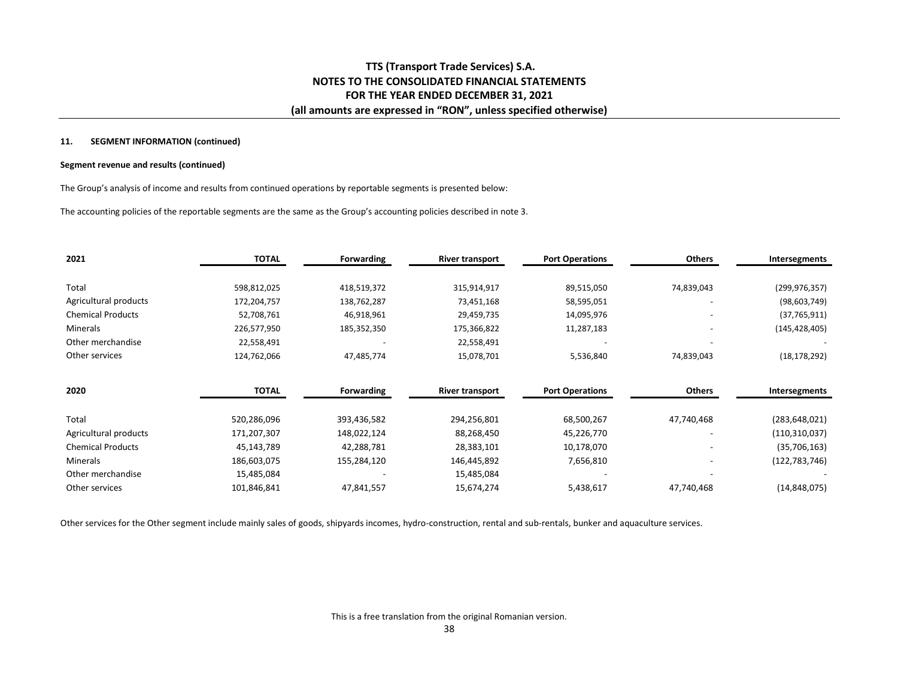#### **11. SEGMENT INFORMATION (continued)**

#### **Segment revenue and results (continued)**

The Group's analysis of income and results from continued operations by reportable segments is presented below:

The accounting policies of the reportable segments are the same as the Group's accounting policies described in note 3.

| 2021                     | <b>TOTAL</b> | <b>Forwarding</b> | <b>River transport</b> | <b>Port Operations</b> | <b>Others</b> | Intersegments   |
|--------------------------|--------------|-------------------|------------------------|------------------------|---------------|-----------------|
| Total                    | 598,812,025  |                   |                        |                        |               |                 |
|                          |              | 418,519,372       | 315,914,917            | 89,515,050             | 74,839,043    | (299, 976, 357) |
| Agricultural products    | 172,204,757  | 138,762,287       | 73,451,168             | 58,595,051             |               | (98, 603, 749)  |
| <b>Chemical Products</b> | 52,708,761   | 46,918,961        | 29,459,735             | 14,095,976             |               | (37,765,911)    |
| Minerals                 | 226,577,950  | 185,352,350       | 175,366,822            | 11,287,183             |               | (145, 428, 405) |
| Other merchandise        | 22,558,491   |                   | 22,558,491             |                        |               |                 |
| Other services           | 124,762,066  | 47,485,774        | 15,078,701             | 5,536,840              | 74,839,043    | (18, 178, 292)  |
| 2020                     | <b>TOTAL</b> | Forwarding        | <b>River transport</b> | <b>Port Operations</b> | <b>Others</b> | Intersegments   |
|                          |              |                   |                        |                        |               |                 |
| Total                    | 520,286,096  | 393,436,582       | 294,256,801            | 68,500,267             | 47,740,468    | (283, 648, 021) |
| Agricultural products    | 171,207,307  | 148,022,124       | 88,268,450             | 45,226,770             |               | (110, 310, 037) |
| <b>Chemical Products</b> | 45,143,789   | 42,288,781        | 28,383,101             | 10,178,070             |               | (35,706,163)    |
| <b>Minerals</b>          | 186,603,075  | 155,284,120       | 146,445,892            | 7,656,810              |               | (122, 783, 746) |
| Other merchandise        | 15,485,084   |                   | 15,485,084             |                        |               |                 |
| Other services           | 101,846,841  | 47,841,557        | 15,674,274             | 5,438,617              | 47,740,468    | (14, 848, 075)  |

Other services for the Other segment include mainly sales of goods, shipyards incomes, hydro-construction, rental and sub-rentals, bunker and aquaculture services.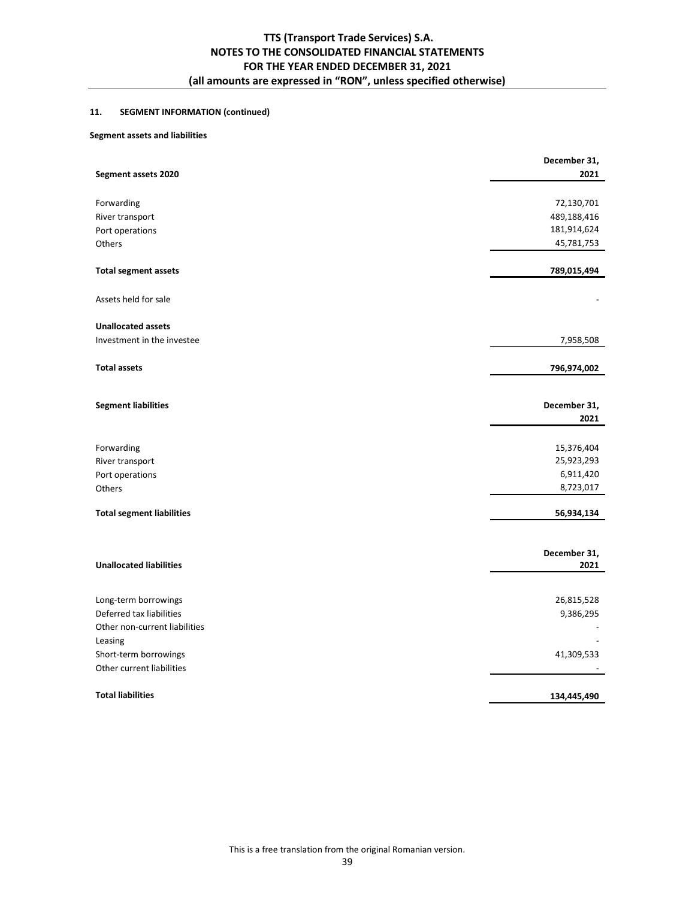## **11. SEGMENT INFORMATION (continued)**

## **Segment assets and liabilities**

|                                  | December 31,         |
|----------------------------------|----------------------|
| Segment assets 2020              | 2021                 |
|                                  |                      |
| Forwarding                       | 72,130,701           |
| River transport                  | 489,188,416          |
| Port operations                  | 181,914,624          |
| Others                           | 45,781,753           |
| <b>Total segment assets</b>      | 789,015,494          |
| Assets held for sale             |                      |
|                                  |                      |
| <b>Unallocated assets</b>        |                      |
| Investment in the investee       | 7,958,508            |
| <b>Total assets</b>              | 796,974,002          |
|                                  |                      |
| <b>Segment liabilities</b>       | December 31,         |
|                                  | 2021                 |
|                                  |                      |
| Forwarding                       | 15,376,404           |
| River transport                  | 25,923,293           |
| Port operations                  | 6,911,420            |
| Others                           | 8,723,017            |
| <b>Total segment liabilities</b> | 56,934,134           |
|                                  |                      |
| <b>Unallocated liabilities</b>   | December 31,<br>2021 |
|                                  |                      |
| Long-term borrowings             | 26,815,528           |
| Deferred tax liabilities         | 9,386,295            |
| Other non-current liabilities    |                      |
| Leasing                          |                      |
| Short-term borrowings            | 41,309,533           |
| Other current liabilities        |                      |
|                                  |                      |
| <b>Total liabilities</b>         | 134,445,490          |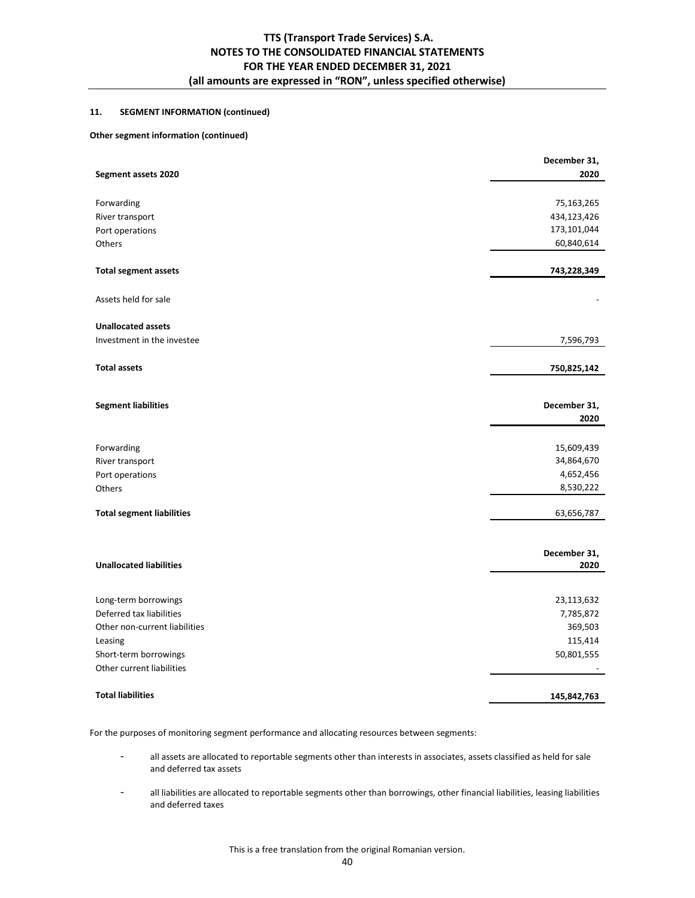## **11. SEGMENT INFORMATION (continued)**

## **Other segment information (continued)**

|                                  | December 31, |
|----------------------------------|--------------|
| Segment assets 2020              | 2020         |
|                                  |              |
| Forwarding                       | 75,163,265   |
| River transport                  | 434,123,426  |
| Port operations                  | 173,101,044  |
| Others                           | 60,840,614   |
| <b>Total segment assets</b>      | 743,228,349  |
| Assets held for sale             |              |
| <b>Unallocated assets</b>        |              |
| Investment in the investee       | 7,596,793    |
| <b>Total assets</b>              | 750,825,142  |
|                                  |              |
| <b>Segment liabilities</b>       | December 31, |
|                                  | 2020         |
| Forwarding                       | 15,609,439   |
| River transport                  | 34,864,670   |
| Port operations                  | 4,652,456    |
| Others                           | 8,530,222    |
| <b>Total segment liabilities</b> | 63,656,787   |
|                                  | December 31, |
| <b>Unallocated liabilities</b>   | 2020         |
| Long-term borrowings             | 23,113,632   |
| Deferred tax liabilities         | 7,785,872    |
| Other non-current liabilities    | 369,503      |
| Leasing                          | 115,414      |
| Short-term borrowings            | 50,801,555   |
| Other current liabilities        |              |
|                                  |              |
| <b>Total liabilities</b>         | 145,842,763  |

For the purposes of monitoring segment performance and allocating resources between segments:

- all assets are allocated to reportable segments other than interests in associates, assets classified as held for sale and deferred tax assets
- all liabilities are allocated to reportable segments other than borrowings, other financial liabilities, leasing liabilities and deferred taxes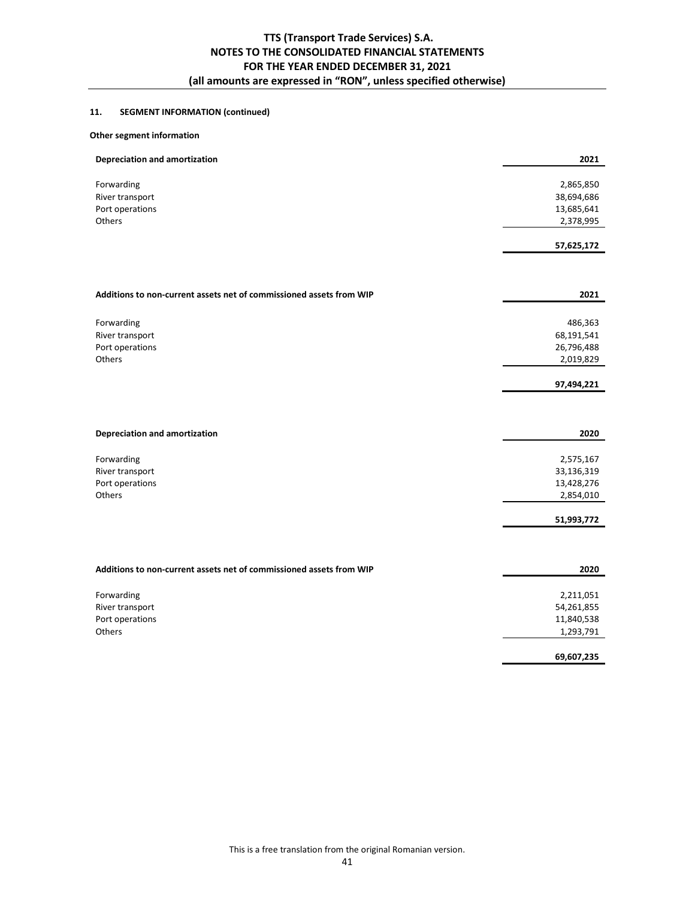## **11. SEGMENT INFORMATION (continued)**

## **Other segment information**

| <b>Depreciation and amortization</b>                                | 2021       |
|---------------------------------------------------------------------|------------|
| Forwarding                                                          | 2,865,850  |
| River transport                                                     | 38,694,686 |
| Port operations                                                     | 13,685,641 |
| Others                                                              | 2,378,995  |
|                                                                     | 57,625,172 |
|                                                                     |            |
| Additions to non-current assets net of commissioned assets from WIP | 2021       |
| Forwarding                                                          | 486,363    |
| River transport                                                     | 68,191,541 |
| Port operations                                                     | 26,796,488 |
| Others                                                              | 2,019,829  |
|                                                                     | 97,494,221 |
|                                                                     |            |
| <b>Depreciation and amortization</b>                                | 2020       |
| Forwarding                                                          | 2,575,167  |
| River transport                                                     | 33,136,319 |
| Port operations                                                     | 13,428,276 |
| Others                                                              | 2,854,010  |
|                                                                     | 51,993,772 |
|                                                                     |            |
| Additions to non-current assets net of commissioned assets from WIP | 2020       |
| Forwarding                                                          | 2,211,051  |
| River transport                                                     | 54,261,855 |
| Port operations                                                     | 11,840,538 |
| Others                                                              | 1,293,791  |
|                                                                     | 69,607,235 |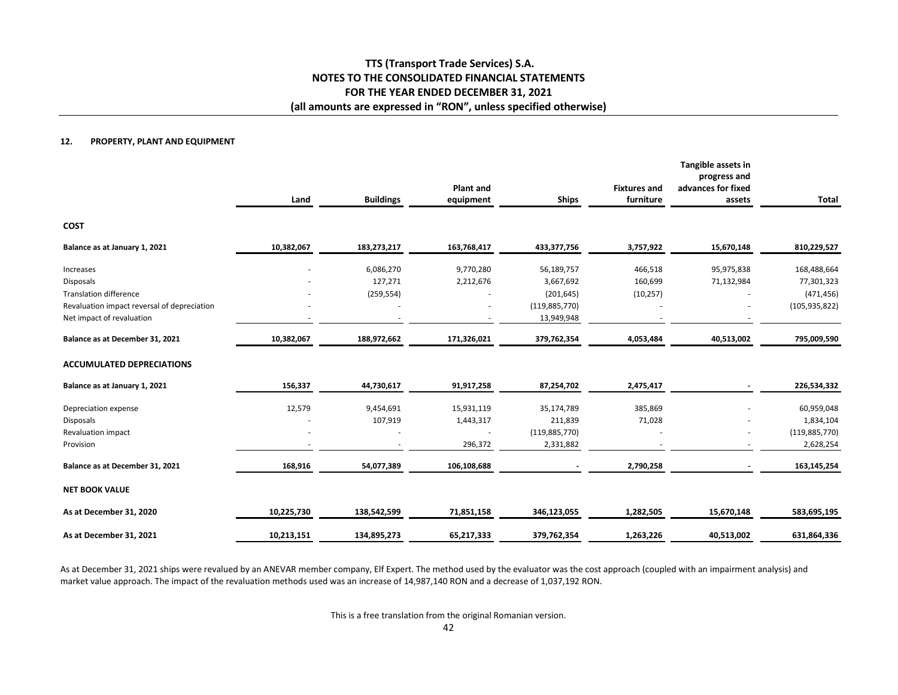#### **12.PROPERTY, PLANT AND EQUIPMENT**

|                                             | Land       | <b>Buildings</b> | <b>Plant and</b><br>equipment | <b>Ships</b>    | <b>Fixtures and</b><br>furniture | Tangible assets in<br>progress and<br>advances for fixed<br>assets | <b>Total</b>    |
|---------------------------------------------|------------|------------------|-------------------------------|-----------------|----------------------------------|--------------------------------------------------------------------|-----------------|
| <b>COST</b>                                 |            |                  |                               |                 |                                  |                                                                    |                 |
| Balance as at January 1, 2021               | 10,382,067 | 183,273,217      | 163,768,417                   | 433,377,756     | 3,757,922                        | 15,670,148                                                         | 810,229,527     |
| Increases                                   |            | 6,086,270        | 9,770,280                     | 56,189,757      | 466,518                          | 95,975,838                                                         | 168,488,664     |
| <b>Disposals</b>                            |            | 127,271          | 2,212,676                     | 3,667,692       | 160,699                          | 71,132,984                                                         | 77,301,323      |
| <b>Translation difference</b>               |            | (259, 554)       |                               | (201, 645)      | (10, 257)                        |                                                                    | (471, 456)      |
| Revaluation impact reversal of depreciation |            |                  |                               | (119, 885, 770) |                                  |                                                                    | (105, 935, 822) |
| Net impact of revaluation                   |            |                  |                               | 13,949,948      |                                  |                                                                    |                 |
| Balance as at December 31, 2021             | 10,382,067 | 188,972,662      | 171,326,021                   | 379,762,354     | 4,053,484                        | 40,513,002                                                         | 795,009,590     |
| <b>ACCUMULATED DEPRECIATIONS</b>            |            |                  |                               |                 |                                  |                                                                    |                 |
| Balance as at January 1, 2021               | 156,337    | 44,730,617       | 91,917,258                    | 87,254,702      | 2,475,417                        |                                                                    | 226,534,332     |
| Depreciation expense                        | 12,579     | 9,454,691        | 15,931,119                    | 35,174,789      | 385,869                          |                                                                    | 60,959,048      |
| <b>Disposals</b>                            |            | 107,919          | 1,443,317                     | 211,839         | 71,028                           |                                                                    | 1,834,104       |
| Revaluation impact                          |            |                  |                               | (119, 885, 770) |                                  |                                                                    | (119, 885, 770) |
| Provision                                   |            |                  | 296,372                       | 2,331,882       |                                  |                                                                    | 2,628,254       |
| Balance as at December 31, 2021             | 168,916    | 54,077,389       | 106,108,688                   |                 | 2,790,258                        |                                                                    | 163,145,254     |
| <b>NET BOOK VALUE</b>                       |            |                  |                               |                 |                                  |                                                                    |                 |
| As at December 31, 2020                     | 10,225,730 | 138,542,599      | 71,851,158                    | 346,123,055     | 1,282,505                        | 15,670,148                                                         | 583,695,195     |
| As at December 31, 2021                     | 10,213,151 | 134,895,273      | 65,217,333                    | 379,762,354     | 1,263,226                        | 40,513,002                                                         | 631,864,336     |

As at December 31, 2021 ships were revalued by an ANEVAR member company, Elf Expert. The method used by the evaluator was the cost approach (coupled with an impairment analysis) and market value approach. The impact of the revaluation methods used was an increase of 14,987,140 RON and a decrease of 1,037,192 RON.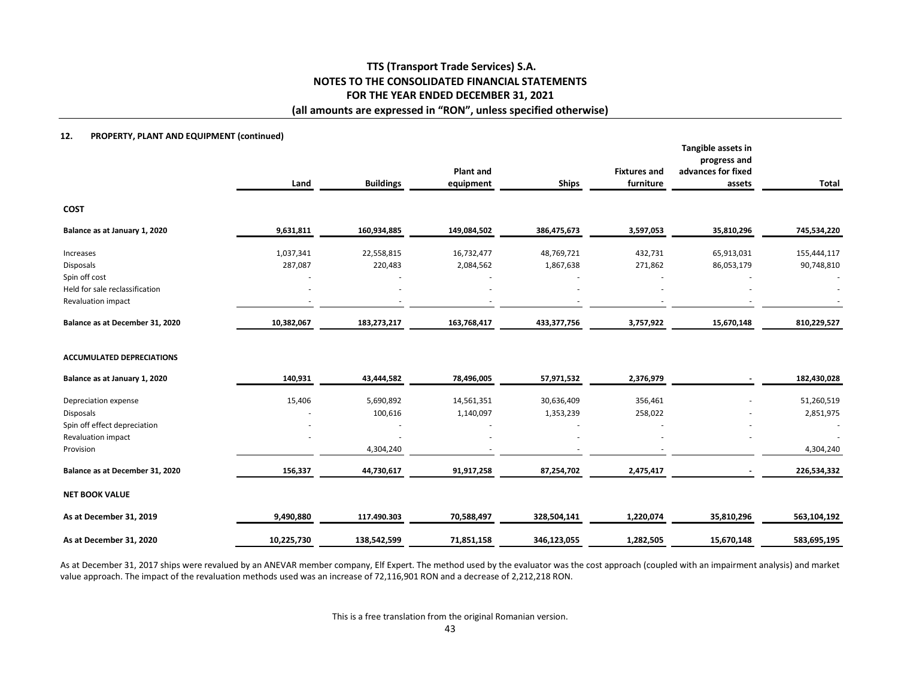#### **12.PROPERTY, PLANT AND EQUIPMENT (continued)**

|                                                 | Land       | <b>Buildings</b> | <b>Plant and</b><br>equipment | <b>Ships</b> | <b>Fixtures and</b><br>furniture | Tangible assets in<br>progress and<br>advances for fixed<br>assets | Total       |
|-------------------------------------------------|------------|------------------|-------------------------------|--------------|----------------------------------|--------------------------------------------------------------------|-------------|
| <b>COST</b>                                     |            |                  |                               |              |                                  |                                                                    |             |
| Balance as at January 1, 2020                   | 9,631,811  | 160,934,885      | 149,084,502                   | 386,475,673  | 3,597,053                        | 35,810,296                                                         | 745,534,220 |
| Increases                                       | 1,037,341  | 22,558,815       | 16,732,477                    | 48,769,721   | 432,731                          | 65,913,031                                                         | 155,444,117 |
| <b>Disposals</b>                                | 287,087    | 220,483          | 2,084,562                     | 1,867,638    | 271,862                          | 86,053,179                                                         | 90,748,810  |
| Spin off cost<br>Held for sale reclassification |            |                  |                               |              |                                  |                                                                    |             |
| Revaluation impact                              |            |                  |                               |              |                                  |                                                                    |             |
| Balance as at December 31, 2020                 | 10,382,067 | 183,273,217      | 163,768,417                   | 433,377,756  | 3,757,922                        | 15,670,148                                                         | 810,229,527 |
| <b>ACCUMULATED DEPRECIATIONS</b>                |            |                  |                               |              |                                  |                                                                    |             |
| Balance as at January 1, 2020                   | 140,931    | 43,444,582       | 78,496,005                    | 57,971,532   | 2,376,979                        |                                                                    | 182,430,028 |
| Depreciation expense                            | 15,406     | 5,690,892        | 14,561,351                    | 30,636,409   | 356,461                          |                                                                    | 51,260,519  |
| Disposals                                       |            | 100,616          | 1,140,097                     | 1,353,239    | 258,022                          |                                                                    | 2,851,975   |
| Spin off effect depreciation                    |            |                  |                               |              |                                  |                                                                    |             |
| Revaluation impact                              |            |                  |                               |              |                                  |                                                                    |             |
| Provision                                       |            | 4,304,240        |                               |              |                                  |                                                                    | 4,304,240   |
| Balance as at December 31, 2020                 | 156,337    | 44,730,617       | 91,917,258                    | 87,254,702   | 2,475,417                        |                                                                    | 226,534,332 |
| <b>NET BOOK VALUE</b>                           |            |                  |                               |              |                                  |                                                                    |             |
| As at December 31, 2019                         | 9,490,880  | 117.490.303      | 70,588,497                    | 328,504,141  | 1,220,074                        | 35,810,296                                                         | 563,104,192 |
| As at December 31, 2020                         | 10,225,730 | 138,542,599      | 71,851,158                    | 346,123,055  | 1,282,505                        | 15,670,148                                                         | 583,695,195 |

As at December 31, 2017 ships were revalued by an ANEVAR member company, Elf Expert. The method used by the evaluator was the cost approach (coupled with an impairment analysis) and market value approach. The impact of the revaluation methods used was an increase of 72,116,901 RON and a decrease of 2,212,218 RON.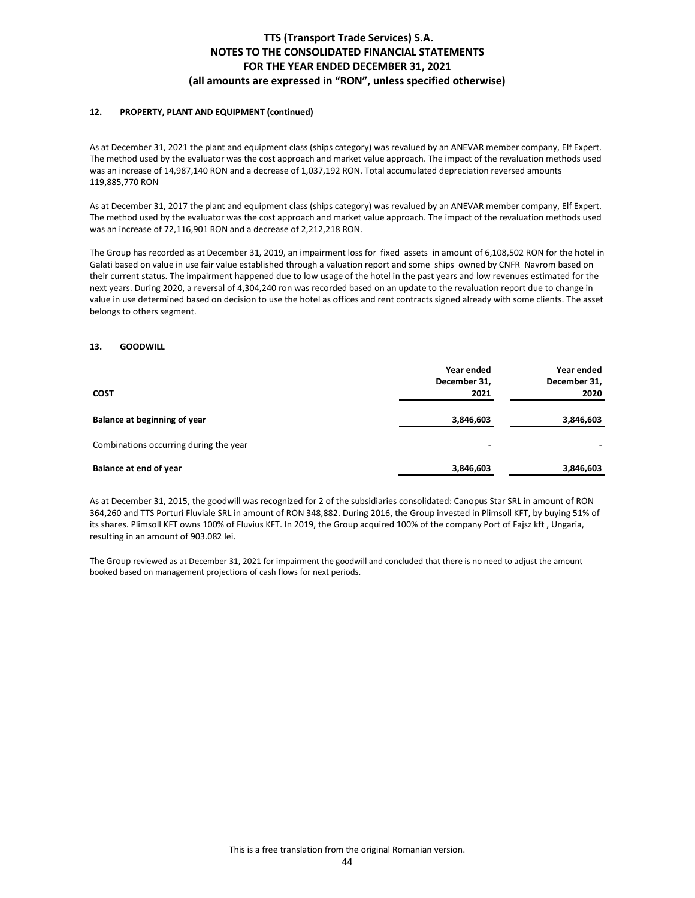### **12. PROPERTY, PLANT AND EQUIPMENT (continued)**

As at December 31, 2021 the plant and equipment class (ships category) was revalued by an ANEVAR member company, Elf Expert. The method used by the evaluator was the cost approach and market value approach. The impact of the revaluation methods used was an increase of 14,987,140 RON and a decrease of 1,037,192 RON. Total accumulated depreciation reversed amounts 119,885,770 RON

As at December 31, 2017 the plant and equipment class (ships category) was revalued by an ANEVAR member company, Elf Expert. The method used by the evaluator was the cost approach and market value approach. The impact of the revaluation methods used was an increase of 72,116,901 RON and a decrease of 2,212,218 RON.

The Group has recorded as at December 31, 2019, an impairment loss for fixed assets in amount of 6,108,502 RON for the hotel in Galati based on value in use fair value established through a valuation report and some ships owned by CNFR Navrom based on their current status. The impairment happened due to low usage of the hotel in the past years and low revenues estimated for the next years. During 2020, a reversal of 4,304,240 ron was recorded based on an update to the revaluation report due to change in value in use determined based on decision to use the hotel as offices and rent contracts signed already with some clients. The asset belongs to others segment.

#### **13. GOODWILL**

|                                        | Year ended               | Year ended   |
|----------------------------------------|--------------------------|--------------|
|                                        | December 31,             | December 31, |
| <b>COST</b>                            | 2021                     | 2020         |
| Balance at beginning of year           | 3,846,603                | 3,846,603    |
| Combinations occurring during the year | $\overline{\phantom{a}}$ |              |
| Balance at end of year                 | 3,846,603                | 3,846,603    |

As at December 31, 2015, the goodwill was recognized for 2 of the subsidiaries consolidated: Canopus Star SRL in amount of RON 364,260 and TTS Porturi Fluviale SRL in amount of RON 348,882. During 2016, the Group invested in Plimsoll KFT, by buying 51% of its shares. Plimsoll KFT owns 100% of Fluvius KFT. In 2019, the Group acquired 100% of the company Port of Fajsz kft , Ungaria, resulting in an amount of 903.082 lei.

The Group reviewed as at December 31, 2021 for impairment the goodwill and concluded that there is no need to adjust the amount booked based on management projections of cash flows for next periods.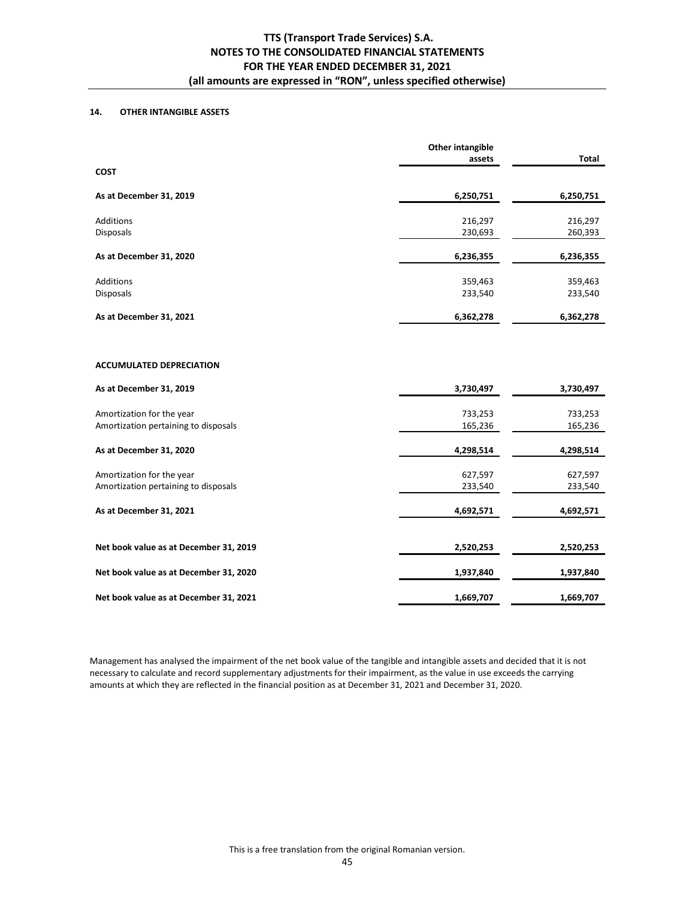## **14. OTHER INTANGIBLE ASSETS**

|                                        | <b>Other intangible</b><br>assets | <b>Total</b> |
|----------------------------------------|-----------------------------------|--------------|
| <b>COST</b>                            |                                   |              |
| As at December 31, 2019                | 6,250,751                         | 6,250,751    |
| <b>Additions</b>                       | 216,297                           | 216,297      |
| <b>Disposals</b>                       | 230,693                           | 260,393      |
| As at December 31, 2020                | 6,236,355                         | 6,236,355    |
| <b>Additions</b>                       | 359,463                           | 359,463      |
| Disposals                              | 233,540                           | 233,540      |
| As at December 31, 2021                | 6,362,278                         | 6,362,278    |
| <b>ACCUMULATED DEPRECIATION</b>        |                                   |              |
| As at December 31, 2019                | 3,730,497                         | 3,730,497    |
| Amortization for the year              | 733,253                           | 733,253      |
| Amortization pertaining to disposals   | 165,236                           | 165,236      |
| As at December 31, 2020                | 4,298,514                         | 4,298,514    |
| Amortization for the year              | 627,597                           | 627,597      |
| Amortization pertaining to disposals   | 233,540                           | 233,540      |
| As at December 31, 2021                | 4,692,571                         | 4,692,571    |
| Net book value as at December 31, 2019 | 2,520,253                         | 2,520,253    |
| Net book value as at December 31, 2020 | 1,937,840                         | 1,937,840    |

**Net book value as at December 31, 2021** 1,669,707 1,669,707 1,669,707

Management has analysed the impairment of the net book value of the tangible and intangible assets and decided that it is not necessary to calculate and record supplementary adjustments for their impairment, as the value in use exceeds the carrying amounts at which they are reflected in the financial position as at December 31, 2021 and December 31, 2020.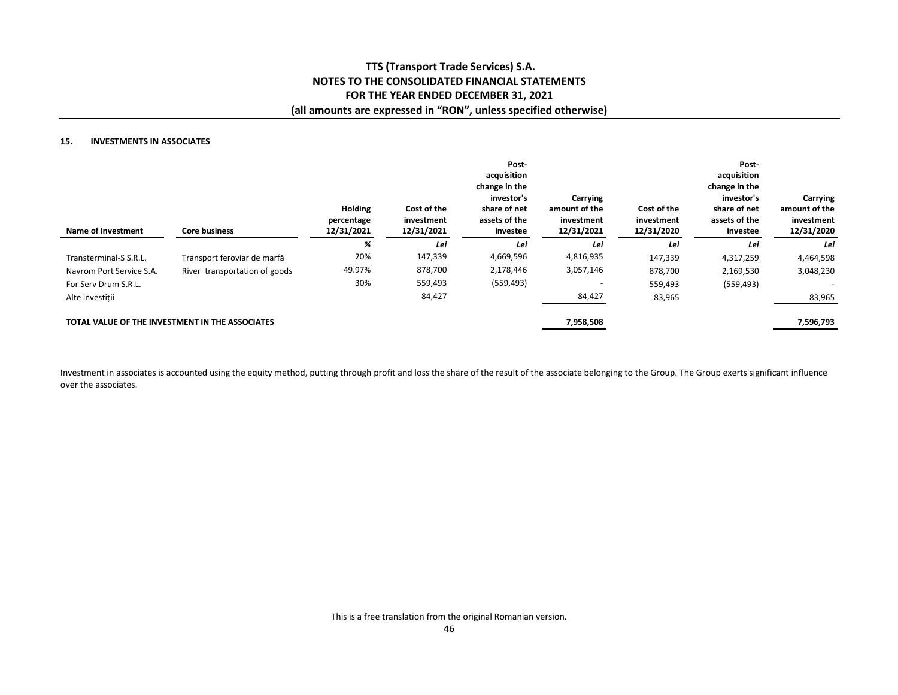## **15. INVESTMENTS IN ASSOCIATES**

| Name of investment                              | <b>Core business</b>          | <b>Holding</b><br>percentage<br>12/31/2021 | Cost of the<br>investment<br>12/31/2021 | Post-<br>acquisition<br>change in the<br>investor's<br>share of net<br>assets of the<br>investee | Carrying<br>amount of the<br>investment<br>12/31/2021 | Cost of the<br>investment<br>12/31/2020 | Post-<br>acquisition<br>change in the<br>investor's<br>share of net<br>assets of the<br>investee | Carrying<br>amount of the<br>investment<br>12/31/2020 |
|-------------------------------------------------|-------------------------------|--------------------------------------------|-----------------------------------------|--------------------------------------------------------------------------------------------------|-------------------------------------------------------|-----------------------------------------|--------------------------------------------------------------------------------------------------|-------------------------------------------------------|
|                                                 |                               | %                                          | Lei                                     | Lei                                                                                              | Lei                                                   | Lei                                     | Lei                                                                                              | Lei                                                   |
| Transterminal-S S.R.L.                          | Transport feroviar de marfă   | 20%                                        | 147,339                                 | 4,669,596                                                                                        | 4,816,935                                             | 147,339                                 | 4,317,259                                                                                        | 4,464,598                                             |
| Navrom Port Service S.A.                        | River transportation of goods | 49.97%                                     | 878,700                                 | 2,178,446                                                                                        | 3,057,146                                             | 878,700                                 | 2,169,530                                                                                        | 3,048,230                                             |
| For Serv Drum S.R.L.                            |                               | 30%                                        | 559,493                                 | (559, 493)                                                                                       |                                                       | 559,493                                 | (559, 493)                                                                                       |                                                       |
| Alte investitii                                 |                               |                                            | 84,427                                  |                                                                                                  | 84,427                                                | 83,965                                  |                                                                                                  | 83,965                                                |
| TOTAL VALUE OF THE INVESTMENT IN THE ASSOCIATES |                               |                                            |                                         |                                                                                                  | 7,958,508                                             |                                         |                                                                                                  | 7,596,793                                             |

Investment in associates is accounted using the equity method, putting through profit and loss the share of the result of the associate belonging to the Group. The Group exerts significant influence over the associates.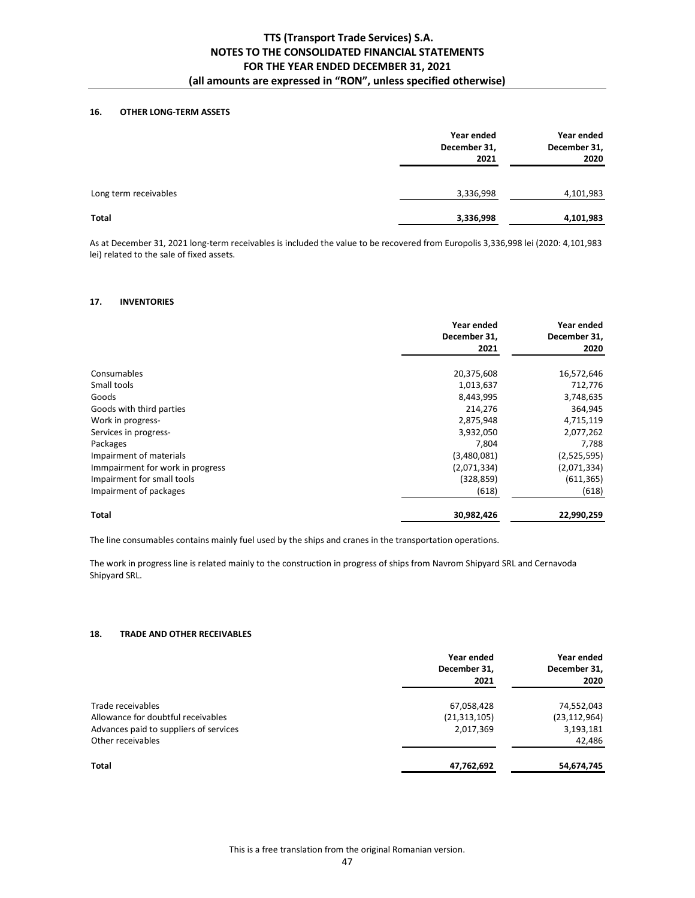## **16. OTHER LONG-TERM ASSETS**

|                       | Year ended<br>December 31,<br>2021 | Year ended<br>December 31,<br>2020 |
|-----------------------|------------------------------------|------------------------------------|
| Long term receivables | 3,336,998                          | 4,101,983                          |
| <b>Total</b>          | 3,336,998                          | 4,101,983                          |

As at December 31, 2021 long-term receivables is included the value to be recovered from Europolis 3,336,998 lei (2020: 4,101,983 lei) related to the sale of fixed assets.

### **17. INVENTORIES**

|                                  | Year ended<br>December 31.<br>2021 | Year ended<br>December 31,<br>2020 |
|----------------------------------|------------------------------------|------------------------------------|
| Consumables                      | 20,375,608                         | 16,572,646                         |
| Small tools                      | 1,013,637                          | 712,776                            |
| Goods                            | 8,443,995                          | 3,748,635                          |
| Goods with third parties         | 214,276                            | 364,945                            |
| Work in progress-                | 2,875,948                          | 4,715,119                          |
| Services in progress-            | 3,932,050                          | 2,077,262                          |
| Packages                         | 7,804                              | 7,788                              |
| Impairment of materials          | (3,480,081)                        | (2,525,595)                        |
| Immpairment for work in progress | (2,071,334)                        | (2,071,334)                        |
| Impairment for small tools       | (328, 859)                         | (611, 365)                         |
| Impairment of packages           | (618)                              | (618)                              |
| Total                            | 30,982,426                         | 22,990,259                         |

The line consumables contains mainly fuel used by the ships and cranes in the transportation operations.

The work in progress line is related mainly to the construction in progress of ships from Navrom Shipyard SRL and Cernavoda Shipyard SRL.

#### **18. TRADE AND OTHER RECEIVABLES**

|                                        | Year ended<br>December 31,<br>2021 | Year ended<br>December 31,<br>2020 |
|----------------------------------------|------------------------------------|------------------------------------|
| Trade receivables                      | 67,058,428                         | 74,552,043                         |
| Allowance for doubtful receivables     | (21, 313, 105)                     | (23, 112, 964)                     |
| Advances paid to suppliers of services | 2,017,369                          | 3,193,181                          |
| Other receivables                      |                                    | 42,486                             |
| <b>Total</b>                           | 47,762,692                         | 54,674,745                         |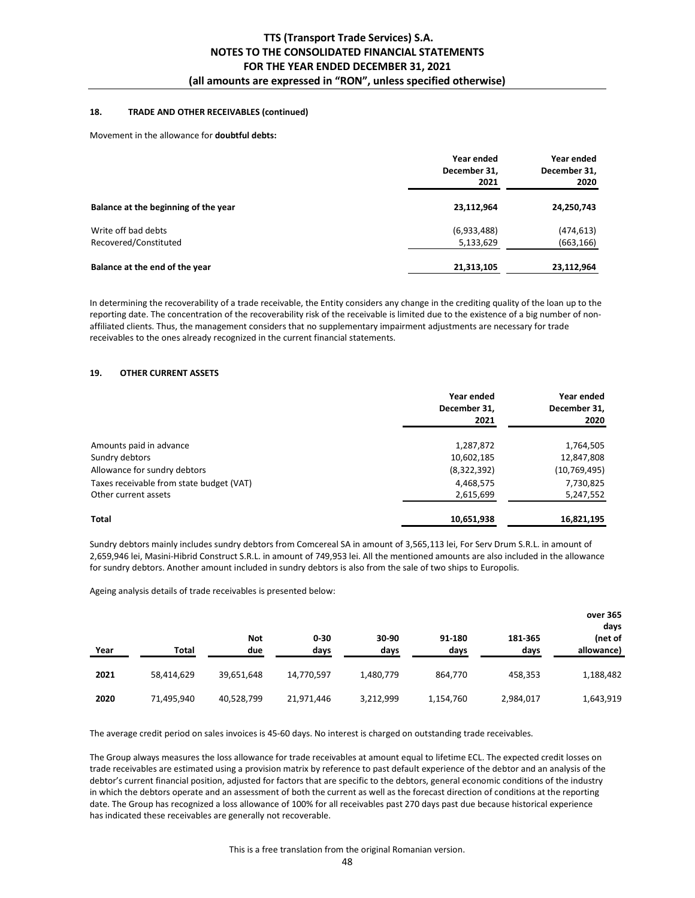## **18. TRADE AND OTHER RECEIVABLES (continued)**

#### Movement in the allowance for **doubtful debts:**

|                                      | Year ended<br>December 31.<br>2021 | Year ended<br>December 31,<br>2020 |
|--------------------------------------|------------------------------------|------------------------------------|
| Balance at the beginning of the year | 23,112,964                         | 24,250,743                         |
| Write off bad debts                  | (6,933,488)                        | (474, 613)                         |
| Recovered/Constituted                | 5,133,629                          | (663, 166)                         |
| Balance at the end of the year       | 21,313,105                         | 23,112,964                         |

In determining the recoverability of a trade receivable, the Entity considers any change in the crediting quality of the loan up to the reporting date. The concentration of the recoverability risk of the receivable is limited due to the existence of a big number of nonaffiliated clients. Thus, the management considers that no supplementary impairment adjustments are necessary for trade receivables to the ones already recognized in the current financial statements.

#### **19. OTHER CURRENT ASSETS**

|                                          | Year ended<br>December 31,<br>2021 | Year ended<br>December 31,<br>2020 |
|------------------------------------------|------------------------------------|------------------------------------|
| Amounts paid in advance                  | 1,287,872                          | 1,764,505                          |
| Sundry debtors                           | 10,602,185                         | 12,847,808                         |
| Allowance for sundry debtors             | (8,322,392)                        | (10, 769, 495)                     |
| Taxes receivable from state budget (VAT) | 4,468,575                          | 7,730,825                          |
| Other current assets                     | 2,615,699                          | 5,247,552                          |
| <b>Total</b>                             | 10,651,938                         | 16,821,195                         |

Sundry debtors mainly includes sundry debtors from Comcereal SA in amount of 3,565,113 lei, For Serv Drum S.R.L. in amount of 2,659,946 lei, Masini-Hibrid Construct S.R.L. in amount of 749,953 lei. All the mentioned amounts are also included in the allowance for sundry debtors. Another amount included in sundry debtors is also from the sale of two ships to Europolis.

Ageing analysis details of trade receivables is presented below:

| Year | Total      | <b>Not</b><br>due | $0 - 30$<br>days | 30-90<br>days | 91-180<br>days | 181-365<br>days | over 365<br>days<br>(net of<br>allowance) |
|------|------------|-------------------|------------------|---------------|----------------|-----------------|-------------------------------------------|
| 2021 | 58,414,629 | 39,651,648        | 14,770,597       | 1,480,779     | 864,770        | 458,353         | 1,188,482                                 |
| 2020 | 71,495,940 | 40,528,799        | 21,971,446       | 3,212,999     | 1,154,760      | 2,984,017       | 1,643,919                                 |

The average credit period on sales invoices is 45-60 days. No interest is charged on outstanding trade receivables.

The Group always measures the loss allowance for trade receivables at amount equal to lifetime ECL. The expected credit losses on trade receivables are estimated using a provision matrix by reference to past default experience of the debtor and an analysis of the debtor's current financial position, adjusted for factors that are specific to the debtors, general economic conditions of the industry in which the debtors operate and an assessment of both the current as well as the forecast direction of conditions at the reporting date. The Group has recognized a loss allowance of 100% for all receivables past 270 days past due because historical experience has indicated these receivables are generally not recoverable.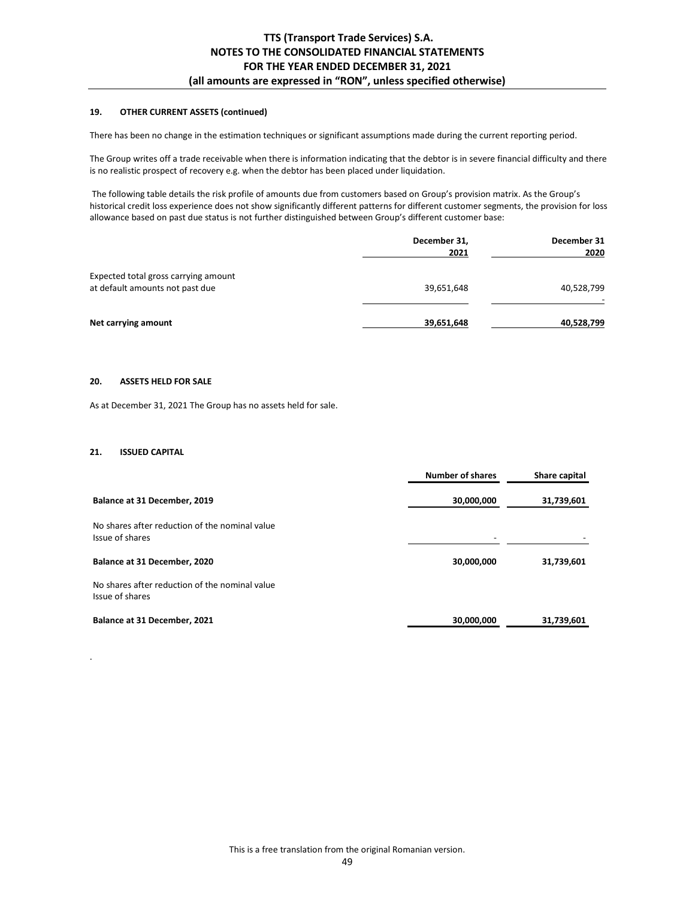## **19. OTHER CURRENT ASSETS (continued)**

There has been no change in the estimation techniques or significant assumptions made during the current reporting period.

The Group writes off a trade receivable when there is information indicating that the debtor is in severe financial difficulty and there is no realistic prospect of recovery e.g. when the debtor has been placed under liquidation.

 The following table details the risk profile of amounts due from customers based on Group's provision matrix. As the Group's historical credit loss experience does not show significantly different patterns for different customer segments, the provision for loss allowance based on past due status is not further distinguished between Group's different customer base:

|                                                                         | December 31,<br>2021 | December 31<br>2020 |
|-------------------------------------------------------------------------|----------------------|---------------------|
| Expected total gross carrying amount<br>at default amounts not past due | 39,651,648           | 40,528,799          |
| Net carrying amount                                                     | 39,651,648           | 40,528,799          |

### **20. ASSETS HELD FOR SALE**

As at December 31, 2021 The Group has no assets held for sale.

## **21. ISSUED CAPITAL**

.

|                                                                   | <b>Number of shares</b>  | Share capital |
|-------------------------------------------------------------------|--------------------------|---------------|
| Balance at 31 December, 2019                                      | 30,000,000               | 31,739,601    |
| No shares after reduction of the nominal value<br>Issue of shares | $\overline{\phantom{a}}$ |               |
| Balance at 31 December, 2020                                      | 30,000,000               | 31,739,601    |
| No shares after reduction of the nominal value<br>Issue of shares |                          |               |
| Balance at 31 December, 2021                                      | 30,000,000               | 31,739,601    |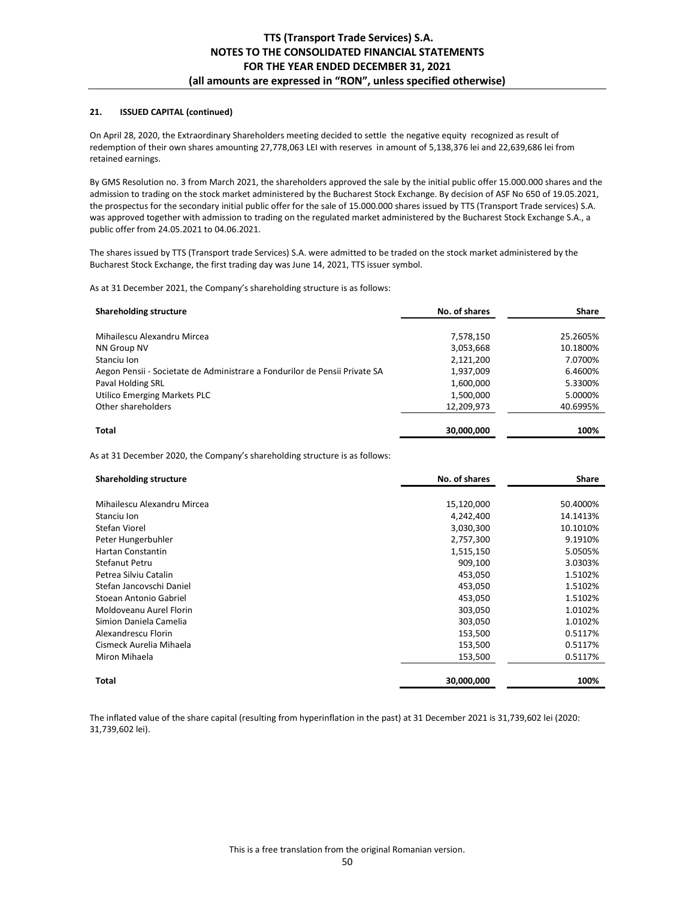## **21. ISSUED CAPITAL (continued)**

On April 28, 2020, the Extraordinary Shareholders meeting decided to settle the negative equity recognized as result of redemption of their own shares amounting 27,778,063 LEI with reserves in amount of 5,138,376 lei and 22,639,686 lei from retained earnings.

By GMS Resolution no. 3 from March 2021, the shareholders approved the sale by the initial public offer 15.000.000 shares and the admission to trading on the stock market administered by the Bucharest Stock Exchange. By decision of ASF No 650 of 19.05.2021, the prospectus for the secondary initial public offer for the sale of 15.000.000 shares issued by TTS (Transport Trade services) S.A. was approved together with admission to trading on the regulated market administered by the Bucharest Stock Exchange S.A., a public offer from 24.05.2021 to 04.06.2021.

The shares issued by TTS (Transport trade Services) S.A. were admitted to be traded on the stock market administered by the Bucharest Stock Exchange, the first trading day was June 14, 2021, TTS issuer symbol.

As at 31 December 2021, the Company's shareholding structure is as follows:

| <b>Shareholding structure</b>                                              | No. of shares | <b>Share</b> |
|----------------------------------------------------------------------------|---------------|--------------|
|                                                                            |               |              |
| Mihailescu Alexandru Mircea                                                | 7,578,150     | 25.2605%     |
| NN Group NV                                                                | 3,053,668     | 10.1800%     |
| Stanciu Ion                                                                | 2,121,200     | 7.0700%      |
| Aegon Pensii - Societate de Administrare a Fondurilor de Pensii Private SA | 1,937,009     | 6.4600%      |
| Paval Holding SRL                                                          | 1,600,000     | 5.3300%      |
| Utilico Emerging Markets PLC                                               | 1,500,000     | 5.0000%      |
| Other shareholders                                                         | 12,209,973    | 40.6995%     |
| Total                                                                      | 30,000,000    | 100%         |

As at 31 December 2020, the Company's shareholding structure is as follows:

| <b>Shareholding structure</b> | No. of shares | <b>Share</b> |
|-------------------------------|---------------|--------------|
|                               |               |              |
| Mihailescu Alexandru Mircea   | 15,120,000    | 50.4000%     |
| Stanciu Ion                   | 4,242,400     | 14.1413%     |
| Stefan Viorel                 | 3,030,300     | 10.1010%     |
| Peter Hungerbuhler            | 2,757,300     | 9.1910%      |
| Hartan Constantin             | 1,515,150     | 5.0505%      |
| Stefanut Petru                | 909,100       | 3.0303%      |
| Petrea Silviu Catalin         | 453,050       | 1.5102%      |
| Stefan Jancovschi Daniel      | 453,050       | 1.5102%      |
| Stoean Antonio Gabriel        | 453,050       | 1.5102%      |
| Moldoveanu Aurel Florin       | 303,050       | 1.0102%      |
| Simion Daniela Camelia        | 303,050       | 1.0102%      |
| Alexandrescu Florin           | 153,500       | 0.5117%      |
| Cismeck Aurelia Mihaela       | 153,500       | 0.5117%      |
| Miron Mihaela                 | 153,500       | 0.5117%      |
| <b>Total</b>                  | 30,000,000    | 100%         |

The inflated value of the share capital (resulting from hyperinflation in the past) at 31 December 2021 is 31,739,602 lei (2020: 31,739,602 lei).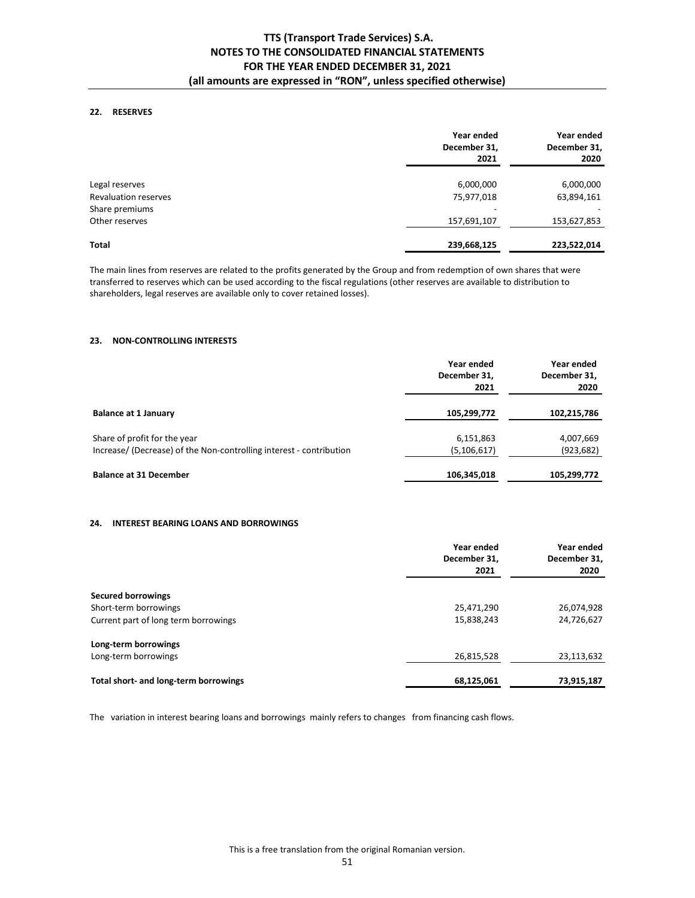## **22. RESERVES**

|                             | Year ended<br>December 31,<br>2021 | Year ended<br>December 31,<br>2020 |
|-----------------------------|------------------------------------|------------------------------------|
| Legal reserves              | 6,000,000                          | 6,000,000                          |
| <b>Revaluation reserves</b> | 75,977,018                         | 63,894,161                         |
| Share premiums              |                                    |                                    |
| Other reserves              | 157,691,107                        | 153,627,853                        |
| Total                       | 239,668,125                        | 223,522,014                        |

The main lines from reserves are related to the profits generated by the Group and from redemption of own shares that were transferred to reserves which can be used according to the fiscal regulations (other reserves are available to distribution to shareholders, legal reserves are available only to cover retained losses).

### **23. NON-CONTROLLING INTERESTS**

|                                                                     | Year ended<br>December 31,<br>2021 | Year ended<br>December 31,<br>2020 |
|---------------------------------------------------------------------|------------------------------------|------------------------------------|
| <b>Balance at 1 January</b>                                         | 105,299,772                        | 102,215,786                        |
| Share of profit for the year                                        | 6,151,863                          | 4,007,669                          |
| Increase/ (Decrease) of the Non-controlling interest - contribution | (5, 106, 617)                      | (923, 682)                         |
| <b>Balance at 31 December</b>                                       | 106,345,018                        | 105,299,772                        |

## **24. INTEREST BEARING LOANS AND BORROWINGS**

|                                       | Year ended<br>December 31,<br>2021 | Year ended<br>December 31,<br>2020 |
|---------------------------------------|------------------------------------|------------------------------------|
|                                       |                                    |                                    |
| <b>Secured borrowings</b>             |                                    |                                    |
| Short-term borrowings                 | 25,471,290                         | 26,074,928                         |
| Current part of long term borrowings  | 15,838,243                         | 24,726,627                         |
| Long-term borrowings                  |                                    |                                    |
| Long-term borrowings                  | 26,815,528                         | 23,113,632                         |
| Total short- and long-term borrowings | 68,125,061                         | 73,915,187                         |

The variation in interest bearing loans and borrowings mainly refers to changes from financing cash flows.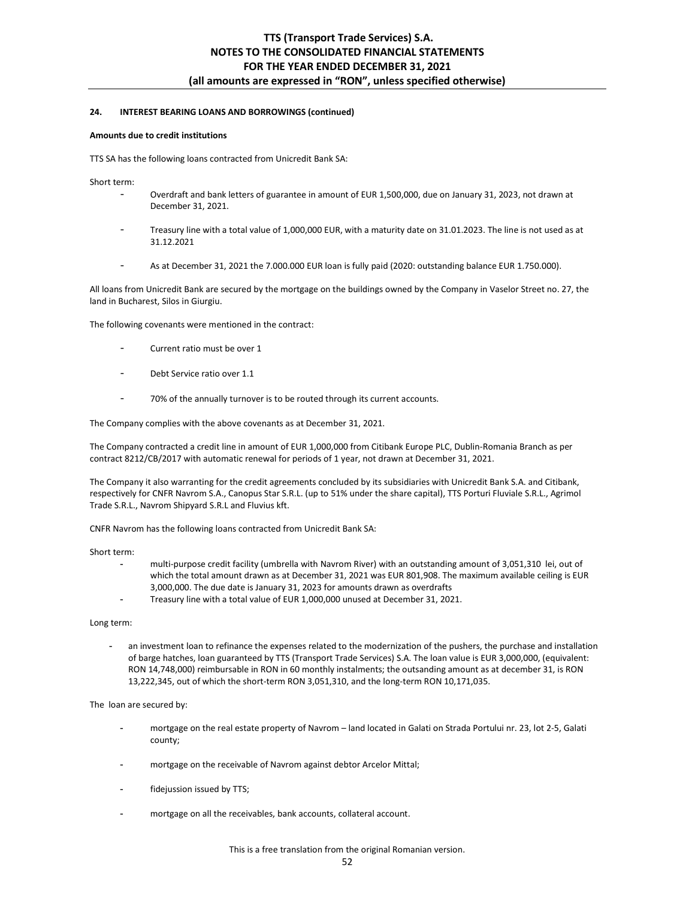### **24. INTEREST BEARING LOANS AND BORROWINGS (continued)**

#### **Amounts due to credit institutions**

TTS SA has the following loans contracted from Unicredit Bank SA:

Short term:

- Overdraft and bank letters of guarantee in amount of EUR 1,500,000, due on January 31, 2023, not drawn at December 31, 2021.
- Treasury line with a total value of 1,000,000 EUR, with a maturity date on 31.01.2023. The line is not used as at 31.12.2021
- As at December 31, 2021 the 7.000.000 EUR loan is fully paid (2020: outstanding balance EUR 1.750.000).

All loans from Unicredit Bank are secured by the mortgage on the buildings owned by the Company in Vaselor Street no. 27, the land in Bucharest, Silos in Giurgiu.

The following covenants were mentioned in the contract:

- Current ratio must be over 1
- Debt Service ratio over 1.1
- 70% of the annually turnover is to be routed through its current accounts.

The Company complies with the above covenants as at December 31, 2021.

The Company contracted a credit line in amount of EUR 1,000,000 from Citibank Europe PLC, Dublin-Romania Branch as per contract 8212/CB/2017 with automatic renewal for periods of 1 year, not drawn at December 31, 2021.

The Company it also warranting for the credit agreements concluded by its subsidiaries with Unicredit Bank S.A. and Citibank, respectively for CNFR Navrom S.A., Canopus Star S.R.L. (up to 51% under the share capital), TTS Porturi Fluviale S.R.L., Agrimol Trade S.R.L., Navrom Shipyard S.R.L and Fluvius kft.

CNFR Navrom has the following loans contracted from Unicredit Bank SA:

Short term:

- multi-purpose credit facility (umbrella with Navrom River) with an outstanding amount of 3,051,310 lei, out of which the total amount drawn as at December 31, 2021 was EUR 801,908. The maximum available ceiling is EUR 3,000,000. The due date is January 31, 2023 for amounts drawn as overdrafts
- Treasury line with a total value of EUR 1,000,000 unused at December 31, 2021.

## Long term:

an investment loan to refinance the expenses related to the modernization of the pushers, the purchase and installation of barge hatches, loan guaranteed by TTS (Transport Trade Services) S.A. The loan value is EUR 3,000,000, (equivalent: RON 14,748,000) reimbursable in RON in 60 monthly instalments; the outsanding amount as at december 31, is RON 13,222,345, out of which the short-term RON 3,051,310, and the long-term RON 10,171,035.

The loan are secured by:

- mortgage on the real estate property of Navrom land located in Galati on Strada Portului nr. 23, lot 2-5, Galati county;
- mortgage on the receivable of Navrom against debtor Arcelor Mittal;
- fidejussion issued by TTS;
- mortgage on all the receivables, bank accounts, collateral account.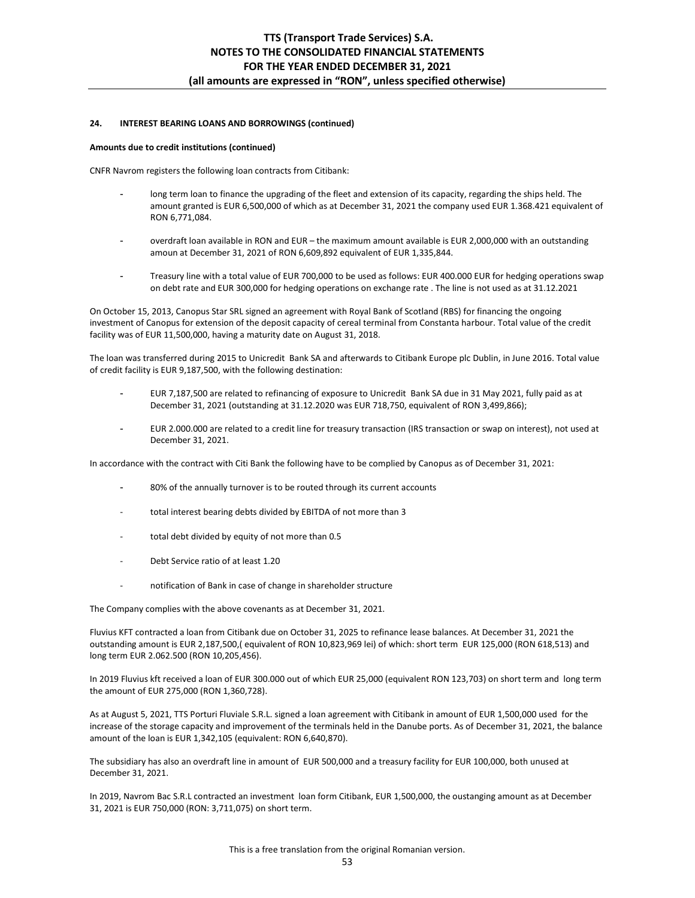## **24. INTEREST BEARING LOANS AND BORROWINGS (continued)**

#### **Amounts due to credit institutions (continued)**

CNFR Navrom registers the following loan contracts from Citibank:

- long term loan to finance the upgrading of the fleet and extension of its capacity, regarding the ships held. The amount granted is EUR 6,500,000 of which as at December 31, 2021 the company used EUR 1.368.421 equivalent of RON 6,771,084.
- overdraft loan available in RON and EUR the maximum amount available is EUR 2,000,000 with an outstanding amoun at December 31, 2021 of RON 6,609,892 equivalent of EUR 1,335,844.
- Treasury line with a total value of EUR 700,000 to be used as follows: EUR 400.000 EUR for hedging operations swap on debt rate and EUR 300,000 for hedging operations on exchange rate . The line is not used as at 31.12.2021

On October 15, 2013, Canopus Star SRL signed an agreement with Royal Bank of Scotland (RBS) for financing the ongoing investment of Canopus for extension of the deposit capacity of cereal terminal from Constanta harbour. Total value of the credit facility was of EUR 11,500,000, having a maturity date on August 31, 2018.

The loan was transferred during 2015 to Unicredit Bank SA and afterwards to Citibank Europe plc Dublin, in June 2016. Total value of credit facility is EUR 9,187,500, with the following destination:

- EUR 7,187,500 are related to refinancing of exposure to Unicredit Bank SA due in 31 May 2021, fully paid as at December 31, 2021 (outstanding at 31.12.2020 was EUR 718,750, equivalent of RON 3,499,866);
- EUR 2.000.000 are related to a credit line for treasury transaction (IRS transaction or swap on interest), not used at December 31, 2021.

In accordance with the contract with Citi Bank the following have to be complied by Canopus as of December 31, 2021:

- 80% of the annually turnover is to be routed through its current accounts
- total interest bearing debts divided by EBITDA of not more than 3
- total debt divided by equity of not more than 0.5
- Debt Service ratio of at least 1.20
- notification of Bank in case of change in shareholder structure

The Company complies with the above covenants as at December 31, 2021.

Fluvius KFT contracted a loan from Citibank due on October 31, 2025 to refinance lease balances. At December 31, 2021 the outstanding amount is EUR 2,187,500,( equivalent of RON 10,823,969 lei) of which: short term EUR 125,000 (RON 618,513) and long term EUR 2.062.500 (RON 10,205,456).

In 2019 Fluvius kft received a loan of EUR 300.000 out of which EUR 25,000 (equivalent RON 123,703) on short term and long term the amount of EUR 275,000 (RON 1,360,728).

As at August 5, 2021, TTS Porturi Fluviale S.R.L. signed a loan agreement with Citibank in amount of EUR 1,500,000 used for the increase of the storage capacity and improvement of the terminals held in the Danube ports. As of December 31, 2021, the balance amount of the loan is EUR 1,342,105 (equivalent: RON 6,640,870).

The subsidiary has also an overdraft line in amount of EUR 500,000 and a treasury facility for EUR 100,000, both unused at December 31, 2021.

In 2019, Navrom Bac S.R.L contracted an investment loan form Citibank, EUR 1,500,000, the oustanging amount as at December 31, 2021 is EUR 750,000 (RON: 3,711,075) on short term.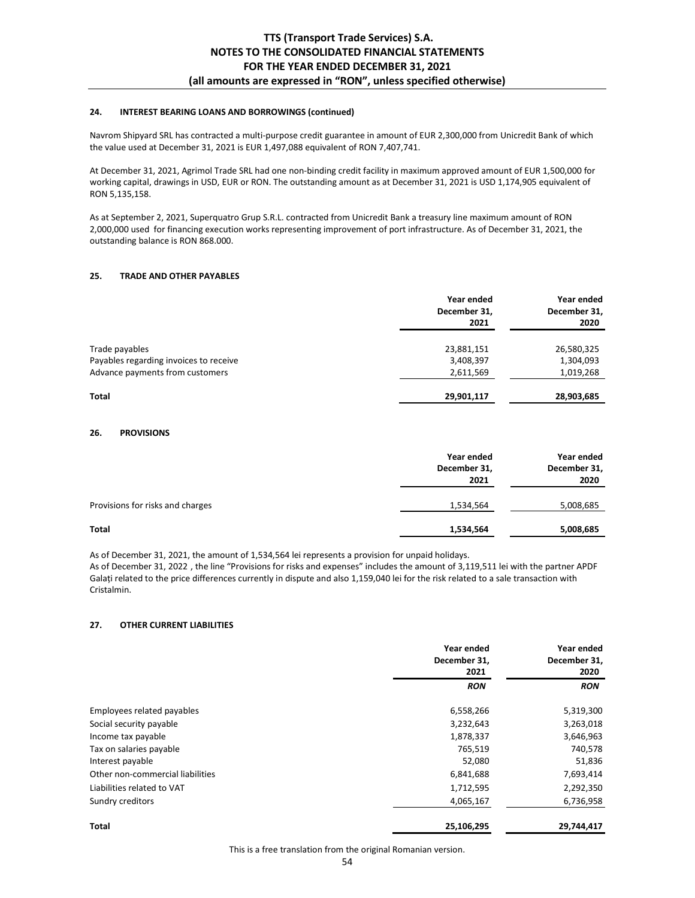## **24. INTEREST BEARING LOANS AND BORROWINGS (continued)**

Navrom Shipyard SRL has contracted a multi-purpose credit guarantee in amount of EUR 2,300,000 from Unicredit Bank of which the value used at December 31, 2021 is EUR 1,497,088 equivalent of RON 7,407,741.

At December 31, 2021, Agrimol Trade SRL had one non-binding credit facility in maximum approved amount of EUR 1,500,000 for working capital, drawings in USD, EUR or RON. The outstanding amount as at December 31, 2021 is USD 1,174,905 equivalent of RON 5,135,158.

As at September 2, 2021, Superquatro Grup S.R.L. contracted from Unicredit Bank a treasury line maximum amount of RON 2,000,000 used for financing execution works representing improvement of port infrastructure. As of December 31, 2021, the outstanding balance is RON 868.000.

## **25. TRADE AND OTHER PAYABLES**

|                                        | Year ended<br>December 31,<br>2021 | Year ended<br>December 31,<br>2020 |
|----------------------------------------|------------------------------------|------------------------------------|
| Trade payables                         | 23,881,151                         | 26,580,325                         |
| Payables regarding invoices to receive | 3,408,397                          | 1,304,093                          |
| Advance payments from customers        | 2,611,569                          | 1,019,268                          |
| <b>Total</b>                           | 29,901,117                         | 28,903,685                         |

### **26. PROVISIONS**

|                                  | Year ended<br>December 31,<br>2021 | Year ended<br>December 31,<br>2020 |
|----------------------------------|------------------------------------|------------------------------------|
| Provisions for risks and charges | 1,534,564                          | 5,008,685                          |
| <b>Total</b>                     | 1,534,564                          | 5,008,685                          |

As of December 31, 2021, the amount of 1,534,564 lei represents a provision for unpaid holidays.

As of December 31, 2022 , the line "Provisions for risks and expenses" includes the amount of 3,119,511 lei with the partner APDF Galați related to the price differences currently in dispute and also 1,159,040 lei for the risk related to a sale transaction with Cristalmin.

## **27. OTHER CURRENT LIABILITIES**

|                                  | Year ended<br>December 31,<br>2021 | Year ended<br>December 31,<br>2020 |  |
|----------------------------------|------------------------------------|------------------------------------|--|
|                                  | <b>RON</b>                         | <b>RON</b>                         |  |
| Employees related payables       | 6,558,266                          | 5,319,300                          |  |
| Social security payable          | 3,232,643                          | 3,263,018                          |  |
| Income tax payable               | 1,878,337                          | 3,646,963                          |  |
| Tax on salaries payable          | 765,519                            | 740,578                            |  |
| Interest payable                 | 52,080                             | 51,836                             |  |
| Other non-commercial liabilities | 6,841,688                          | 7,693,414                          |  |
| Liabilities related to VAT       | 1,712,595                          | 2,292,350                          |  |
| Sundry creditors                 | 4,065,167                          | 6,736,958                          |  |
| <b>Total</b>                     | 25,106,295                         | 29,744,417                         |  |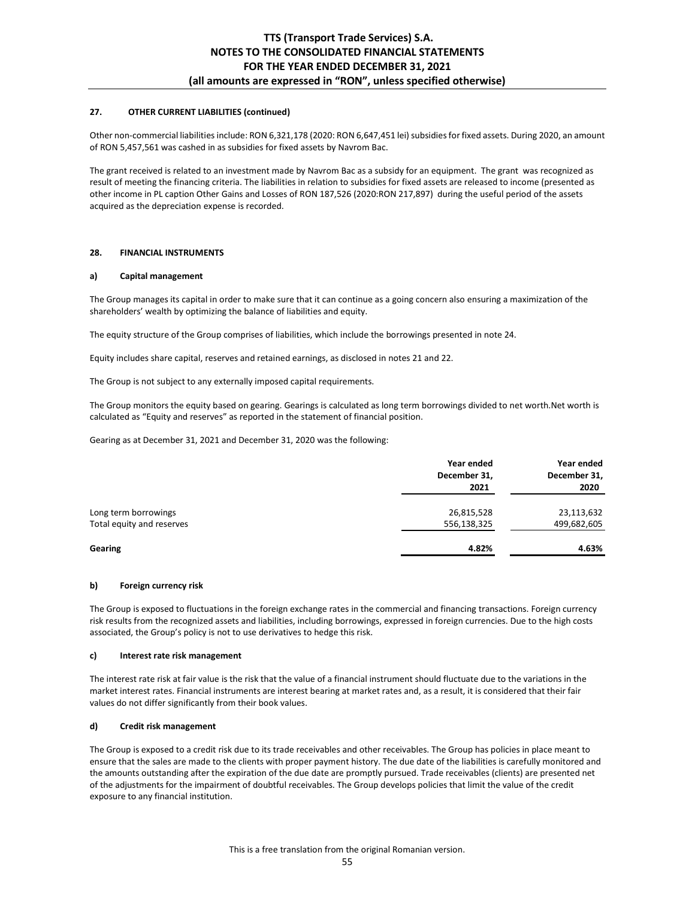## **27. OTHER CURRENT LIABILITIES (continued)**

Other non-commercial liabilities include: RON 6,321,178 (2020: RON 6,647,451 lei) subsidies for fixed assets. During 2020, an amount of RON 5,457,561 was cashed in as subsidies for fixed assets by Navrom Bac.

The grant received is related to an investment made by Navrom Bac as a subsidy for an equipment. The grant was recognized as result of meeting the financing criteria. The liabilities in relation to subsidies for fixed assets are released to income (presented as other income in PL caption Other Gains and Losses of RON 187,526 (2020:RON 217,897) during the useful period of the assets acquired as the depreciation expense is recorded.

### **28. FINANCIAL INSTRUMENTS**

#### **a) Capital management**

The Group manages its capital in order to make sure that it can continue as a going concern also ensuring a maximization of the shareholders' wealth by optimizing the balance of liabilities and equity.

The equity structure of the Group comprises of liabilities, which include the borrowings presented in note 24.

Equity includes share capital, reserves and retained earnings, as disclosed in notes 21 and 22.

The Group is not subject to any externally imposed capital requirements.

The Group monitors the equity based on gearing. Gearings is calculated as long term borrowings divided to net worth.Net worth is calculated as "Equity and reserves" as reported in the statement of financial position.

Gearing as at December 31, 2021 and December 31, 2020 was the following:

|                           | Year ended<br>December 31,<br>2021 | Year ended<br>December 31,<br>2020 |
|---------------------------|------------------------------------|------------------------------------|
| Long term borrowings      | 26,815,528                         | 23,113,632                         |
| Total equity and reserves | 556,138,325                        | 499,682,605                        |
| Gearing                   | 4.82%                              | 4.63%                              |

### **b) Foreign currency risk**

The Group is exposed to fluctuations in the foreign exchange rates in the commercial and financing transactions. Foreign currency risk results from the recognized assets and liabilities, including borrowings, expressed in foreign currencies. Due to the high costs associated, the Group's policy is not to use derivatives to hedge this risk.

#### **c) Interest rate risk management**

The interest rate risk at fair value is the risk that the value of a financial instrument should fluctuate due to the variations in the market interest rates. Financial instruments are interest bearing at market rates and, as a result, it is considered that their fair values do not differ significantly from their book values.

## **d) Credit risk management**

The Group is exposed to a credit risk due to its trade receivables and other receivables. The Group has policies in place meant to ensure that the sales are made to the clients with proper payment history. The due date of the liabilities is carefully monitored and the amounts outstanding after the expiration of the due date are promptly pursued. Trade receivables (clients) are presented net of the adjustments for the impairment of doubtful receivables. The Group develops policies that limit the value of the credit exposure to any financial institution.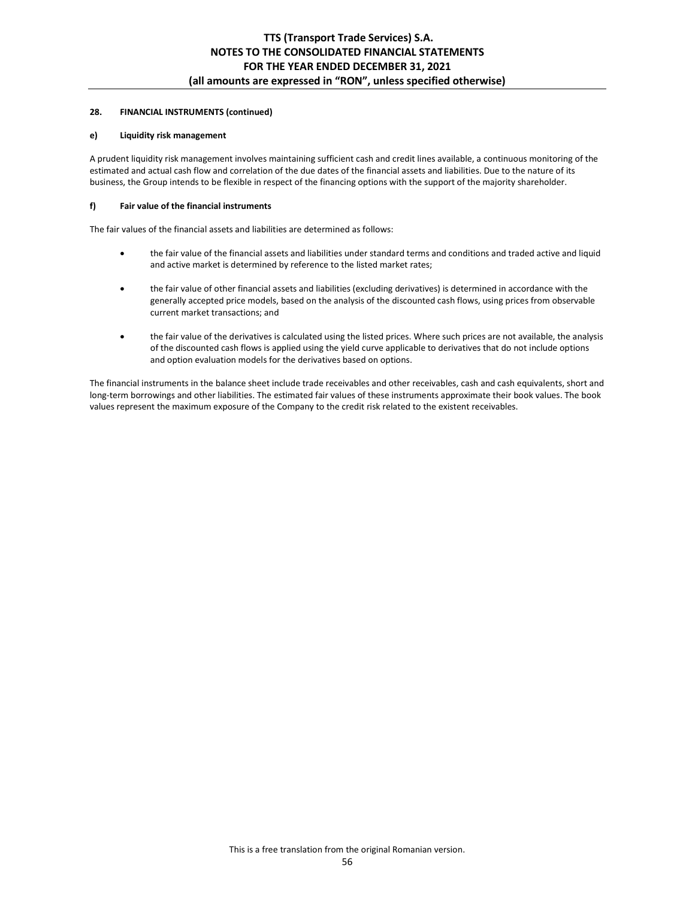## **28. FINANCIAL INSTRUMENTS (continued)**

### **e) Liquidity risk management**

A prudent liquidity risk management involves maintaining sufficient cash and credit lines available, a continuous monitoring of the estimated and actual cash flow and correlation of the due dates of the financial assets and liabilities. Due to the nature of its business, the Group intends to be flexible in respect of the financing options with the support of the majority shareholder.

### **f) Fair value of the financial instruments**

The fair values of the financial assets and liabilities are determined as follows:

- the fair value of the financial assets and liabilities under standard terms and conditions and traded active and liquid and active market is determined by reference to the listed market rates;
- the fair value of other financial assets and liabilities (excluding derivatives) is determined in accordance with the generally accepted price models, based on the analysis of the discounted cash flows, using prices from observable current market transactions; and
- the fair value of the derivatives is calculated using the listed prices. Where such prices are not available, the analysis of the discounted cash flows is applied using the yield curve applicable to derivatives that do not include options and option evaluation models for the derivatives based on options.

The financial instruments in the balance sheet include trade receivables and other receivables, cash and cash equivalents, short and long-term borrowings and other liabilities. The estimated fair values of these instruments approximate their book values. The book values represent the maximum exposure of the Company to the credit risk related to the existent receivables.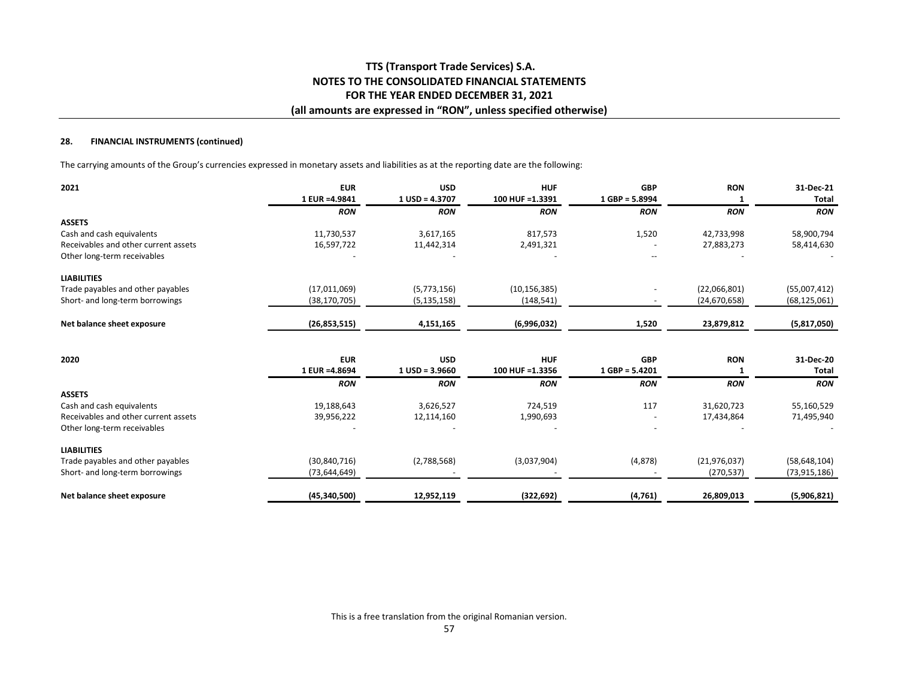### **28. FINANCIAL INSTRUMENTS (continued)**

The carrying amounts of the Group's currencies expressed in monetary assets and liabilities as at the reporting date are the following:

| 2021                                 | <b>EUR</b><br>1 EUR = 4.9841 | <b>USD</b><br>$1$ USD = 4.3707 | <b>HUF</b><br>100 HUF = 1.3391 | <b>GBP</b><br>$1$ GBP = 5.8994 | <b>RON</b>     | 31-Dec-21<br><b>Total</b> |
|--------------------------------------|------------------------------|--------------------------------|--------------------------------|--------------------------------|----------------|---------------------------|
|                                      | <b>RON</b>                   | <b>RON</b>                     | <b>RON</b>                     | <b>RON</b>                     | <b>RON</b>     | <b>RON</b>                |
| <b>ASSETS</b>                        |                              |                                |                                |                                |                |                           |
| Cash and cash equivalents            | 11,730,537                   | 3,617,165                      | 817,573                        | 1,520                          | 42,733,998     | 58,900,794                |
| Receivables and other current assets | 16,597,722                   | 11,442,314                     | 2,491,321                      |                                | 27,883,273     | 58,414,630                |
| Other long-term receivables          |                              |                                |                                |                                |                |                           |
| <b>LIABILITIES</b>                   |                              |                                |                                |                                |                |                           |
| Trade payables and other payables    | (17,011,069)                 | (5,773,156)                    | (10, 156, 385)                 |                                | (22,066,801)   | (55,007,412)              |
| Short- and long-term borrowings      | (38, 170, 705)               | (5, 135, 158)                  | (148, 541)                     |                                | (24, 670, 658) | (68, 125, 061)            |
| Net balance sheet exposure           | (26, 853, 515)               | 4,151,165                      | (6,996,032)                    | 1,520                          | 23,879,812     | (5,817,050)               |
|                                      |                              |                                |                                |                                |                |                           |
| 2020                                 | <b>EUR</b>                   | <b>USD</b>                     | <b>HUF</b>                     | <b>GBP</b>                     | <b>RON</b>     | 31-Dec-20                 |
|                                      | 1 EUR = 4.8694               | $1$ USD = 3.9660               | 100 HUF = 1.3356               | $1$ GBP = 5.4201               |                | <b>Total</b>              |
|                                      | <b>RON</b>                   | <b>RON</b>                     | <b>RON</b>                     | <b>RON</b>                     | <b>RON</b>     | <b>RON</b>                |
| <b>ASSETS</b>                        |                              |                                |                                |                                |                |                           |
| Cash and cash equivalents            | 19,188,643                   | 3,626,527                      | 724,519                        | 117                            | 31,620,723     | 55,160,529                |
| Receivables and other current assets | 39,956,222                   | 12,114,160                     | 1,990,693                      |                                | 17,434,864     | 71,495,940                |
| Other long-term receivables          |                              |                                |                                |                                |                |                           |
| <b>LIABILITIES</b>                   |                              |                                |                                |                                |                |                           |
| Trade payables and other payables    | (30, 840, 716)               | (2,788,568)                    | (3,037,904)                    | (4,878)                        | (21, 976, 037) | (58, 648, 104)            |
| Short- and long-term borrowings      | (73, 644, 649)               |                                |                                |                                | (270, 537)     | (73, 915, 186)            |
| Net balance sheet exposure           | (45, 340, 500)               | 12,952,119                     | (322, 692)                     | (4, 761)                       | 26,809,013     | (5,906,821)               |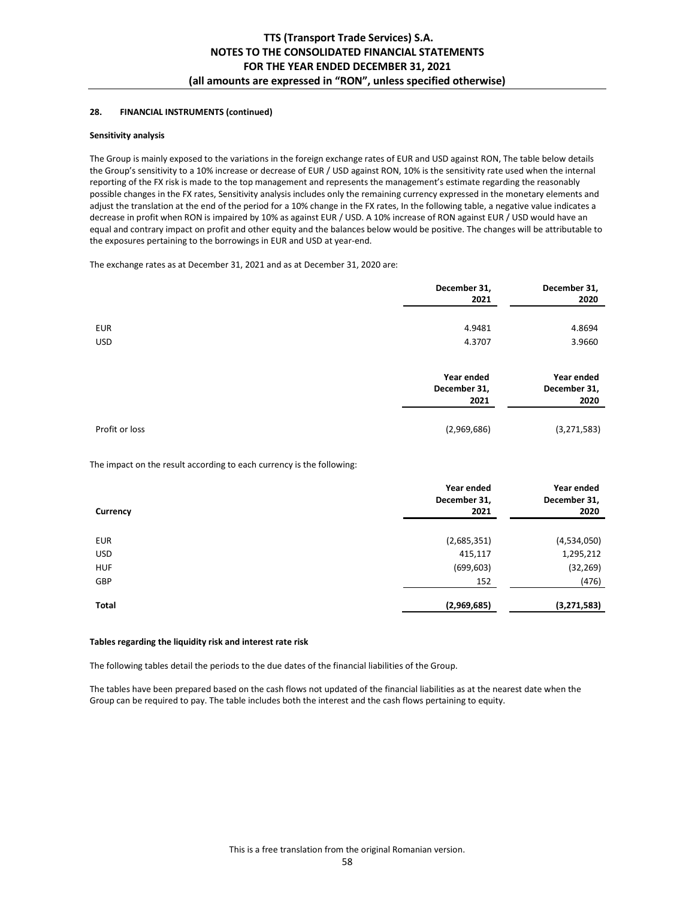## **28. FINANCIAL INSTRUMENTS (continued)**

### **Sensitivity analysis**

The Group is mainly exposed to the variations in the foreign exchange rates of EUR and USD against RON, The table below details the Group's sensitivity to a 10% increase or decrease of EUR / USD against RON, 10% is the sensitivity rate used when the internal reporting of the FX risk is made to the top management and represents the management's estimate regarding the reasonably possible changes in the FX rates, Sensitivity analysis includes only the remaining currency expressed in the monetary elements and adjust the translation at the end of the period for a 10% change in the FX rates, In the following table, a negative value indicates a decrease in profit when RON is impaired by 10% as against EUR / USD. A 10% increase of RON against EUR / USD would have an equal and contrary impact on profit and other equity and the balances below would be positive. The changes will be attributable to the exposures pertaining to the borrowings in EUR and USD at year-end.

The exchange rates as at December 31, 2021 and as at December 31, 2020 are:

|                          | December 31,<br>2021               | December 31,<br>2020               |
|--------------------------|------------------------------------|------------------------------------|
| <b>EUR</b><br><b>USD</b> | 4.9481<br>4.3707                   | 4.8694<br>3.9660                   |
|                          | Year ended<br>December 31,<br>2021 | Year ended<br>December 31,<br>2020 |
| Profit or loss           | (2,969,686)                        | (3,271,583)                        |

The impact on the result according to each currency is the following:

| Currency   | Year ended<br>December 31,<br>2021 | Year ended<br>December 31,<br>2020 |
|------------|------------------------------------|------------------------------------|
| <b>EUR</b> | (2,685,351)                        | (4,534,050)                        |
| <b>USD</b> | 415,117                            | 1,295,212                          |
| <b>HUF</b> | (699, 603)                         | (32, 269)                          |
| GBP        | 152                                | (476)                              |
| Total      | (2,969,685)                        | (3, 271, 583)                      |

#### **Tables regarding the liquidity risk and interest rate risk**

The following tables detail the periods to the due dates of the financial liabilities of the Group.

The tables have been prepared based on the cash flows not updated of the financial liabilities as at the nearest date when the Group can be required to pay. The table includes both the interest and the cash flows pertaining to equity.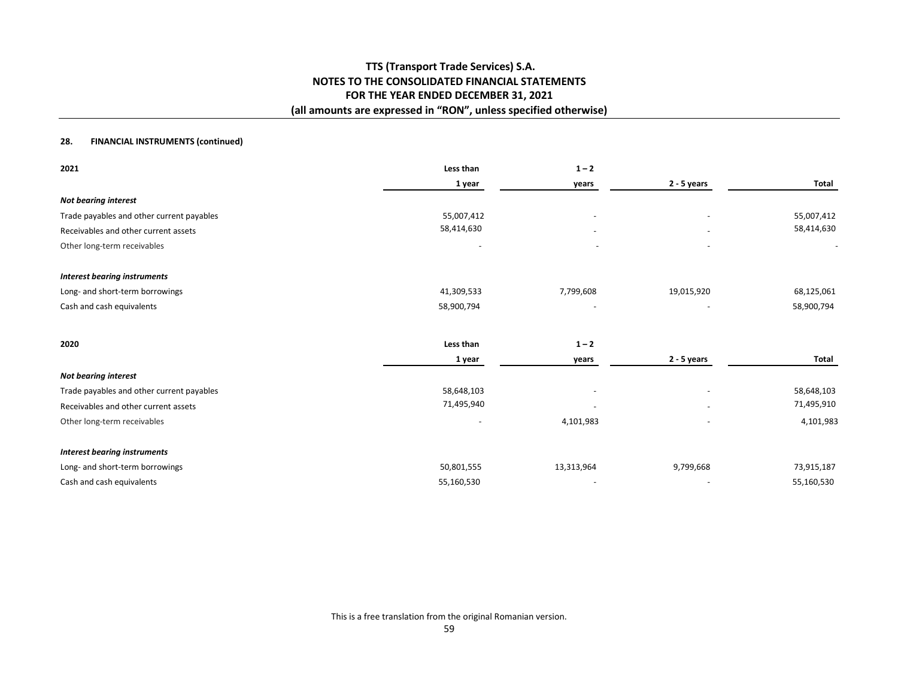## **28. FINANCIAL INSTRUMENTS (continued)**

| 2021                                      | Less than                | $1 - 2$                  |                          |            |
|-------------------------------------------|--------------------------|--------------------------|--------------------------|------------|
|                                           | 1 year                   | years                    | 2 - 5 years              | Total      |
| <b>Not bearing interest</b>               |                          |                          |                          |            |
| Trade payables and other current payables | 55,007,412               |                          |                          | 55,007,412 |
| Receivables and other current assets      | 58,414,630               |                          |                          | 58,414,630 |
| Other long-term receivables               |                          |                          |                          |            |
| <b>Interest bearing instruments</b>       |                          |                          |                          |            |
| Long- and short-term borrowings           | 41,309,533               | 7,799,608                | 19,015,920               | 68,125,061 |
| Cash and cash equivalents                 | 58,900,794               |                          |                          | 58,900,794 |
| 2020                                      | Less than                | $1 - 2$                  |                          |            |
|                                           | 1 year                   | years                    | $2 - 5$ years            | Total      |
| <b>Not bearing interest</b>               |                          |                          |                          |            |
| Trade payables and other current payables | 58,648,103               |                          |                          | 58,648,103 |
| Receivables and other current assets      | 71,495,940               | $\overline{\phantom{a}}$ |                          | 71,495,910 |
| Other long-term receivables               | $\overline{\phantom{a}}$ | 4,101,983                | $\overline{\phantom{a}}$ | 4,101,983  |
| <b>Interest bearing instruments</b>       |                          |                          |                          |            |
| Long- and short-term borrowings           | 50,801,555               | 13,313,964               | 9,799,668                | 73,915,187 |
| Cash and cash equivalents                 | 55,160,530               |                          |                          | 55,160,530 |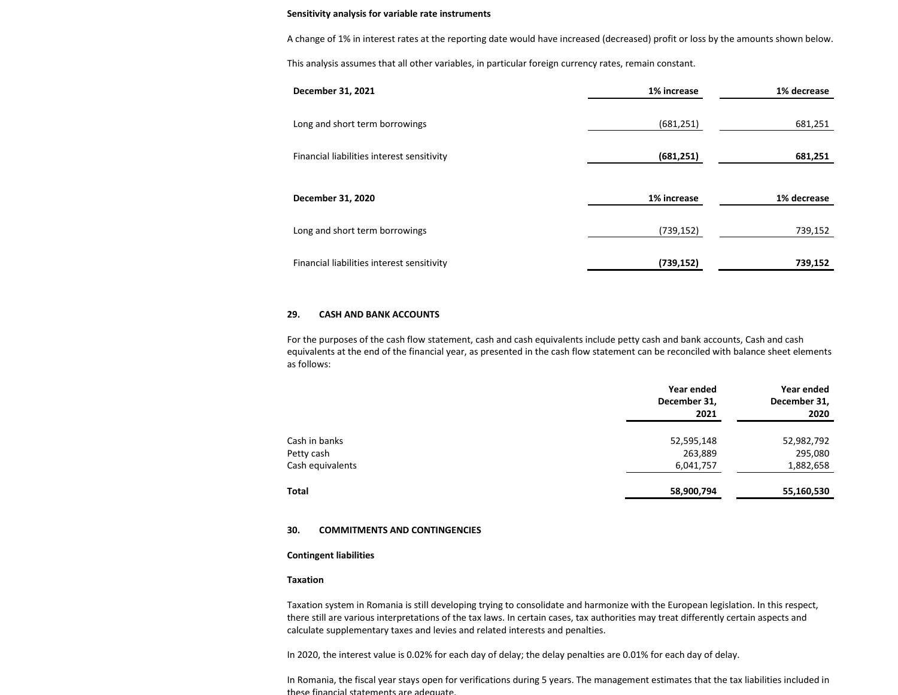#### **Sensitivity analysis for variable rate instruments**

A change of 1% in interest rates at the reporting date would have increased (decreased) profit or loss by the amounts shown below.

This analysis assumes that all other variables, in particular foreign currency rates, remain constant.

| December 31, 2021                          | 1% increase<br>1% decrease |             |  |
|--------------------------------------------|----------------------------|-------------|--|
| Long and short term borrowings             | (681, 251)                 | 681,251     |  |
| Financial liabilities interest sensitivity | (681, 251)                 | 681,251     |  |
| December 31, 2020                          | 1% increase                | 1% decrease |  |
| Long and short term borrowings             | (739, 152)                 | 739,152     |  |
| Financial liabilities interest sensitivity | (739, 152)                 | 739,152     |  |

#### **29. CASH AND BANK ACCOUNTS**

For the purposes of the cash flow statement, cash and cash equivalents include petty cash and bank accounts, Cash and cash equivalents at the end of the financial year, as presented in the cash flow statement can be reconciled with balance sheet elements as follows:

|                  | Year ended<br>December 31,<br>2021 | Year ended<br>December 31,<br>2020 |
|------------------|------------------------------------|------------------------------------|
| Cash in banks    | 52,595,148                         | 52,982,792                         |
| Petty cash       | 263,889                            | 295,080                            |
| Cash equivalents | 6,041,757                          | 1,882,658                          |
| <b>Total</b>     | 58,900,794                         | 55,160,530                         |

#### **30. COMMITMENTS AND CONTINGENCIES**

#### **Contingent liabilities**

#### **Taxation**

Taxation system in Romania is still developing trying to consolidate and harmonize with the European legislation. In this respect, there still are various interpretations of the tax laws. In certain cases, tax authorities may treat differently certain aspects and calculate supplementary taxes and levies and related interests and penalties.

In 2020, the interest value is 0.02% for each day of delay; the delay penalties are 0.01% for each day of delay.

In Romania, the fiscal year stays open for verifications during 5 years. The management estimates that the tax liabilities included in these financial statements are adequate.